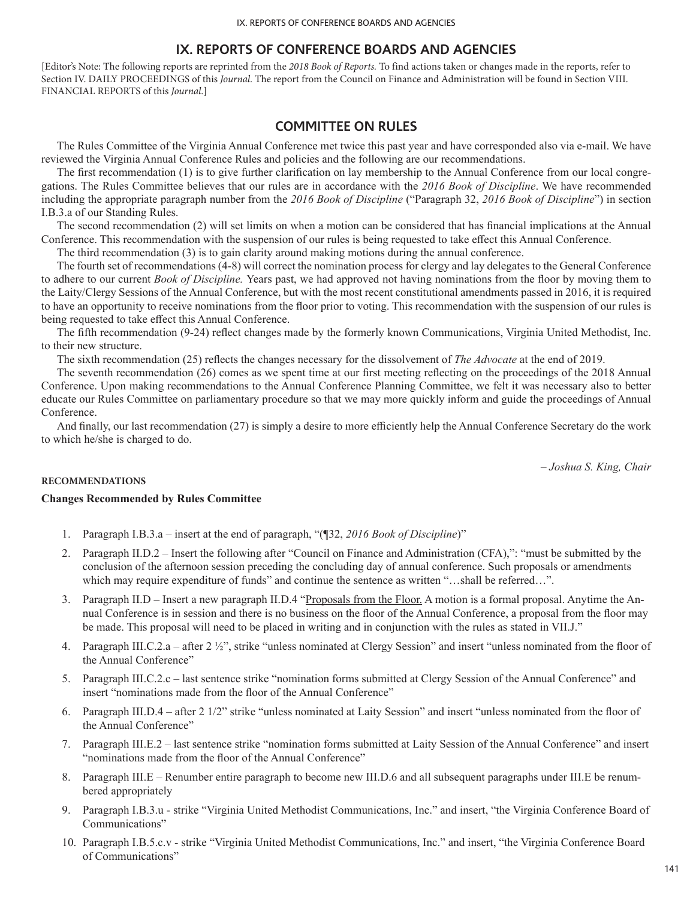[Editor's Note: The following reports are reprinted from the *2018 Book of Reports.* To find actions taken or changes made in the reports, refer to Section IV. DAILY PROCEEDINGS of this *Journal*. The report from the Council on Finance and Administration will be found in Section VIII. FINANCIAL REPORTS of this *Journal*.]

## **COMMITTEE ON RULES**

The Rules Committee of the Virginia Annual Conference met twice this past year and have corresponded also via e-mail. We have reviewed the Virginia Annual Conference Rules and policies and the following are our recommendations.

The first recommendation (1) is to give further clarification on lay membership to the Annual Conference from our local congregations. The Rules Committee believes that our rules are in accordance with the *2016 Book of Discipline*. We have recommended including the appropriate paragraph number from the *2016 Book of Discipline* ("Paragraph 32, *2016 Book of Discipline*") in section I.B.3.a of our Standing Rules.

The second recommendation (2) will set limits on when a motion can be considered that has financial implications at the Annual Conference. This recommendation with the suspension of our rules is being requested to take effect this Annual Conference.

The third recommendation (3) is to gain clarity around making motions during the annual conference.

The fourth set of recommendations (4-8) will correct the nomination process for clergy and lay delegates to the General Conference to adhere to our current *Book of Discipline.* Years past, we had approved not having nominations from the floor by moving them to the Laity/Clergy Sessions of the Annual Conference, but with the most recent constitutional amendments passed in 2016, it is required to have an opportunity to receive nominations from the floor prior to voting. This recommendation with the suspension of our rules is being requested to take effect this Annual Conference.

The fifth recommendation (9-24) reflect changes made by the formerly known Communications, Virginia United Methodist, Inc. to their new structure.

The sixth recommendation (25) reflects the changes necessary for the dissolvement of *The Advocate* at the end of 2019.

The seventh recommendation (26) comes as we spent time at our first meeting reflecting on the proceedings of the 2018 Annual Conference. Upon making recommendations to the Annual Conference Planning Committee, we felt it was necessary also to better educate our Rules Committee on parliamentary procedure so that we may more quickly inform and guide the proceedings of Annual Conference.

And finally, our last recommendation (27) is simply a desire to more efficiently help the Annual Conference Secretary do the work to which he/she is charged to do.

*– Joshua S. King, Chair*

## **RECOMMENDATIONS**

### **Changes Recommended by Rules Committee**

- 1. Paragraph I.B.3.a insert at the end of paragraph, "(¶32, *2016 Book of Discipline*)"
- 2. Paragraph II.D.2 Insert the following after "Council on Finance and Administration (CFA),": "must be submitted by the conclusion of the afternoon session preceding the concluding day of annual conference. Such proposals or amendments which may require expenditure of funds" and continue the sentence as written "...shall be referred...".
- 3. Paragraph II.D Insert a new paragraph II.D.4 "Proposals from the Floor. A motion is a formal proposal. Anytime the Annual Conference is in session and there is no business on the floor of the Annual Conference, a proposal from the floor may be made. This proposal will need to be placed in writing and in conjunction with the rules as stated in VII.J."
- 4. Paragraph III.C.2.a after 2 ½", strike "unless nominated at Clergy Session" and insert "unless nominated from the floor of the Annual Conference"
- 5. Paragraph III.C.2.c last sentence strike "nomination forms submitted at Clergy Session of the Annual Conference" and insert "nominations made from the floor of the Annual Conference"
- 6. Paragraph III.D.4 after 2 1/2" strike "unless nominated at Laity Session" and insert "unless nominated from the floor of the Annual Conference"
- 7. Paragraph III.E.2 last sentence strike "nomination forms submitted at Laity Session of the Annual Conference" and insert "nominations made from the floor of the Annual Conference"
- 8. Paragraph III.E Renumber entire paragraph to become new III.D.6 and all subsequent paragraphs under III.E be renumbered appropriately
- 9. Paragraph I.B.3.u strike "Virginia United Methodist Communications, Inc." and insert, "the Virginia Conference Board of Communications"
- 10. Paragraph I.B.5.c.v strike "Virginia United Methodist Communications, Inc." and insert, "the Virginia Conference Board of Communications"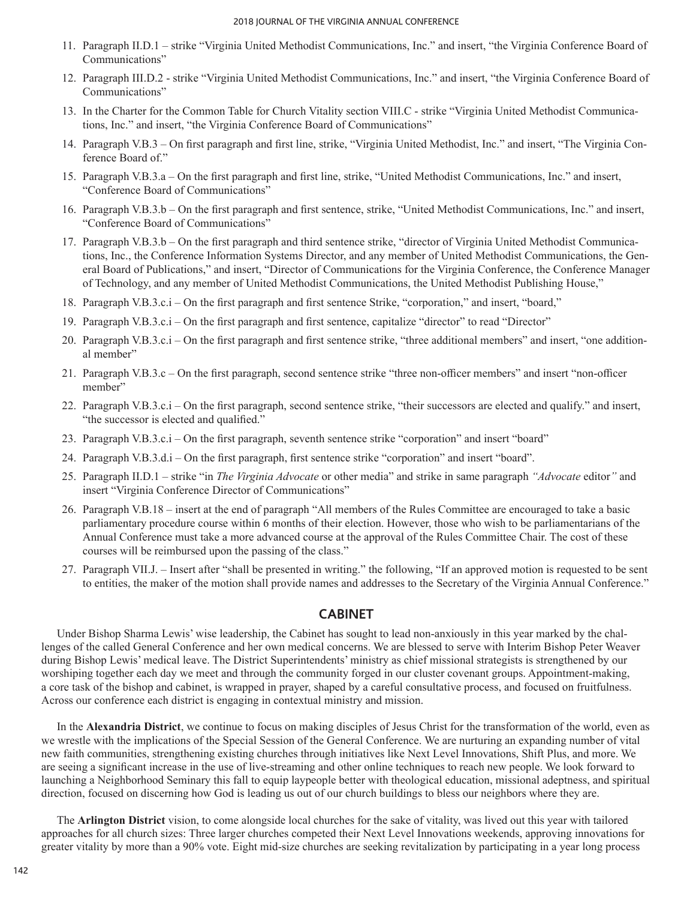- 11. Paragraph II.D.1 strike "Virginia United Methodist Communications, Inc." and insert, "the Virginia Conference Board of Communications"
- 12. Paragraph III.D.2 strike "Virginia United Methodist Communications, Inc." and insert, "the Virginia Conference Board of Communications"
- 13. In the Charter for the Common Table for Church Vitality section VIII.C strike "Virginia United Methodist Communications, Inc." and insert, "the Virginia Conference Board of Communications"
- 14. Paragraph V.B.3 On first paragraph and first line, strike, "Virginia United Methodist, Inc." and insert, "The Virginia Conference Board of."
- 15. Paragraph V.B.3.a On the first paragraph and first line, strike, "United Methodist Communications, Inc." and insert, "Conference Board of Communications"
- 16. Paragraph V.B.3.b On the first paragraph and first sentence, strike, "United Methodist Communications, Inc." and insert, "Conference Board of Communications"
- 17. Paragraph V.B.3.b On the first paragraph and third sentence strike, "director of Virginia United Methodist Communications, Inc., the Conference Information Systems Director, and any member of United Methodist Communications, the General Board of Publications," and insert, "Director of Communications for the Virginia Conference, the Conference Manager of Technology, and any member of United Methodist Communications, the United Methodist Publishing House,"
- 18. Paragraph V.B.3.c.i On the first paragraph and first sentence Strike, "corporation," and insert, "board,"
- 19. Paragraph V.B.3.c.i On the first paragraph and first sentence, capitalize "director" to read "Director"
- 20. Paragraph V.B.3.c.i On the first paragraph and first sentence strike, "three additional members" and insert, "one additional member"
- 21. Paragraph V.B.3.c On the first paragraph, second sentence strike "three non-officer members" and insert "non-officer member"
- 22. Paragraph V.B.3.c.i On the first paragraph, second sentence strike, "their successors are elected and qualify." and insert, "the successor is elected and qualified."
- 23. Paragraph V.B.3.c.i On the first paragraph, seventh sentence strike "corporation" and insert "board"
- 24. Paragraph V.B.3.d.i On the first paragraph, first sentence strike "corporation" and insert "board".
- 25. Paragraph II.D.1 strike "in *The Virginia Advocate* or other media" and strike in same paragraph *"Advocate* editor*"* and insert "Virginia Conference Director of Communications"
- 26. Paragraph V.B.18 insert at the end of paragraph "All members of the Rules Committee are encouraged to take a basic parliamentary procedure course within 6 months of their election. However, those who wish to be parliamentarians of the Annual Conference must take a more advanced course at the approval of the Rules Committee Chair. The cost of these courses will be reimbursed upon the passing of the class."
- 27. Paragraph VII.J. Insert after "shall be presented in writing." the following, "If an approved motion is requested to be sent to entities, the maker of the motion shall provide names and addresses to the Secretary of the Virginia Annual Conference."

## **CABINET**

Under Bishop Sharma Lewis' wise leadership, the Cabinet has sought to lead non-anxiously in this year marked by the challenges of the called General Conference and her own medical concerns. We are blessed to serve with Interim Bishop Peter Weaver during Bishop Lewis' medical leave. The District Superintendents' ministry as chief missional strategists is strengthened by our worshiping together each day we meet and through the community forged in our cluster covenant groups. Appointment-making, a core task of the bishop and cabinet, is wrapped in prayer, shaped by a careful consultative process, and focused on fruitfulness. Across our conference each district is engaging in contextual ministry and mission.

In the **Alexandria District**, we continue to focus on making disciples of Jesus Christ for the transformation of the world, even as we wrestle with the implications of the Special Session of the General Conference. We are nurturing an expanding number of vital new faith communities, strengthening existing churches through initiatives like Next Level Innovations, Shift Plus, and more. We are seeing a significant increase in the use of live-streaming and other online techniques to reach new people. We look forward to launching a Neighborhood Seminary this fall to equip laypeople better with theological education, missional adeptness, and spiritual direction, focused on discerning how God is leading us out of our church buildings to bless our neighbors where they are.

The **Arlington District** vision, to come alongside local churches for the sake of vitality, was lived out this year with tailored approaches for all church sizes: Three larger churches competed their Next Level Innovations weekends, approving innovations for greater vitality by more than a 90% vote. Eight mid-size churches are seeking revitalization by participating in a year long process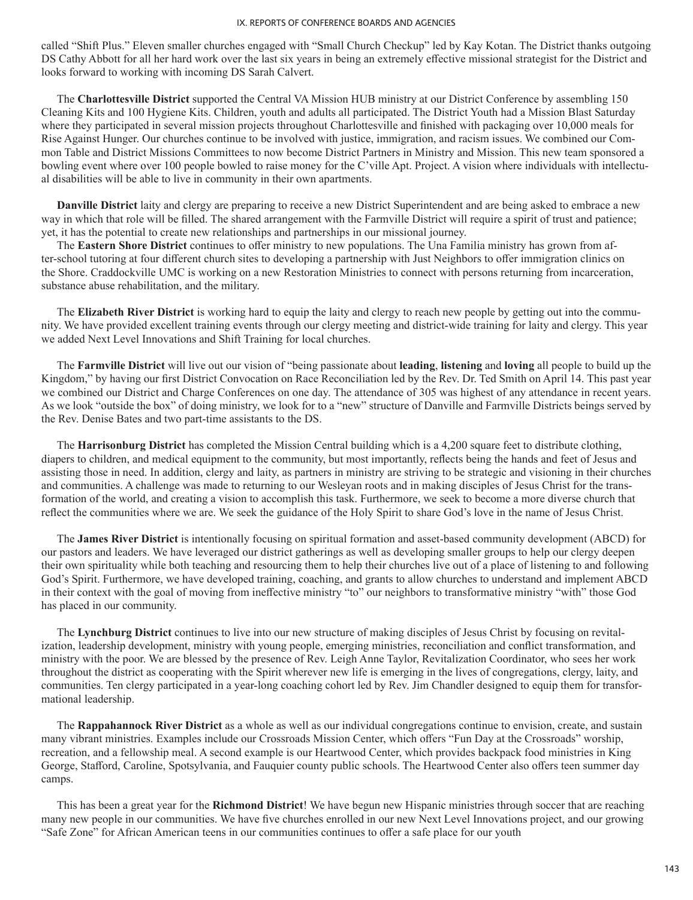called "Shift Plus." Eleven smaller churches engaged with "Small Church Checkup" led by Kay Kotan. The District thanks outgoing DS Cathy Abbott for all her hard work over the last six years in being an extremely effective missional strategist for the District and looks forward to working with incoming DS Sarah Calvert.

The **Charlottesville District** supported the Central VA Mission HUB ministry at our District Conference by assembling 150 Cleaning Kits and 100 Hygiene Kits. Children, youth and adults all participated. The District Youth had a Mission Blast Saturday where they participated in several mission projects throughout Charlottesville and finished with packaging over 10,000 meals for Rise Against Hunger. Our churches continue to be involved with justice, immigration, and racism issues. We combined our Common Table and District Missions Committees to now become District Partners in Ministry and Mission. This new team sponsored a bowling event where over 100 people bowled to raise money for the C'ville Apt. Project. A vision where individuals with intellectual disabilities will be able to live in community in their own apartments.

**Danville District** laity and clergy are preparing to receive a new District Superintendent and are being asked to embrace a new way in which that role will be filled. The shared arrangement with the Farmville District will require a spirit of trust and patience; yet, it has the potential to create new relationships and partnerships in our missional journey.

The **Eastern Shore District** continues to offer ministry to new populations. The Una Familia ministry has grown from after-school tutoring at four different church sites to developing a partnership with Just Neighbors to offer immigration clinics on the Shore. Craddockville UMC is working on a new Restoration Ministries to connect with persons returning from incarceration, substance abuse rehabilitation, and the military.

The **Elizabeth River District** is working hard to equip the laity and clergy to reach new people by getting out into the community. We have provided excellent training events through our clergy meeting and district-wide training for laity and clergy. This year we added Next Level Innovations and Shift Training for local churches.

The **Farmville District** will live out our vision of "being passionate about **leading**, **listening** and **loving** all people to build up the Kingdom," by having our first District Convocation on Race Reconciliation led by the Rev. Dr. Ted Smith on April 14. This past year we combined our District and Charge Conferences on one day. The attendance of 305 was highest of any attendance in recent years. As we look "outside the box" of doing ministry, we look for to a "new" structure of Danville and Farmville Districts beings served by the Rev. Denise Bates and two part-time assistants to the DS.

The **Harrisonburg District** has completed the Mission Central building which is a 4,200 square feet to distribute clothing, diapers to children, and medical equipment to the community, but most importantly, reflects being the hands and feet of Jesus and assisting those in need. In addition, clergy and laity, as partners in ministry are striving to be strategic and visioning in their churches and communities. A challenge was made to returning to our Wesleyan roots and in making disciples of Jesus Christ for the transformation of the world, and creating a vision to accomplish this task. Furthermore, we seek to become a more diverse church that reflect the communities where we are. We seek the guidance of the Holy Spirit to share God's love in the name of Jesus Christ.

The **James River District** is intentionally focusing on spiritual formation and asset-based community development (ABCD) for our pastors and leaders. We have leveraged our district gatherings as well as developing smaller groups to help our clergy deepen their own spirituality while both teaching and resourcing them to help their churches live out of a place of listening to and following God's Spirit. Furthermore, we have developed training, coaching, and grants to allow churches to understand and implement ABCD in their context with the goal of moving from ineffective ministry "to" our neighbors to transformative ministry "with" those God has placed in our community.

The **Lynchburg District** continues to live into our new structure of making disciples of Jesus Christ by focusing on revitalization, leadership development, ministry with young people, emerging ministries, reconciliation and conflict transformation, and ministry with the poor. We are blessed by the presence of Rev. Leigh Anne Taylor, Revitalization Coordinator, who sees her work throughout the district as cooperating with the Spirit wherever new life is emerging in the lives of congregations, clergy, laity, and communities. Ten clergy participated in a year-long coaching cohort led by Rev. Jim Chandler designed to equip them for transformational leadership.

The **Rappahannock River District** as a whole as well as our individual congregations continue to envision, create, and sustain many vibrant ministries. Examples include our Crossroads Mission Center, which offers "Fun Day at the Crossroads" worship, recreation, and a fellowship meal. A second example is our Heartwood Center, which provides backpack food ministries in King George, Stafford, Caroline, Spotsylvania, and Fauquier county public schools. The Heartwood Center also offers teen summer day camps.

This has been a great year for the **Richmond District**! We have begun new Hispanic ministries through soccer that are reaching many new people in our communities. We have five churches enrolled in our new Next Level Innovations project, and our growing "Safe Zone" for African American teens in our communities continues to offer a safe place for our youth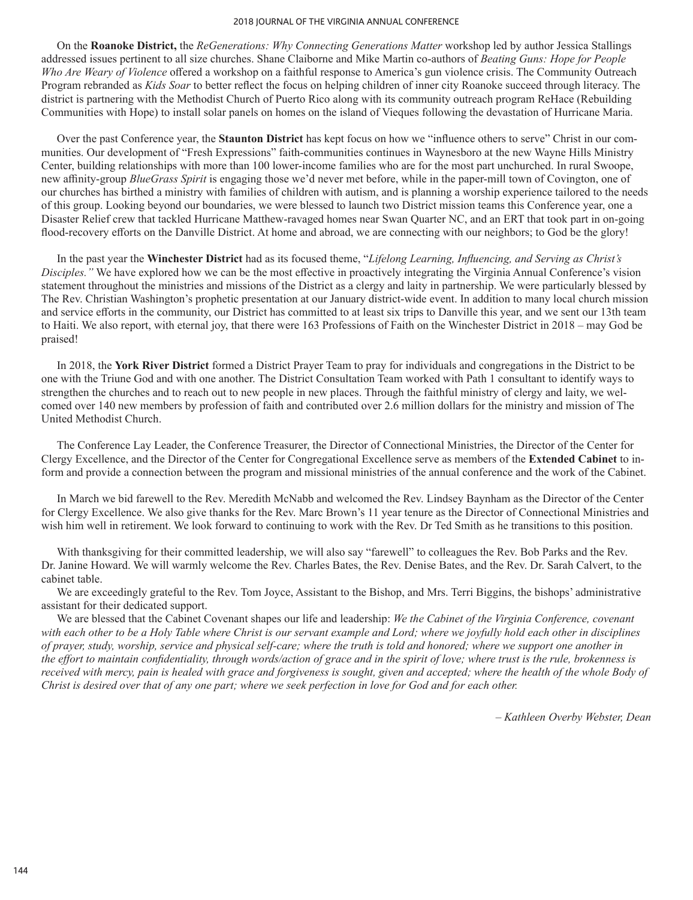#### 2018 JOURNAL OF THE VIRGINIA ANNUAL CONFERENCE

On the **Roanoke District,** the *ReGenerations: Why Connecting Generations Matter* workshop led by author Jessica Stallings addressed issues pertinent to all size churches. Shane Claiborne and Mike Martin co-authors of *Beating Guns: Hope for People Who Are Weary of Violence* offered a workshop on a faithful response to America's gun violence crisis. The Community Outreach Program rebranded as *Kids Soar* to better reflect the focus on helping children of inner city Roanoke succeed through literacy. The district is partnering with the Methodist Church of Puerto Rico along with its community outreach program ReHace (Rebuilding Communities with Hope) to install solar panels on homes on the island of Vieques following the devastation of Hurricane Maria.

Over the past Conference year, the **Staunton District** has kept focus on how we "influence others to serve" Christ in our communities. Our development of "Fresh Expressions" faith-communities continues in Waynesboro at the new Wayne Hills Ministry Center, building relationships with more than 100 lower-income families who are for the most part unchurched. In rural Swoope, new affinity-group *BlueGrass Spirit* is engaging those we'd never met before, while in the paper-mill town of Covington, one of our churches has birthed a ministry with families of children with autism, and is planning a worship experience tailored to the needs of this group. Looking beyond our boundaries, we were blessed to launch two District mission teams this Conference year, one a Disaster Relief crew that tackled Hurricane Matthew-ravaged homes near Swan Quarter NC, and an ERT that took part in on-going flood-recovery efforts on the Danville District. At home and abroad, we are connecting with our neighbors; to God be the glory!

In the past year the **Winchester District** had as its focused theme, "*Lifelong Learning, Influencing, and Serving as Christ's Disciples."* We have explored how we can be the most effective in proactively integrating the Virginia Annual Conference's vision statement throughout the ministries and missions of the District as a clergy and laity in partnership. We were particularly blessed by The Rev. Christian Washington's prophetic presentation at our January district-wide event. In addition to many local church mission and service efforts in the community, our District has committed to at least six trips to Danville this year, and we sent our 13th team to Haiti. We also report, with eternal joy, that there were 163 Professions of Faith on the Winchester District in 2018 – may God be praised!

In 2018, the **York River District** formed a District Prayer Team to pray for individuals and congregations in the District to be one with the Triune God and with one another. The District Consultation Team worked with Path 1 consultant to identify ways to strengthen the churches and to reach out to new people in new places. Through the faithful ministry of clergy and laity, we welcomed over 140 new members by profession of faith and contributed over 2.6 million dollars for the ministry and mission of The United Methodist Church.

The Conference Lay Leader, the Conference Treasurer, the Director of Connectional Ministries, the Director of the Center for Clergy Excellence, and the Director of the Center for Congregational Excellence serve as members of the **Extended Cabinet** to inform and provide a connection between the program and missional ministries of the annual conference and the work of the Cabinet.

In March we bid farewell to the Rev. Meredith McNabb and welcomed the Rev. Lindsey Baynham as the Director of the Center for Clergy Excellence. We also give thanks for the Rev. Marc Brown's 11 year tenure as the Director of Connectional Ministries and wish him well in retirement. We look forward to continuing to work with the Rev. Dr Ted Smith as he transitions to this position.

With thanksgiving for their committed leadership, we will also say "farewell" to colleagues the Rev. Bob Parks and the Rev. Dr. Janine Howard. We will warmly welcome the Rev. Charles Bates, the Rev. Denise Bates, and the Rev. Dr. Sarah Calvert, to the cabinet table.

We are exceedingly grateful to the Rev. Tom Joyce, Assistant to the Bishop, and Mrs. Terri Biggins, the bishops' administrative assistant for their dedicated support.

We are blessed that the Cabinet Covenant shapes our life and leadership: *We the Cabinet of the Virginia Conference, covenant with each other to be a Holy Table where Christ is our servant example and Lord; where we joyfully hold each other in disciplines of prayer, study, worship, service and physical self-care; where the truth is told and honored; where we support one another in the effort to maintain confidentiality, through words/action of grace and in the spirit of love; where trust is the rule, brokenness is*  received with mercy, pain is healed with grace and forgiveness is sought, given and accepted; where the health of the whole Body of *Christ is desired over that of any one part; where we seek perfection in love for God and for each other.*

*– Kathleen Overby Webster, Dean*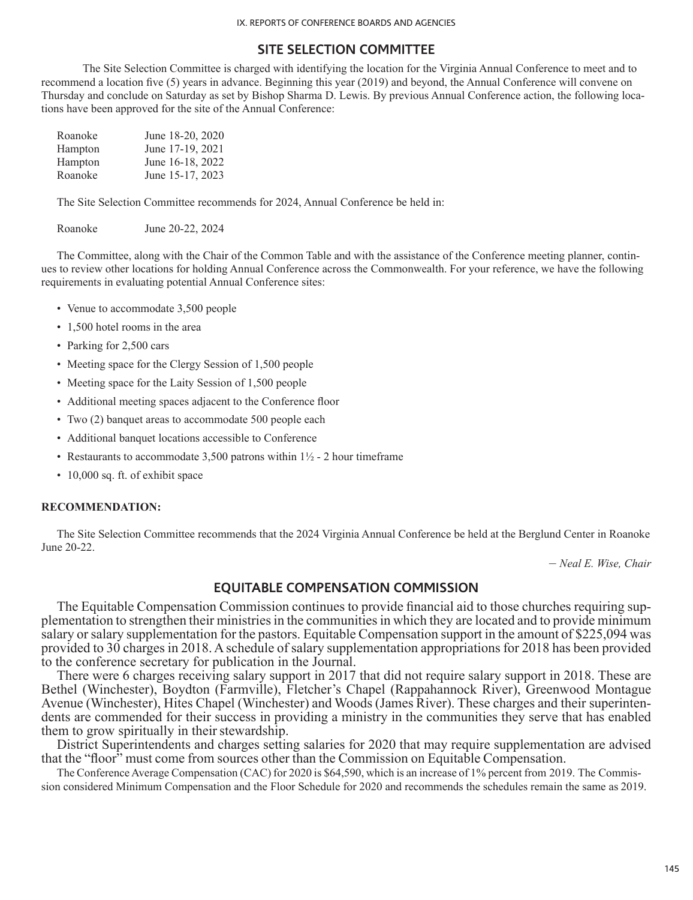# **SITE SELECTION COMMITTEE**

The Site Selection Committee is charged with identifying the location for the Virginia Annual Conference to meet and to recommend a location five (5) years in advance. Beginning this year (2019) and beyond, the Annual Conference will convene on Thursday and conclude on Saturday as set by Bishop Sharma D. Lewis. By previous Annual Conference action, the following locations have been approved for the site of the Annual Conference:

| Roanoke | June 18-20, 2020 |
|---------|------------------|
| Hampton | June 17-19, 2021 |
| Hampton | June 16-18, 2022 |
| Roanoke | June 15-17, 2023 |

The Site Selection Committee recommends for 2024, Annual Conference be held in:

Roanoke June 20-22, 2024

The Committee, along with the Chair of the Common Table and with the assistance of the Conference meeting planner, continues to review other locations for holding Annual Conference across the Commonwealth. For your reference, we have the following requirements in evaluating potential Annual Conference sites:

- Venue to accommodate 3,500 people
- 1,500 hotel rooms in the area
- Parking for 2,500 cars
- Meeting space for the Clergy Session of 1,500 people
- Meeting space for the Laity Session of 1,500 people
- Additional meeting spaces adjacent to the Conference floor
- Two (2) banquet areas to accommodate 500 people each
- Additional banquet locations accessible to Conference
- Restaurants to accommodate 3,500 patrons within  $1\frac{1}{2}$  2 hour timeframe
- 10,000 sq. ft. of exhibit space

## **RECOMMENDATION:**

The Site Selection Committee recommends that the 2024 Virginia Annual Conference be held at the Berglund Center in Roanoke June 20-22.

– *Neal E. Wise, Chair*

## **EQUITABLE COMPENSATION COMMISSION**

The Equitable Compensation Commission continues to provide financial aid to those churches requiring sup- plementation to strengthen their ministries in the communities in which they are located and to provide minimum salary or salary supplementation for the pastors. Equitable Compensation support in the amount of \$225,094 was provided to 30 charges in 2018. A schedule of salary supplementation appropriations for 2018 has been provided to the conference secretary for publication in the Journal.

There were 6 charges receiving salary support in 2017 that did not require salary support in 2018. These are Bethel (Winchester), Boydton (Farmville), Fletcher's Chapel (Rappahannock River), Greenwood Montague Avenue (Winchester), Hites Chapel (Winchester) and Woods (James River). These charges and their superintendents are commended for their success in providing a ministry in the communities they serve that has enabled them to grow spiritually in their stewardship.

District Superintendents and charges setting salaries for 2020 that may require supplementation are advised that the "floor" must come from sources other than the Commission on Equitable Compensation.

The Conference Average Compensation (CAC) for 2020 is \$64,590, which is an increase of 1% percent from 2019. The Commission considered Minimum Compensation and the Floor Schedule for 2020 and recommends the schedules remain the same as 2019.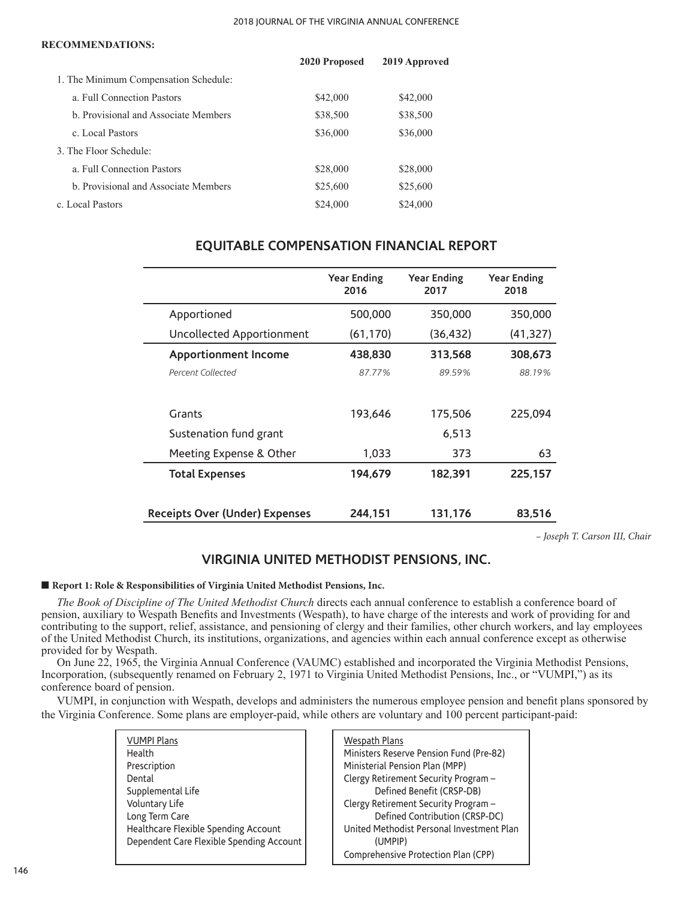#### 2018 JOURNAL OF THE VIRGINIA ANNUAL CONFERENCE

#### **RECOMMENDATIONS:**

|                                       | 2020 Proposed | 2019 Approved |
|---------------------------------------|---------------|---------------|
| 1. The Minimum Compensation Schedule: |               |               |
| a. Full Connection Pastors            | \$42,000      | \$42,000      |
| b. Provisional and Associate Members  | \$38,500      | \$38,500      |
| c. Local Pastors                      | \$36,000      | \$36,000      |
| 3. The Floor Schedule:                |               |               |
| a. Full Connection Pastors            | \$28,000      | \$28,000      |
| b. Provisional and Associate Members  | \$25,600      | \$25,600      |
| c. Local Pastors                      | \$24,000      | \$24,000      |

|                                       | <b>Year Ending</b><br>2016 | <b>Year Ending</b><br>2017 | <b>Year Ending</b><br>2018 |
|---------------------------------------|----------------------------|----------------------------|----------------------------|
| Apportioned                           | 500,000                    | 350,000                    | 350,000                    |
| Uncollected Apportionment             | (61, 170)                  | (36, 432)                  | (41, 327)                  |
| <b>Apportionment Income</b>           | 438,830                    | 313,568                    | 308,673                    |
| Percent Collected                     | 87.77%                     | 89.59%                     | 88.19%                     |
|                                       |                            |                            |                            |
| Grants                                | 193,646                    | 175,506                    | 225,094                    |
| Sustenation fund grant                |                            | 6,513                      |                            |
| Meeting Expense & Other               | 1,033                      | 373                        | 63                         |
| <b>Total Expenses</b>                 | 194,679                    | 182,391                    | 225,157                    |
|                                       |                            |                            |                            |
| <b>Receipts Over (Under) Expenses</b> | 244.151                    | 131,176                    | 83.516                     |

# **EQUITABLE COMPENSATION FINANCIAL REPORT**

*– Joseph T. Carson III, Chair*

# **VIRGINIA UNITED METHODIST PENSIONS, INC.**

## ■ **Report 1: Role & Responsibilities of Virginia United Methodist Pensions, Inc.**

*The Book of Discipline of The United Methodist Church* directs each annual conference to establish a conference board of pension, auxiliary to Wespath Benefits and Investments (Wespath), to have charge of the interests and work of providing for and contributing to the support, relief, assistance, and pensioning of clergy and their families, other church workers, and lay employees of the United Methodist Church, its institutions, organizations, and agencies within each annual conference except as otherwise provided for by Wespath.

On June 22, 1965, the Virginia Annual Conference (VAUMC) established and incorporated the Virginia Methodist Pensions, Incorporation, (subsequently renamed on February 2, 1971 to Virginia United Methodist Pensions, Inc., or "VUMPI,") as its conference board of pension.

VUMPI, in conjunction with Wespath, develops and administers the numerous employee pension and benefit plans sponsored by the Virginia Conference. Some plans are employer-paid, while others are voluntary and 100 percent participant-paid:

| <b>VUMPI Plans</b><br>Health             |
|------------------------------------------|
| Prescription                             |
| Dental                                   |
| Supplemental Life                        |
| Voluntary Life                           |
| Long Term Care                           |
| Healthcare Flexible Spending Account     |
| Dependent Care Flexible Spending Account |
|                                          |

| <b>Wespath Plans</b><br>Ministers Reserve Pension Fund (Pre-82) |
|-----------------------------------------------------------------|
| Ministerial Pension Plan (MPP)                                  |
| Clergy Retirement Security Program -                            |
| Defined Benefit (CRSP-DB)                                       |
| Clergy Retirement Security Program -                            |
| Defined Contribution (CRSP-DC)                                  |
| United Methodist Personal Investment Plan                       |
| (UMPIP)                                                         |
| Comprehensive Protection Plan (CPP)                             |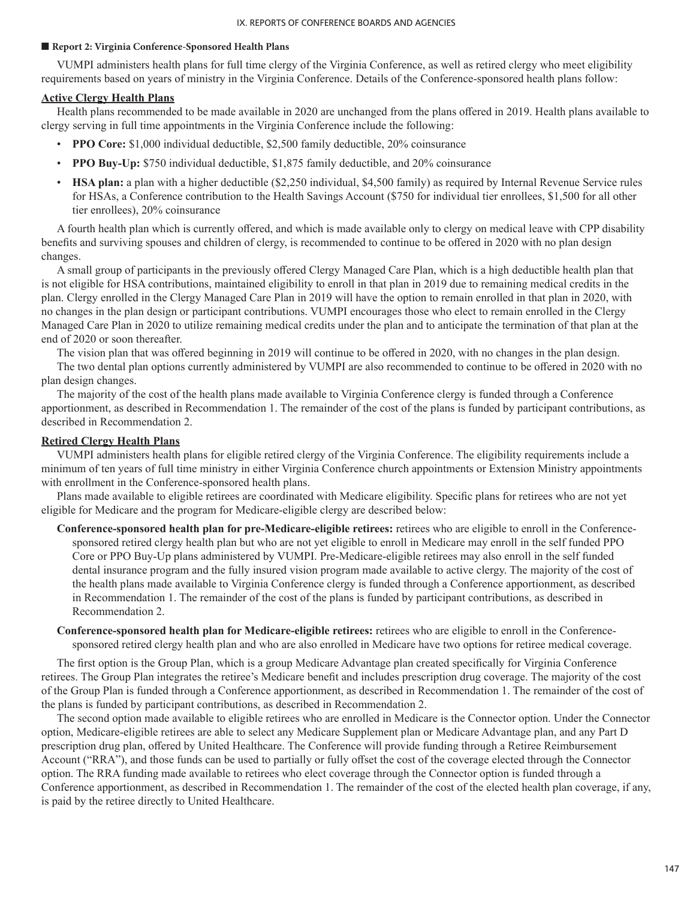### ■ **Report 2: Virginia Conference-Sponsored Health Plans**

VUMPI administers health plans for full time clergy of the Virginia Conference, as well as retired clergy who meet eligibility requirements based on years of ministry in the Virginia Conference. Details of the Conference-sponsored health plans follow:

## **Active Clergy Health Plans**

Health plans recommended to be made available in 2020 are unchanged from the plans offered in 2019. Health plans available to clergy serving in full time appointments in the Virginia Conference include the following:

- **PPO Core:** \$1,000 individual deductible, \$2,500 family deductible, 20% coinsurance
- **PPO Buy-Up:** \$750 individual deductible, \$1,875 family deductible, and 20% coinsurance
- **HSA plan:** a plan with a higher deductible (\$2,250 individual, \$4,500 family) as required by Internal Revenue Service rules for HSAs, a Conference contribution to the Health Savings Account (\$750 for individual tier enrollees, \$1,500 for all other tier enrollees), 20% coinsurance

A fourth health plan which is currently offered, and which is made available only to clergy on medical leave with CPP disability benefits and surviving spouses and children of clergy, is recommended to continue to be offered in 2020 with no plan design changes.

A small group of participants in the previously offered Clergy Managed Care Plan, which is a high deductible health plan that is not eligible for HSA contributions, maintained eligibility to enroll in that plan in 2019 due to remaining medical credits in the plan. Clergy enrolled in the Clergy Managed Care Plan in 2019 will have the option to remain enrolled in that plan in 2020, with no changes in the plan design or participant contributions. VUMPI encourages those who elect to remain enrolled in the Clergy Managed Care Plan in 2020 to utilize remaining medical credits under the plan and to anticipate the termination of that plan at the end of 2020 or soon thereafter.

The vision plan that was offered beginning in 2019 will continue to be offered in 2020, with no changes in the plan design.

The two dental plan options currently administered by VUMPI are also recommended to continue to be offered in 2020 with no plan design changes.

The majority of the cost of the health plans made available to Virginia Conference clergy is funded through a Conference apportionment, as described in Recommendation 1. The remainder of the cost of the plans is funded by participant contributions, as described in Recommendation 2.

## **Retired Clergy Health Plans**

VUMPI administers health plans for eligible retired clergy of the Virginia Conference. The eligibility requirements include a minimum of ten years of full time ministry in either Virginia Conference church appointments or Extension Ministry appointments with enrollment in the Conference-sponsored health plans.

Plans made available to eligible retirees are coordinated with Medicare eligibility. Specific plans for retirees who are not yet eligible for Medicare and the program for Medicare-eligible clergy are described below:

- **Conference-sponsored health plan for pre-Medicare-eligible retirees:** retirees who are eligible to enroll in the Conferencesponsored retired clergy health plan but who are not yet eligible to enroll in Medicare may enroll in the self funded PPO Core or PPO Buy-Up plans administered by VUMPI. Pre-Medicare-eligible retirees may also enroll in the self funded dental insurance program and the fully insured vision program made available to active clergy. The majority of the cost of the health plans made available to Virginia Conference clergy is funded through a Conference apportionment, as described in Recommendation 1. The remainder of the cost of the plans is funded by participant contributions, as described in Recommendation 2.
- **Conference-sponsored health plan for Medicare-eligible retirees:** retirees who are eligible to enroll in the Conferencesponsored retired clergy health plan and who are also enrolled in Medicare have two options for retiree medical coverage.

The first option is the Group Plan, which is a group Medicare Advantage plan created specifically for Virginia Conference retirees. The Group Plan integrates the retiree's Medicare benefit and includes prescription drug coverage. The majority of the cost of the Group Plan is funded through a Conference apportionment, as described in Recommendation 1. The remainder of the cost of the plans is funded by participant contributions, as described in Recommendation 2.

The second option made available to eligible retirees who are enrolled in Medicare is the Connector option. Under the Connector option, Medicare-eligible retirees are able to select any Medicare Supplement plan or Medicare Advantage plan, and any Part D prescription drug plan, offered by United Healthcare. The Conference will provide funding through a Retiree Reimbursement Account ("RRA"), and those funds can be used to partially or fully offset the cost of the coverage elected through the Connector option. The RRA funding made available to retirees who elect coverage through the Connector option is funded through a Conference apportionment, as described in Recommendation 1. The remainder of the cost of the elected health plan coverage, if any, is paid by the retiree directly to United Healthcare.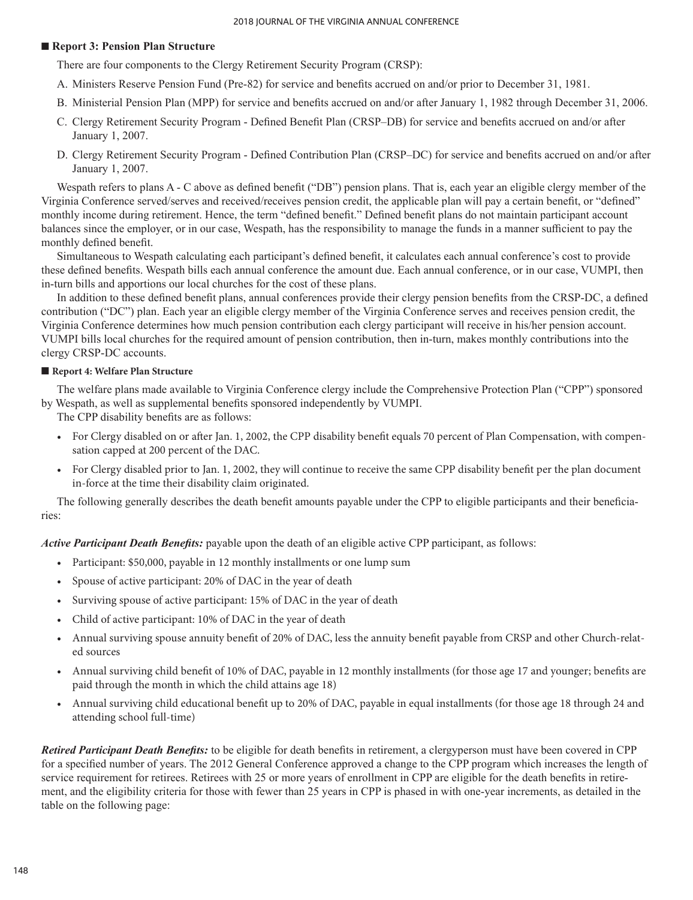## ■ **Report 3: Pension Plan Structure**

There are four components to the Clergy Retirement Security Program (CRSP):

- A. Ministers Reserve Pension Fund (Pre-82) for service and benefits accrued on and/or prior to December 31, 1981.
- B. Ministerial Pension Plan (MPP) for service and benefits accrued on and/or after January 1, 1982 through December 31, 2006.
- C. Clergy Retirement Security Program Defined Benefit Plan (CRSP–DB) for service and benefits accrued on and/or after January 1, 2007.
- D. Clergy Retirement Security Program Defined Contribution Plan (CRSP–DC) for service and benefits accrued on and/or after January 1, 2007.

Wespath refers to plans A - C above as defined benefit ("DB") pension plans. That is, each year an eligible clergy member of the Virginia Conference served/serves and received/receives pension credit, the applicable plan will pay a certain benefit, or "defined" monthly income during retirement. Hence, the term "defined benefit." Defined benefit plans do not maintain participant account balances since the employer, or in our case, Wespath, has the responsibility to manage the funds in a manner sufficient to pay the monthly defined benefit.

Simultaneous to Wespath calculating each participant's defined benefit, it calculates each annual conference's cost to provide these defined benefits. Wespath bills each annual conference the amount due. Each annual conference, or in our case, VUMPI, then in-turn bills and apportions our local churches for the cost of these plans.

In addition to these defined benefit plans, annual conferences provide their clergy pension benefits from the CRSP-DC, a defined contribution ("DC") plan. Each year an eligible clergy member of the Virginia Conference serves and receives pension credit, the Virginia Conference determines how much pension contribution each clergy participant will receive in his/her pension account. VUMPI bills local churches for the required amount of pension contribution, then in-turn, makes monthly contributions into the clergy CRSP-DC accounts.

## ■ **Report 4: Welfare Plan Structure**

The welfare plans made available to Virginia Conference clergy include the Comprehensive Protection Plan ("CPP") sponsored by Wespath, as well as supplemental benefits sponsored independently by VUMPI.

The CPP disability benefits are as follows:

- For Clergy disabled on or after Jan. 1, 2002, the CPP disability benefit equals 70 percent of Plan Compensation, with compensation capped at 200 percent of the DAC.
- For Clergy disabled prior to Jan. 1, 2002, they will continue to receive the same CPP disability benefit per the plan document in-force at the time their disability claim originated.

The following generally describes the death benefit amounts payable under the CPP to eligible participants and their beneficiaries:

*Active Participant Death Benefits:* payable upon the death of an eligible active CPP participant, as follows:

- Participant: \$50,000, payable in 12 monthly installments or one lump sum
- Spouse of active participant: 20% of DAC in the year of death
- Surviving spouse of active participant: 15% of DAC in the year of death
- Child of active participant: 10% of DAC in the year of death
- Annual surviving spouse annuity benefit of 20% of DAC, less the annuity benefit payable from CRSP and other Church-related sources
- Annual surviving child benefit of 10% of DAC, payable in 12 monthly installments (for those age 17 and younger; benefits are paid through the month in which the child attains age 18)
- Annual surviving child educational benefit up to 20% of DAC, payable in equal installments (for those age 18 through 24 and attending school full-time)

*Retired Participant Death Benefits:* to be eligible for death benefits in retirement, a clergyperson must have been covered in CPP for a specified number of years. The 2012 General Conference approved a change to the CPP program which increases the length of service requirement for retirees. Retirees with 25 or more years of enrollment in CPP are eligible for the death benefits in retirement, and the eligibility criteria for those with fewer than 25 years in CPP is phased in with one-year increments, as detailed in the table on the following page: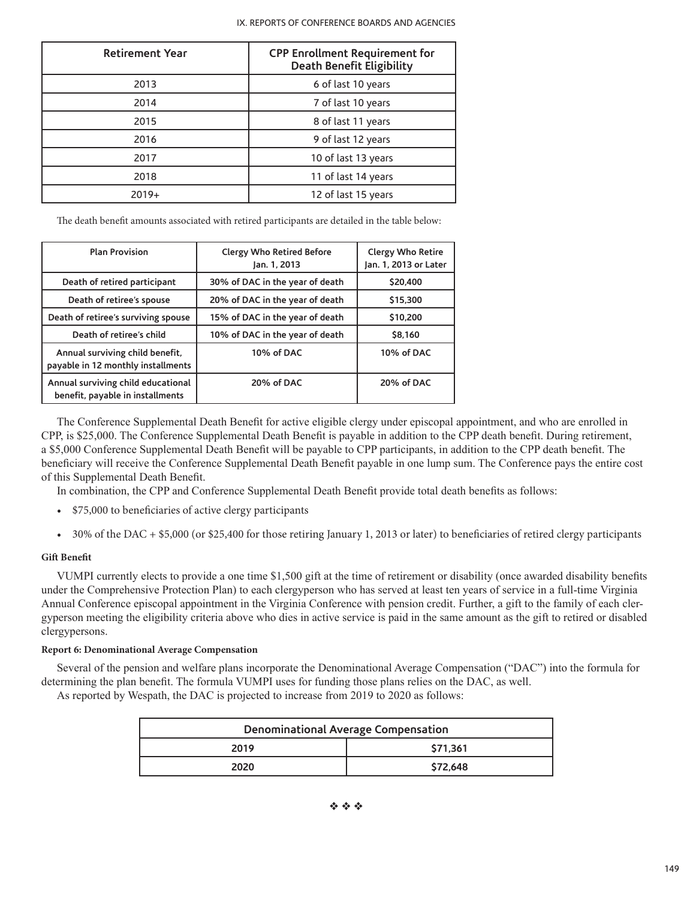| <b>Retirement Year</b> | <b>CPP Enrollment Requirement for</b><br><b>Death Benefit Eligibility</b> |
|------------------------|---------------------------------------------------------------------------|
| 2013                   | 6 of last 10 years                                                        |
| 2014                   | 7 of last 10 years                                                        |
| 2015                   | 8 of last 11 years                                                        |
| 2016                   | 9 of last 12 years                                                        |
| 2017                   | 10 of last 13 years                                                       |
| 2018                   | 11 of last 14 years                                                       |
| $2019+$                | 12 of last 15 years                                                       |

The death benefit amounts associated with retired participants are detailed in the table below:

| <b>Plan Provision</b>                                                  | <b>Clergy Who Retired Before</b><br>Jan. 1, 2013 | <b>Clergy Who Retire</b><br>Jan. 1, 2013 or Later |
|------------------------------------------------------------------------|--------------------------------------------------|---------------------------------------------------|
| Death of retired participant                                           | 30% of DAC in the year of death                  | \$20,400                                          |
| Death of retiree's spouse                                              | 20% of DAC in the year of death                  | \$15,300                                          |
| Death of retiree's surviving spouse                                    | 15% of DAC in the year of death                  | \$10,200                                          |
| Death of retiree's child                                               | 10% of DAC in the year of death                  | \$8.160                                           |
| Annual surviving child benefit,<br>payable in 12 monthly installments  | 10% of DAC                                       | 10% of DAC                                        |
| Annual surviving child educational<br>benefit, payable in installments | 20% of DAC                                       | 20% of DAC                                        |

The Conference Supplemental Death Benefit for active eligible clergy under episcopal appointment, and who are enrolled in CPP, is \$25,000. The Conference Supplemental Death Benefit is payable in addition to the CPP death benefit. During retirement, a \$5,000 Conference Supplemental Death Benefit will be payable to CPP participants, in addition to the CPP death benefit. The beneficiary will receive the Conference Supplemental Death Benefit payable in one lump sum. The Conference pays the entire cost of this Supplemental Death Benefit.

In combination, the CPP and Conference Supplemental Death Benefit provide total death benefits as follows:

- \$75,000 to beneficiaries of active clergy participants
- 30% of the DAC + \$5,000 (or \$25,400 for those retiring January 1, 2013 or later) to beneficiaries of retired clergy participants

## **Gift Benefit**

VUMPI currently elects to provide a one time \$1,500 gift at the time of retirement or disability (once awarded disability benefits under the Comprehensive Protection Plan) to each clergyperson who has served at least ten years of service in a full-time Virginia Annual Conference episcopal appointment in the Virginia Conference with pension credit. Further, a gift to the family of each clergyperson meeting the eligibility criteria above who dies in active service is paid in the same amount as the gift to retired or disabled clergypersons.

## **Report 6: Denominational Average Compensation**

Several of the pension and welfare plans incorporate the Denominational Average Compensation ("DAC") into the formula for determining the plan benefit. The formula VUMPI uses for funding those plans relies on the DAC, as well.

As reported by Wespath, the DAC is projected to increase from 2019 to 2020 as follows:

| Denominational Average Compensation |          |  |
|-------------------------------------|----------|--|
| \$71.361<br>2019                    |          |  |
| 2020                                | \$72.648 |  |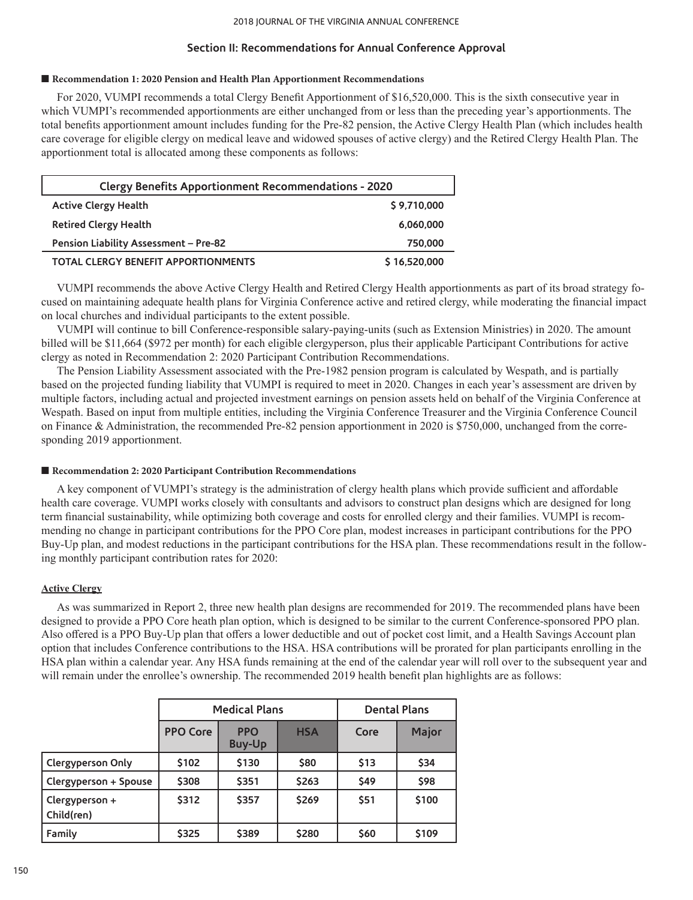## **Section II: Recommendations for Annual Conference Approval**

## ■ Recommendation 1: 2020 Pension and Health Plan Apportionment Recommendations

For 2020, VUMPI recommends a total Clergy Benefit Apportionment of \$16,520,000. This is the sixth consecutive year in which VUMPI's recommended apportionments are either unchanged from or less than the preceding year's apportionments. The total benefits apportionment amount includes funding for the Pre-82 pension, the Active Clergy Health Plan (which includes health care coverage for eligible clergy on medical leave and widowed spouses of active clergy) and the Retired Clergy Health Plan. The apportionment total is allocated among these components as follows:

| <b>Clergy Benefits Apportionment Recommendations - 2020</b> |              |
|-------------------------------------------------------------|--------------|
| <b>Active Clergy Health</b>                                 | \$9,710,000  |
| <b>Retired Clergy Health</b>                                | 6,060,000    |
| Pension Liability Assessment - Pre-82                       | 750,000      |
| <b>TOTAL CLERGY BENEFIT APPORTIONMENTS</b>                  | \$16,520,000 |

VUMPI recommends the above Active Clergy Health and Retired Clergy Health apportionments as part of its broad strategy focused on maintaining adequate health plans for Virginia Conference active and retired clergy, while moderating the financial impact on local churches and individual participants to the extent possible.

VUMPI will continue to bill Conference-responsible salary-paying-units (such as Extension Ministries) in 2020. The amount billed will be \$11,664 (\$972 per month) for each eligible clergyperson, plus their applicable Participant Contributions for active clergy as noted in Recommendation 2: 2020 Participant Contribution Recommendations.

The Pension Liability Assessment associated with the Pre-1982 pension program is calculated by Wespath, and is partially based on the projected funding liability that VUMPI is required to meet in 2020. Changes in each year's assessment are driven by multiple factors, including actual and projected investment earnings on pension assets held on behalf of the Virginia Conference at Wespath. Based on input from multiple entities, including the Virginia Conference Treasurer and the Virginia Conference Council on Finance & Administration, the recommended Pre-82 pension apportionment in 2020 is \$750,000, unchanged from the corresponding 2019 apportionment.

## ■ **Recommendation 2: 2020 Participant Contribution Recommendations**

A key component of VUMPI's strategy is the administration of clergy health plans which provide sufficient and affordable health care coverage. VUMPI works closely with consultants and advisors to construct plan designs which are designed for long term financial sustainability, while optimizing both coverage and costs for enrolled clergy and their families. VUMPI is recommending no change in participant contributions for the PPO Core plan, modest increases in participant contributions for the PPO Buy-Up plan, and modest reductions in the participant contributions for the HSA plan. These recommendations result in the following monthly participant contribution rates for 2020:

## **Active Clergy**

As was summarized in Report 2, three new health plan designs are recommended for 2019. The recommended plans have been designed to provide a PPO Core heath plan option, which is designed to be similar to the current Conference-sponsored PPO plan. Also offered is a PPO Buy-Up plan that offers a lower deductible and out of pocket cost limit, and a Health Savings Account plan option that includes Conference contributions to the HSA. HSA contributions will be prorated for plan participants enrolling in the HSA plan within a calendar year. Any HSA funds remaining at the end of the calendar year will roll over to the subsequent year and will remain under the enrollee's ownership. The recommended 2019 health benefit plan highlights are as follows:

|                              | <b>Medical Plans</b> |                             |            | <b>Dental Plans</b> |       |
|------------------------------|----------------------|-----------------------------|------------|---------------------|-------|
|                              | <b>PPO Core</b>      | <b>PPO</b><br><b>Buy-Up</b> | <b>HSA</b> | Core                | Major |
| <b>Clergyperson Only</b>     | \$102                | \$130                       | \$80       | \$13                | \$34  |
| Clergyperson + Spouse        | \$308                | \$351                       | \$263      | <b>S49</b>          | \$98  |
| Clergyperson +<br>Child(ren) | \$312                | \$357                       | \$269      | <b>\$51</b>         | \$100 |
| Family                       | \$325                | \$389                       | \$280      | \$60                | \$109 |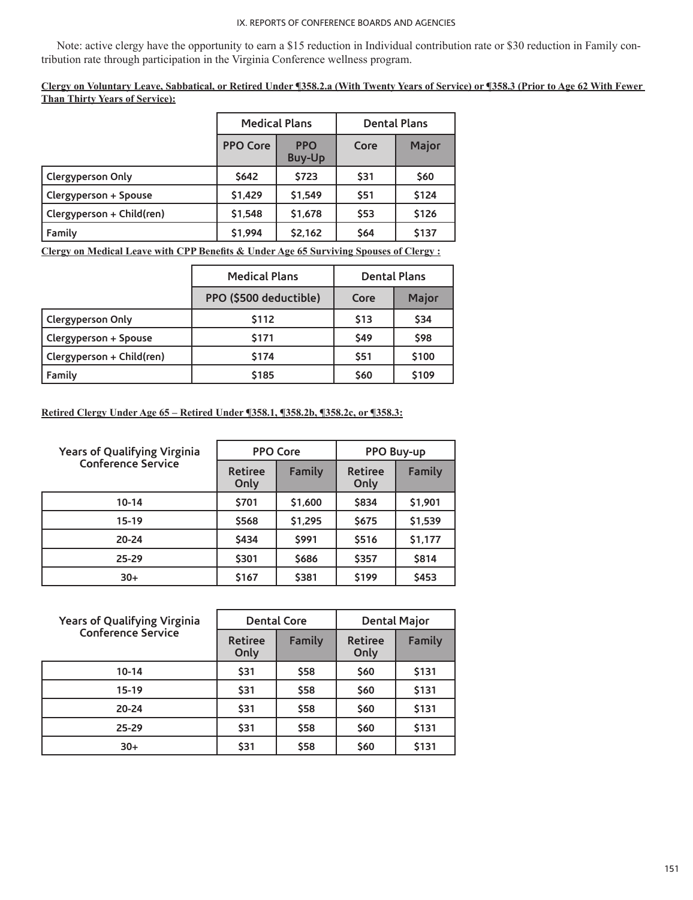Note: active clergy have the opportunity to earn a \$15 reduction in Individual contribution rate or \$30 reduction in Family contribution rate through participation in the Virginia Conference wellness program.

**Clergy on Voluntary Leave, Sabbatical, or Retired Under ¶358.2.a (With Twenty Years of Service) or ¶358.3 (Prior to Age 62 With Fewer Than Thirty Years of Service):**

|                           | <b>Medical Plans</b> |                             | <b>Dental Plans</b> |       |
|---------------------------|----------------------|-----------------------------|---------------------|-------|
|                           | <b>PPO Core</b>      | <b>PPO</b><br><b>Buy-Up</b> | Core                | Major |
| <b>Clergyperson Only</b>  | <b>S642</b>          | \$723                       | \$31                | \$60  |
| Clergyperson + Spouse     | \$1,429              | \$1,549                     | \$51                | \$124 |
| Clergyperson + Child(ren) | \$1,548              | \$1,678                     | \$53                | \$126 |
| Family                    | \$1,994              | \$2,162                     | \$64                | \$137 |

**Clergy on Medical Leave with CPP Benefits & Under Age 65 Surviving Spouses of Clergy :**

|                           | <b>Medical Plans</b>   | <b>Dental Plans</b> |              |
|---------------------------|------------------------|---------------------|--------------|
|                           | PPO (\$500 deductible) | Core                | <b>Major</b> |
| Clergyperson Only         | \$112                  | \$13                | \$34         |
| Clergyperson + Spouse     | \$171                  | \$49                | \$98         |
| Clergyperson + Child(ren) | \$174                  | \$51                | \$100        |
| Family                    | \$185                  | \$60                | \$109        |

**Retired Clergy Under Age 65 – Retired Under ¶358.1, ¶358.2b, ¶358.2c, or ¶358.3:**

| <b>Years of Qualifying Virginia</b> | <b>PPO Core</b>        |         | PPO Buy-up             |         |
|-------------------------------------|------------------------|---------|------------------------|---------|
| <b>Conference Service</b>           | <b>Retiree</b><br>Only | Family  | <b>Retiree</b><br>Only | Family  |
| $10 - 14$                           | \$701                  | \$1,600 | \$834                  | \$1,901 |
| $15-19$                             | \$568                  | \$1,295 | <b>S675</b>            | \$1,539 |
| $20 - 24$                           | \$434                  | \$991   | <b>S516</b>            | \$1,177 |
| $25 - 29$                           | \$301                  | \$686   | \$357                  | \$814   |
| $30+$                               | \$167                  | \$381   | <b>S199</b>            | \$453   |

| <b>Years of Qualifying Virginia</b> | <b>Dental Core</b>     |               | <b>Dental Major</b>    |        |
|-------------------------------------|------------------------|---------------|------------------------|--------|
| <b>Conference Service</b>           | <b>Retiree</b><br>Only | <b>Family</b> | <b>Retiree</b><br>Only | Family |
| $10 - 14$                           | \$31                   | \$58          | \$60                   | \$131  |
| $15-19$                             | \$31                   | \$58          | \$60                   | \$131  |
| $20 - 24$                           | \$31                   | \$58          | \$60                   | \$131  |
| $25 - 29$                           | \$31                   | \$58          | \$60                   | \$131  |
| $30+$                               | \$31                   | \$58          | \$60                   | \$131  |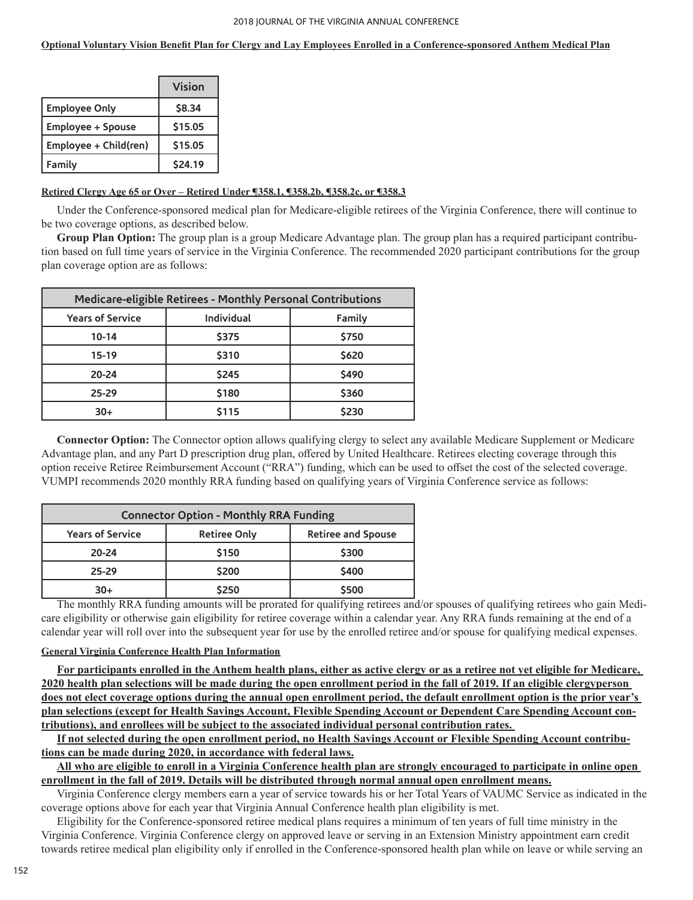## **Optional Voluntary Vision Benefit Plan for Clergy and Lay Employees Enrolled in a Conference-sponsored Anthem Medical Plan**

|                       | Vision         |
|-----------------------|----------------|
| <b>Employee Only</b>  | \$8.34         |
| Employee + Spouse     | \$15.05        |
| Employee + Child(ren) | \$15.05        |
| Family                | <b>\$24.19</b> |

## **Retired Clergy Age 65 or Over – Retired Under ¶358.1, ¶358.2b, ¶358.2c, or ¶358.3**

Under the Conference-sponsored medical plan for Medicare-eligible retirees of the Virginia Conference, there will continue to be two coverage options, as described below.

**Group Plan Option:** The group plan is a group Medicare Advantage plan. The group plan has a required participant contribution based on full time years of service in the Virginia Conference. The recommended 2020 participant contributions for the group plan coverage option are as follows:

| <b>Medicare-eligible Retirees - Monthly Personal Contributions</b> |            |        |
|--------------------------------------------------------------------|------------|--------|
| <b>Years of Service</b>                                            | Individual | Family |
| 10-14                                                              | \$375      | \$750  |
| 15-19                                                              | \$310      | \$620  |
| $20 - 24$                                                          | \$245      | \$490  |
| $25 - 29$                                                          | \$180      | \$360  |
| $30+$                                                              | \$115      | \$230  |

**Connector Option:** The Connector option allows qualifying clergy to select any available Medicare Supplement or Medicare Advantage plan, and any Part D prescription drug plan, offered by United Healthcare. Retirees electing coverage through this option receive Retiree Reimbursement Account ("RRA") funding, which can be used to offset the cost of the selected coverage. VUMPI recommends 2020 monthly RRA funding based on qualifying years of Virginia Conference service as follows:

| <b>Connector Option - Monthly RRA Funding</b> |                     |                           |  |
|-----------------------------------------------|---------------------|---------------------------|--|
| <b>Years of Service</b>                       | <b>Retiree Only</b> | <b>Retiree and Spouse</b> |  |
| $20 - 24$                                     | \$150               | \$300                     |  |
| $25 - 29$                                     | \$200               | \$400                     |  |
| 30+                                           | \$250               | \$500                     |  |

The monthly RRA funding amounts will be prorated for qualifying retirees and/or spouses of qualifying retirees who gain Medicare eligibility or otherwise gain eligibility for retiree coverage within a calendar year. Any RRA funds remaining at the end of a calendar year will roll over into the subsequent year for use by the enrolled retiree and/or spouse for qualifying medical expenses.

## **General Virginia Conference Health Plan Information**

**For participants enrolled in the Anthem health plans, either as active clergy or as a retiree not yet eligible for Medicare, 2020 health plan selections will be made during the open enrollment period in the fall of 2019. If an eligible clergyperson does not elect coverage options during the annual open enrollment period, the default enrollment option is the prior year's plan selections (except for Health Savings Account, Flexible Spending Account or Dependent Care Spending Account contributions), and enrollees will be subject to the associated individual personal contribution rates.** 

**If not selected during the open enrollment period, no Health Savings Account or Flexible Spending Account contributions can be made during 2020, in accordance with federal laws.**

**All who are eligible to enroll in a Virginia Conference health plan are strongly encouraged to participate in online open enrollment in the fall of 2019. Details will be distributed through normal annual open enrollment means.**

Virginia Conference clergy members earn a year of service towards his or her Total Years of VAUMC Service as indicated in the coverage options above for each year that Virginia Annual Conference health plan eligibility is met.

Eligibility for the Conference-sponsored retiree medical plans requires a minimum of ten years of full time ministry in the Virginia Conference. Virginia Conference clergy on approved leave or serving in an Extension Ministry appointment earn credit towards retiree medical plan eligibility only if enrolled in the Conference-sponsored health plan while on leave or while serving an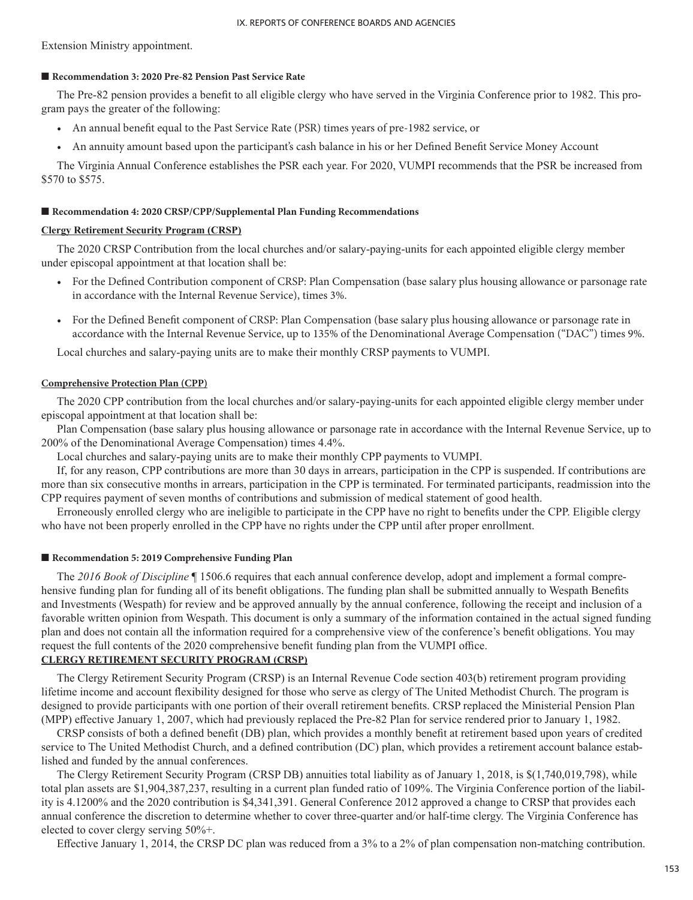Extension Ministry appointment.

## ■ **Recommendation 3: 2020 Pre-82 Pension Past Service Rate**

The Pre-82 pension provides a benefit to all eligible clergy who have served in the Virginia Conference prior to 1982. This program pays the greater of the following:

- An annual benefit equal to the Past Service Rate (PSR) times years of pre-1982 service, or
- An annuity amount based upon the participant's cash balance in his or her Defined Benefit Service Money Account

The Virginia Annual Conference establishes the PSR each year. For 2020, VUMPI recommends that the PSR be increased from \$570 to \$575.

## ■ Recommendation 4: 2020 CRSP/CPP/Supplemental Plan Funding Recommendations

## **Clergy Retirement Security Program (CRSP)**

The 2020 CRSP Contribution from the local churches and/or salary-paying-units for each appointed eligible clergy member under episcopal appointment at that location shall be:

- For the Defined Contribution component of CRSP: Plan Compensation (base salary plus housing allowance or parsonage rate in accordance with the Internal Revenue Service), times 3%.
- For the Defined Benefit component of CRSP: Plan Compensation (base salary plus housing allowance or parsonage rate in accordance with the Internal Revenue Service, up to 135% of the Denominational Average Compensation ("DAC") times 9%.

Local churches and salary-paying units are to make their monthly CRSP payments to VUMPI.

## **Comprehensive Protection Plan (CPP)**

The 2020 CPP contribution from the local churches and/or salary-paying-units for each appointed eligible clergy member under episcopal appointment at that location shall be:

Plan Compensation (base salary plus housing allowance or parsonage rate in accordance with the Internal Revenue Service, up to 200% of the Denominational Average Compensation) times 4.4%.

Local churches and salary-paying units are to make their monthly CPP payments to VUMPI.

If, for any reason, CPP contributions are more than 30 days in arrears, participation in the CPP is suspended. If contributions are more than six consecutive months in arrears, participation in the CPP is terminated. For terminated participants, readmission into the CPP requires payment of seven months of contributions and submission of medical statement of good health.

Erroneously enrolled clergy who are ineligible to participate in the CPP have no right to benefits under the CPP. Eligible clergy who have not been properly enrolled in the CPP have no rights under the CPP until after proper enrollment.

## ■ **Recommendation 5: 2019 Comprehensive Funding Plan**

The *2016 Book of Discipline* ¶ 1506.6 requires that each annual conference develop, adopt and implement a formal comprehensive funding plan for funding all of its benefit obligations. The funding plan shall be submitted annually to Wespath Benefits and Investments (Wespath) for review and be approved annually by the annual conference, following the receipt and inclusion of a favorable written opinion from Wespath. This document is only a summary of the information contained in the actual signed funding plan and does not contain all the information required for a comprehensive view of the conference's benefit obligations. You may request the full contents of the 2020 comprehensive benefit funding plan from the VUMPI office.

## **CLERGY RETIREMENT SECURITY PROGRAM (CRSP)**

The Clergy Retirement Security Program (CRSP) is an Internal Revenue Code section 403(b) retirement program providing lifetime income and account flexibility designed for those who serve as clergy of The United Methodist Church. The program is designed to provide participants with one portion of their overall retirement benefits. CRSP replaced the Ministerial Pension Plan (MPP) effective January 1, 2007, which had previously replaced the Pre‑82 Plan for service rendered prior to January 1, 1982.

CRSP consists of both a defined benefit (DB) plan, which provides a monthly benefit at retirement based upon years of credited service to The United Methodist Church, and a defined contribution (DC) plan, which provides a retirement account balance established and funded by the annual conferences.

The Clergy Retirement Security Program (CRSP DB) annuities total liability as of January 1, 2018, is \$(1,740,019,798), while total plan assets are \$1,904,387,237, resulting in a current plan funded ratio of 109%. The Virginia Conference portion of the liability is 4.1200% and the 2020 contribution is \$4,341,391. General Conference 2012 approved a change to CRSP that provides each annual conference the discretion to determine whether to cover three-quarter and/or half-time clergy. The Virginia Conference has elected to cover clergy serving 50%+.

Effective January 1, 2014, the CRSP DC plan was reduced from a 3% to a 2% of plan compensation non-matching contribution.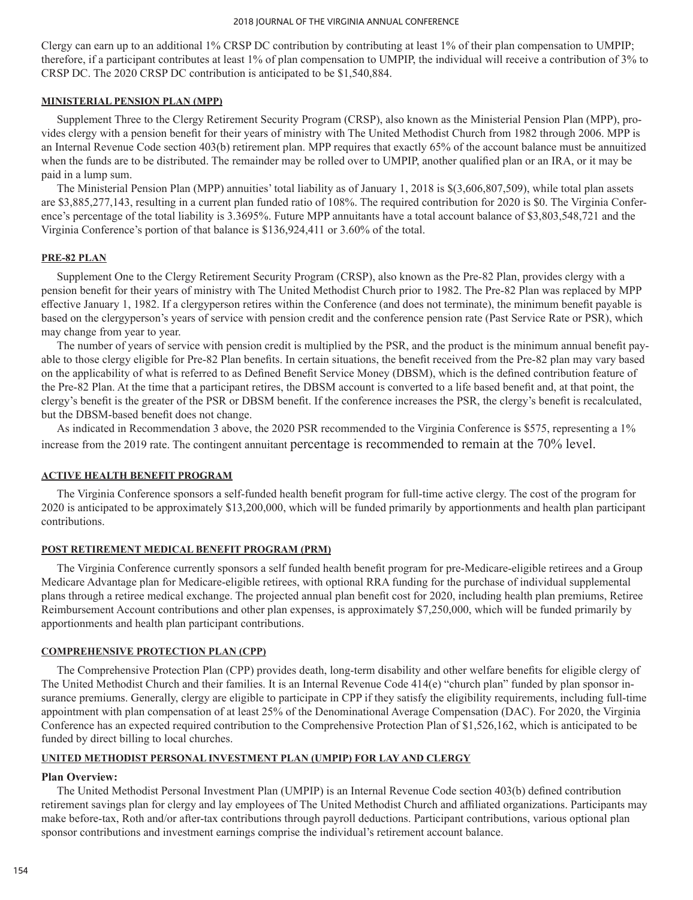Clergy can earn up to an additional 1% CRSP DC contribution by contributing at least 1% of their plan compensation to UMPIP; therefore, if a participant contributes at least 1% of plan compensation to UMPIP, the individual will receive a contribution of 3% to CRSP DC. The 2020 CRSP DC contribution is anticipated to be \$1,540,884.

## **MINISTERIAL PENSION PLAN (MPP)**

Supplement Three to the Clergy Retirement Security Program (CRSP), also known as the Ministerial Pension Plan (MPP), provides clergy with a pension benefit for their years of ministry with The United Methodist Church from 1982 through 2006. MPP is an Internal Revenue Code section 403(b) retirement plan. MPP requires that exactly 65% of the account balance must be annuitized when the funds are to be distributed. The remainder may be rolled over to UMPIP, another qualified plan or an IRA, or it may be paid in a lump sum.

The Ministerial Pension Plan (MPP) annuities' total liability as of January 1, 2018 is \$(3,606,807,509), while total plan assets are \$3,885,277,143, resulting in a current plan funded ratio of 108%. The required contribution for 2020 is \$0. The Virginia Conference's percentage of the total liability is 3.3695%. Future MPP annuitants have a total account balance of \$3,803,548,721 and the Virginia Conference's portion of that balance is \$136,924,411 or 3.60% of the total.

## **PRE-82 PLAN**

Supplement One to the Clergy Retirement Security Program (CRSP), also known as the Pre‑82 Plan, provides clergy with a pension benefit for their years of ministry with The United Methodist Church prior to 1982. The Pre‑82 Plan was replaced by MPP effective January 1, 1982. If a clergyperson retires within the Conference (and does not terminate), the minimum benefit payable is based on the clergyperson's years of service with pension credit and the conference pension rate (Past Service Rate or PSR), which may change from year to year.

The number of years of service with pension credit is multiplied by the PSR, and the product is the minimum annual benefit payable to those clergy eligible for Pre‑82 Plan benefits. In certain situations, the benefit received from the Pre‑82 plan may vary based on the applicability of what is referred to as Defined Benefit Service Money (DBSM), which is the defined contribution feature of the Pre‑82 Plan. At the time that a participant retires, the DBSM account is converted to a life based benefit and, at that point, the clergy's benefit is the greater of the PSR or DBSM benefit. If the conference increases the PSR, the clergy's benefit is recalculated, but the DBSM‑based benefit does not change.

As indicated in Recommendation 3 above, the 2020 PSR recommended to the Virginia Conference is \$575, representing a 1% increase from the 2019 rate. The contingent annuitant percentage is recommended to remain at the 70% level.

## **ACTIVE HEALTH BENEFIT PROGRAM**

The Virginia Conference sponsors a self-funded health benefit program for full-time active clergy. The cost of the program for 2020 is anticipated to be approximately \$13,200,000, which will be funded primarily by apportionments and health plan participant contributions.

## **POST RETIREMENT MEDICAL BENEFIT PROGRAM (PRM)**

The Virginia Conference currently sponsors a self funded health benefit program for pre-Medicare-eligible retirees and a Group Medicare Advantage plan for Medicare-eligible retirees, with optional RRA funding for the purchase of individual supplemental plans through a retiree medical exchange. The projected annual plan benefit cost for 2020, including health plan premiums, Retiree Reimbursement Account contributions and other plan expenses, is approximately \$7,250,000, which will be funded primarily by apportionments and health plan participant contributions.

## **COMPREHENSIVE PROTECTION PLAN (CPP)**

The Comprehensive Protection Plan (CPP) provides death, long‑term disability and other welfare benefits for eligible clergy of The United Methodist Church and their families. It is an Internal Revenue Code 414(e) "church plan" funded by plan sponsor insurance premiums. Generally, clergy are eligible to participate in CPP if they satisfy the eligibility requirements, including full-time appointment with plan compensation of at least 25% of the Denominational Average Compensation (DAC). For 2020, the Virginia Conference has an expected required contribution to the Comprehensive Protection Plan of \$1,526,162, which is anticipated to be funded by direct billing to local churches.

### **UNITED METHODIST PERSONAL INVESTMENT PLAN (UMPIP) FOR LAY AND CLERGY**

## **Plan Overview:**

The United Methodist Personal Investment Plan (UMPIP) is an Internal Revenue Code section 403(b) defined contribution retirement savings plan for clergy and lay employees of The United Methodist Church and affiliated organizations. Participants may make before-tax, Roth and/or after-tax contributions through payroll deductions. Participant contributions, various optional plan sponsor contributions and investment earnings comprise the individual's retirement account balance.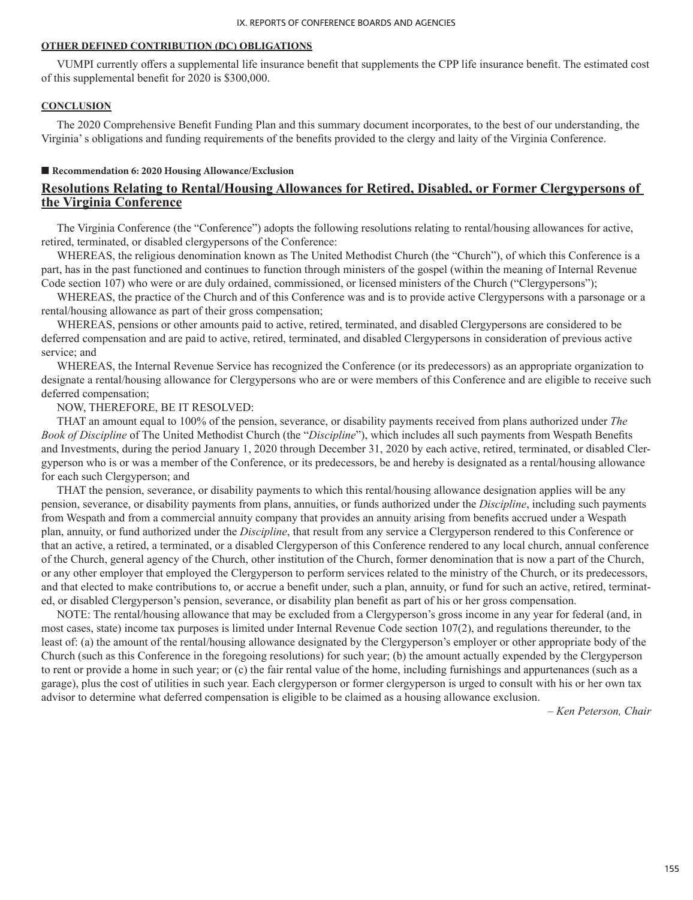## **OTHER DEFINED CONTRIBUTION (DC) OBLIGATIONS**

VUMPI currently offers a supplemental life insurance benefit that supplements the CPP life insurance benefit. The estimated cost of this supplemental benefit for 2020 is \$300,000.

## **CONCLUSION**

The 2020 Comprehensive Benefit Funding Plan and this summary document incorporates, to the best of our understanding, the Virginia' s obligations and funding requirements of the benefits provided to the clergy and laity of the Virginia Conference.

#### ■ **Recommendation 6: 2020 Housing Allowance/Exclusion**

## **Resolutions Relating to Rental/Housing Allowances for Retired, Disabled, or Former Clergypersons of the Virginia Conference**

The Virginia Conference (the "Conference") adopts the following resolutions relating to rental/housing allowances for active, retired, terminated, or disabled clergypersons of the Conference:

WHEREAS, the religious denomination known as The United Methodist Church (the "Church"), of which this Conference is a part, has in the past functioned and continues to function through ministers of the gospel (within the meaning of Internal Revenue Code section 107) who were or are duly ordained, commissioned, or licensed ministers of the Church ("Clergypersons");

WHEREAS, the practice of the Church and of this Conference was and is to provide active Clergypersons with a parsonage or a rental/housing allowance as part of their gross compensation;

WHEREAS, pensions or other amounts paid to active, retired, terminated, and disabled Clergypersons are considered to be deferred compensation and are paid to active, retired, terminated, and disabled Clergypersons in consideration of previous active service; and

WHEREAS, the Internal Revenue Service has recognized the Conference (or its predecessors) as an appropriate organization to designate a rental/housing allowance for Clergypersons who are or were members of this Conference and are eligible to receive such deferred compensation;

#### NOW, THEREFORE, BE IT RESOLVED:

THAT an amount equal to 100% of the pension, severance, or disability payments received from plans authorized under *The Book of Discipline* of The United Methodist Church (the "*Discipline*"), which includes all such payments from Wespath Benefits and Investments, during the period January 1, 2020 through December 31, 2020 by each active, retired, terminated, or disabled Clergyperson who is or was a member of the Conference, or its predecessors, be and hereby is designated as a rental/housing allowance for each such Clergyperson; and

THAT the pension, severance, or disability payments to which this rental/housing allowance designation applies will be any pension, severance, or disability payments from plans, annuities, or funds authorized under the *Discipline*, including such payments from Wespath and from a commercial annuity company that provides an annuity arising from benefits accrued under a Wespath plan, annuity, or fund authorized under the *Discipline*, that result from any service a Clergyperson rendered to this Conference or that an active, a retired, a terminated, or a disabled Clergyperson of this Conference rendered to any local church, annual conference of the Church, general agency of the Church, other institution of the Church, former denomination that is now a part of the Church, or any other employer that employed the Clergyperson to perform services related to the ministry of the Church, or its predecessors, and that elected to make contributions to, or accrue a benefit under, such a plan, annuity, or fund for such an active, retired, terminated, or disabled Clergyperson's pension, severance, or disability plan benefit as part of his or her gross compensation.

NOTE: The rental/housing allowance that may be excluded from a Clergyperson's gross income in any year for federal (and, in most cases, state) income tax purposes is limited under Internal Revenue Code section 107(2), and regulations thereunder, to the least of: (a) the amount of the rental/housing allowance designated by the Clergyperson's employer or other appropriate body of the Church (such as this Conference in the foregoing resolutions) for such year; (b) the amount actually expended by the Clergyperson to rent or provide a home in such year; or (c) the fair rental value of the home, including furnishings and appurtenances (such as a garage), plus the cost of utilities in such year. Each clergyperson or former clergyperson is urged to consult with his or her own tax advisor to determine what deferred compensation is eligible to be claimed as a housing allowance exclusion.

*– Ken Peterson, Chair*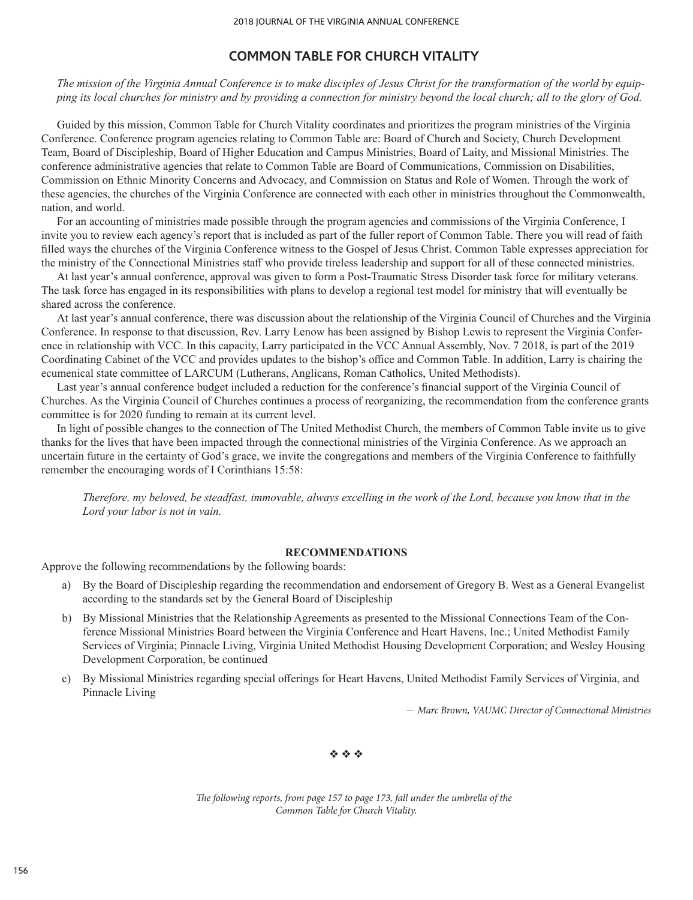# **COMMON TABLE FOR CHURCH VITALITY**

*The mission of the Virginia Annual Conference is to make disciples of Jesus Christ for the transformation of the world by equipping its local churches for ministry and by providing a connection for ministry beyond the local church; all to the glory of God.*

Guided by this mission, Common Table for Church Vitality coordinates and prioritizes the program ministries of the Virginia Conference. Conference program agencies relating to Common Table are: Board of Church and Society, Church Development Team, Board of Discipleship, Board of Higher Education and Campus Ministries, Board of Laity, and Missional Ministries. The conference administrative agencies that relate to Common Table are Board of Communications, Commission on Disabilities, Commission on Ethnic Minority Concerns and Advocacy, and Commission on Status and Role of Women. Through the work of these agencies, the churches of the Virginia Conference are connected with each other in ministries throughout the Commonwealth, nation, and world.

For an accounting of ministries made possible through the program agencies and commissions of the Virginia Conference, I invite you to review each agency's report that is included as part of the fuller report of Common Table. There you will read of faith filled ways the churches of the Virginia Conference witness to the Gospel of Jesus Christ. Common Table expresses appreciation for the ministry of the Connectional Ministries staff who provide tireless leadership and support for all of these connected ministries.

At last year's annual conference, approval was given to form a Post-Traumatic Stress Disorder task force for military veterans. The task force has engaged in its responsibilities with plans to develop a regional test model for ministry that will eventually be shared across the conference.

At last year's annual conference, there was discussion about the relationship of the Virginia Council of Churches and the Virginia Conference. In response to that discussion, Rev. Larry Lenow has been assigned by Bishop Lewis to represent the Virginia Conference in relationship with VCC. In this capacity, Larry participated in the VCC Annual Assembly, Nov. 7 2018, is part of the 2019 Coordinating Cabinet of the VCC and provides updates to the bishop's office and Common Table. In addition, Larry is chairing the ecumenical state committee of LARCUM (Lutherans, Anglicans, Roman Catholics, United Methodists).

Last year's annual conference budget included a reduction for the conference's financial support of the Virginia Council of Churches. As the Virginia Council of Churches continues a process of reorganizing, the recommendation from the conference grants committee is for 2020 funding to remain at its current level.

In light of possible changes to the connection of The United Methodist Church, the members of Common Table invite us to give thanks for the lives that have been impacted through the connectional ministries of the Virginia Conference. As we approach an uncertain future in the certainty of God's grace, we invite the congregations and members of the Virginia Conference to faithfully remember the encouraging words of I Corinthians 15:58:

*Therefore, my beloved, be steadfast, immovable, always excelling in the work of the Lord, because you know that in the Lord your labor is not in vain.*

## **RECOMMENDATIONS**

Approve the following recommendations by the following boards:

- a) By the Board of Discipleship regarding the recommendation and endorsement of Gregory B. West as a General Evangelist according to the standards set by the General Board of Discipleship
- b) By Missional Ministries that the Relationship Agreements as presented to the Missional Connections Team of the Conference Missional Ministries Board between the Virginia Conference and Heart Havens, Inc.; United Methodist Family Services of Virginia; Pinnacle Living, Virginia United Methodist Housing Development Corporation; and Wesley Housing Development Corporation, be continued
- c) By Missional Ministries regarding special offerings for Heart Havens, United Methodist Family Services of Virginia, and Pinnacle Living

– *Marc Brown, VAUMC Director of Connectional Ministries*

 $\phi_2$   $\phi_3$ 

*The following reports, from page 157 to page 173, fall under the umbrella of the Common Table for Church Vitality.*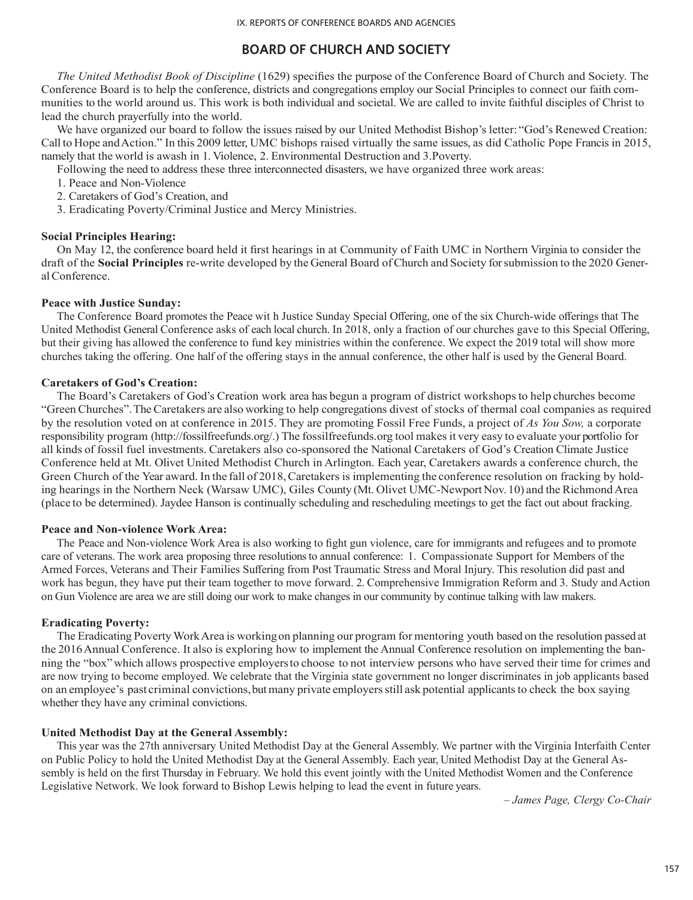# **BOARD OF CHURCH AND SOCIETY**

*The United Methodist Book of Discipline* (1629) specifies the purpose of the Conference Board of Church and Society. The Conference Board is to help the conference, districts and congregations employ our Social Principles to connect our faith communities to the world around us. This work is both individual and societal. We are called to invite faithful disciples of Christ to lead the church prayerfully into the world.

We have organized our board to follow the issues raised by our United Methodist Bishop's letter: "God's Renewed Creation: Call to Hope and Action." In this 2009 letter, UMC bishops raised virtually the same issues, as did Catholic Pope Francis in 2015, namely that the world is awash in 1. Violence, 2. Environmental Destruction and 3.Poverty.

Following the need to address these three interconnected disasters, we have organized three work areas:

- 1. Peace and Non-Violence
- 2. Caretakers of God's Creation, and
- 3. Eradicating Poverty/Criminal Justice and Mercy Ministries.

## **Social Principles Hearing:**

On May 12, the conference board held it first hearings in at Community of Faith UMC in Northern Virginia to consider the draft of the **Social Principles** re-write developed by the General Board of Church and Society for submission to the 2020 General Conference.

### **Peace with Justice Sunday:**

The Conference Board promotes the Peace wit h Justice Sunday Special Offering, one of the six Church-wide offerings that The United Methodist General Conference asks of each local church. In 2018, only a fraction of our churches gave to this Special Offering, but their giving has allowed the conference to fund key ministries within the conference. We expect the 2019 total will show more churches taking the offering. One half of the offering stays in the annual conference, the other half is used by the General Board.

### **Caretakers of God's Creation:**

The Board's Caretakers of God's Creation work area has begun a program of district workshops to help churches become "Green Churches". The Caretakers are also working to help congregations divest of stocks of thermal coal companies as required by the resolution voted on at conference in 2015. They are promoting Fossil Free Funds, a project of *As You Sow,* a corporate responsibility program (http://fossilfreefunds.org/.) The fossilfreefunds.org tool makes it very easy to evaluate your portfolio for all kinds of fossil fuel investments. Caretakers also co-sponsored the National Caretakers of God's Creation Climate Justice Conference held at Mt. Olivet United Methodist Church in Arlington. Each year, Caretakers awards a conference church, the Green Church of the Year award. In the fall of 2018, Caretakers is implementing the conference resolution on fracking by holding hearings in the Northern Neck (Warsaw UMC), Giles County (Mt. Olivet UMC-Newport Nov. 10) and the Richmond Area (place to be determined). Jaydee Hanson is continually scheduling and rescheduling meetings to get the fact out about fracking.

#### **Peace and Non-violence Work Area:**

The Peace and Non-violence Work Area is also working to fight gun violence, care for immigrants and refugees and to promote care of veterans. The work area proposing three resolutions to annual conference: 1. Compassionate Support for Members of the Armed Forces, Veterans and Their Families Suffering from Post Traumatic Stress and Moral Injury. This resolution did past and work has begun, they have put their team together to move forward. 2. Comprehensive Immigration Reform and 3. Study and Action on Gun Violence are area we are still doing our work to make changes in our community by continue talking with law makers.

#### **Eradicating Poverty:**

The Eradicating Poverty Work Area is working on planning our program for mentoring youth based on the resolution passed at the 2016 Annual Conference. It also is exploring how to implement the Annual Conference resolution on implementing the banning the "box" which allows prospective employers to choose to not interview persons who have served their time for crimes and are now trying to become employed. We celebrate that the Virginia state government no longer discriminates in job applicants based on an employee's past criminal convictions, but many private employers still ask potential applicants to check the box saying whether they have any criminal convictions.

### **United Methodist Day at the General Assembly:**

This year was the 27th anniversary United Methodist Day at the General Assembly. We partner with the Virginia Interfaith Center on Public Policy to hold the United Methodist Day at the General Assembly. Each year, United Methodist Day at the General Assembly is held on the first Thursday in February. We hold this event jointly with the United Methodist Women and the Conference Legislative Network. We look forward to Bishop Lewis helping to lead the event in future years.

*– James Page, Clergy Co-Chair*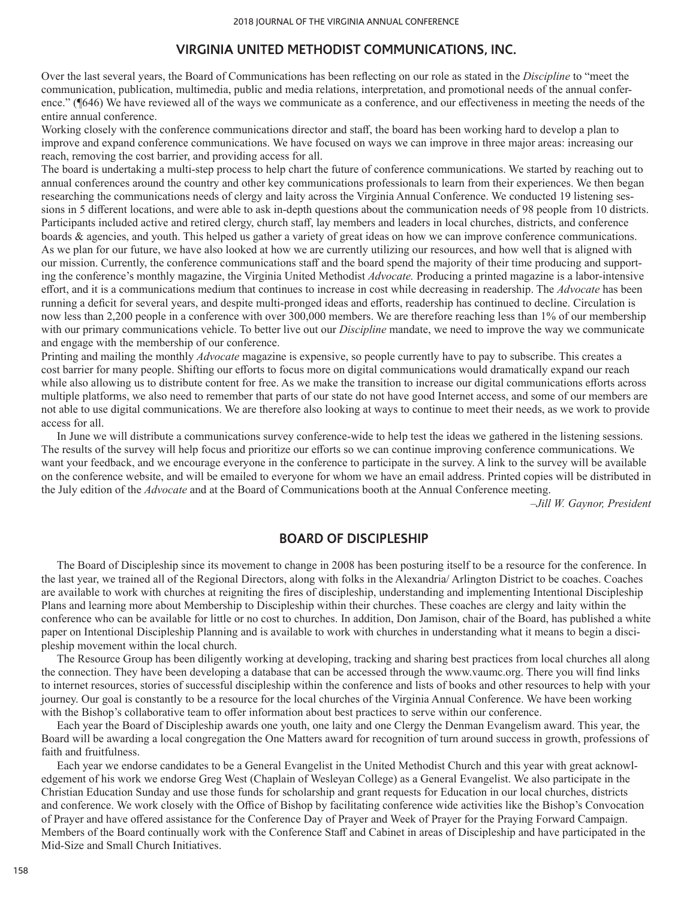## **VIRGINIA UNITED METHODIST COMMUNICATIONS, INC.**

Over the last several years, the Board of Communications has been reflecting on our role as stated in the *Discipline* to "meet the communication, publication, multimedia, public and media relations, interpretation, and promotional needs of the annual conference." (¶646) We have reviewed all of the ways we communicate as a conference, and our effectiveness in meeting the needs of the entire annual conference.

Working closely with the conference communications director and staff, the board has been working hard to develop a plan to improve and expand conference communications. We have focused on ways we can improve in three major areas: increasing our reach, removing the cost barrier, and providing access for all.

The board is undertaking a multi-step process to help chart the future of conference communications. We started by reaching out to annual conferences around the country and other key communications professionals to learn from their experiences. We then began researching the communications needs of clergy and laity across the Virginia Annual Conference. We conducted 19 listening sessions in 5 different locations, and were able to ask in-depth questions about the communication needs of 98 people from 10 districts. Participants included active and retired clergy, church staff, lay members and leaders in local churches, districts, and conference boards & agencies, and youth. This helped us gather a variety of great ideas on how we can improve conference communications. As we plan for our future, we have also looked at how we are currently utilizing our resources, and how well that is aligned with our mission. Currently, the conference communications staff and the board spend the majority of their time producing and supporting the conference's monthly magazine, the Virginia United Methodist *Advocate.* Producing a printed magazine is a labor-intensive effort, and it is a communications medium that continues to increase in cost while decreasing in readership. The *Advocate* has been running a deficit for several years, and despite multi-pronged ideas and efforts, readership has continued to decline. Circulation is now less than 2,200 people in a conference with over 300,000 members. We are therefore reaching less than 1% of our membership with our primary communications vehicle. To better live out our *Discipline* mandate, we need to improve the way we communicate and engage with the membership of our conference.

Printing and mailing the monthly *Advocate* magazine is expensive, so people currently have to pay to subscribe. This creates a cost barrier for many people. Shifting our efforts to focus more on digital communications would dramatically expand our reach while also allowing us to distribute content for free. As we make the transition to increase our digital communications efforts across multiple platforms, we also need to remember that parts of our state do not have good Internet access, and some of our members are not able to use digital communications. We are therefore also looking at ways to continue to meet their needs, as we work to provide access for all.

In June we will distribute a communications survey conference-wide to help test the ideas we gathered in the listening sessions. The results of the survey will help focus and prioritize our efforts so we can continue improving conference communications. We want your feedback, and we encourage everyone in the conference to participate in the survey. A link to the survey will be available on the conference website, and will be emailed to everyone for whom we have an email address. Printed copies will be distributed in the July edition of the *Advocate* and at the Board of Communications booth at the Annual Conference meeting.

–*Jill W. Gaynor, President*

## **BOARD OF DISCIPLESHIP**

The Board of Discipleship since its movement to change in 2008 has been posturing itself to be a resource for the conference. In the last year, we trained all of the Regional Directors, along with folks in the Alexandria/ Arlington District to be coaches. Coaches are available to work with churches at reigniting the fires of discipleship, understanding and implementing Intentional Discipleship Plans and learning more about Membership to Discipleship within their churches. These coaches are clergy and laity within the conference who can be available for little or no cost to churches. In addition, Don Jamison, chair of the Board, has published a white paper on Intentional Discipleship Planning and is available to work with churches in understanding what it means to begin a discipleship movement within the local church.

The Resource Group has been diligently working at developing, tracking and sharing best practices from local churches all along the connection. They have been developing a database that can be accessed through the www.vaumc.org. There you will find links to internet resources, stories of successful discipleship within the conference and lists of books and other resources to help with your journey. Our goal is constantly to be a resource for the local churches of the Virginia Annual Conference. We have been working with the Bishop's collaborative team to offer information about best practices to serve within our conference.

Each year the Board of Discipleship awards one youth, one laity and one Clergy the Denman Evangelism award. This year, the Board will be awarding a local congregation the One Matters award for recognition of turn around success in growth, professions of faith and fruitfulness.

Each year we endorse candidates to be a General Evangelist in the United Methodist Church and this year with great acknowledgement of his work we endorse Greg West (Chaplain of Wesleyan College) as a General Evangelist. We also participate in the Christian Education Sunday and use those funds for scholarship and grant requests for Education in our local churches, districts and conference. We work closely with the Office of Bishop by facilitating conference wide activities like the Bishop's Convocation of Prayer and have offered assistance for the Conference Day of Prayer and Week of Prayer for the Praying Forward Campaign. Members of the Board continually work with the Conference Staff and Cabinet in areas of Discipleship and have participated in the Mid-Size and Small Church Initiatives.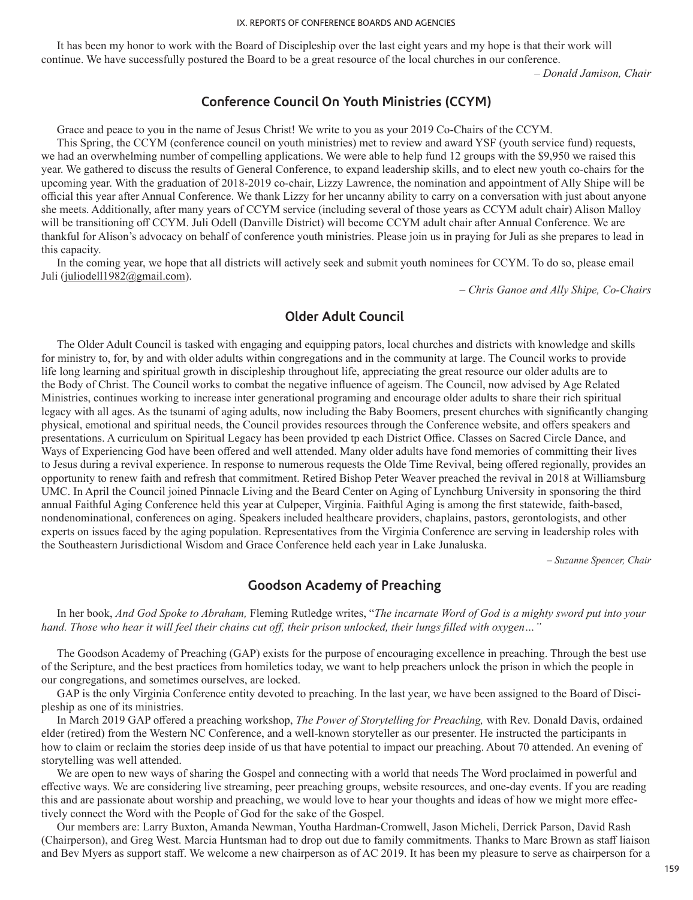It has been my honor to work with the Board of Discipleship over the last eight years and my hope is that their work will continue. We have successfully postured the Board to be a great resource of the local churches in our conference.

*– Donald Jamison, Chair* 

# **Conference Council On Youth Ministries (CCYM)**

Grace and peace to you in the name of Jesus Christ! We write to you as your 2019 Co-Chairs of the CCYM.

This Spring, the CCYM (conference council on youth ministries) met to review and award YSF (youth service fund) requests, we had an overwhelming number of compelling applications. We were able to help fund 12 groups with the \$9,950 we raised this year. We gathered to discuss the results of General Conference, to expand leadership skills, and to elect new youth co-chairs for the upcoming year. With the graduation of 2018-2019 co-chair, Lizzy Lawrence, the nomination and appointment of Ally Shipe will be official this year after Annual Conference. We thank Lizzy for her uncanny ability to carry on a conversation with just about anyone she meets. Additionally, after many years of CCYM service (including several of those years as CCYM adult chair) Alison Malloy will be transitioning off CCYM. Juli Odell (Danville District) will become CCYM adult chair after Annual Conference. We are thankful for Alison's advocacy on behalf of conference youth ministries. Please join us in praying for Juli as she prepares to lead in this capacity.

In the coming year, we hope that all districts will actively seek and submit youth nominees for CCYM. To do so, please email Juli (juliodell1982@gmail.com).

*– Chris Ganoe and Ally Shipe, Co-Chairs*

# **Older Adult Council**

The Older Adult Council is tasked with engaging and equipping pators, local churches and districts with knowledge and skills for ministry to, for, by and with older adults within congregations and in the community at large. The Council works to provide life long learning and spiritual growth in discipleship throughout life, appreciating the great resource our older adults are to the Body of Christ. The Council works to combat the negative influence of ageism. The Council, now advised by Age Related Ministries, continues working to increase inter generational programing and encourage older adults to share their rich spiritual legacy with all ages. As the tsunami of aging adults, now including the Baby Boomers, present churches with significantly changing physical, emotional and spiritual needs, the Council provides resources through the Conference website, and offers speakers and presentations. A curriculum on Spiritual Legacy has been provided tp each District Office. Classes on Sacred Circle Dance, and Ways of Experiencing God have been offered and well attended. Many older adults have fond memories of committing their lives to Jesus during a revival experience. In response to numerous requests the Olde Time Revival, being offered regionally, provides an opportunity to renew faith and refresh that commitment. Retired Bishop Peter Weaver preached the revival in 2018 at Williamsburg UMC. In April the Council joined Pinnacle Living and the Beard Center on Aging of Lynchburg University in sponsoring the third annual Faithful Aging Conference held this year at Culpeper, Virginia. Faithful Aging is among the first statewide, faith-based, nondenominational, conferences on aging. Speakers included healthcare providers, chaplains, pastors, gerontologists, and other experts on issues faced by the aging population. Representatives from the Virginia Conference are serving in leadership roles with the Southeastern Jurisdictional Wisdom and Grace Conference held each year in Lake Junaluska.

*– Suzanne Spencer, Chair*

# **Goodson Academy of Preaching**

In her book, *And God Spoke to Abraham,* Fleming Rutledge writes, "*The incarnate Word of God is a mighty sword put into your hand. Those who hear it will feel their chains cut off, their prison unlocked, their lungs filled with oxygen…"*

The Goodson Academy of Preaching (GAP) exists for the purpose of encouraging excellence in preaching. Through the best use of the Scripture, and the best practices from homiletics today, we want to help preachers unlock the prison in which the people in our congregations, and sometimes ourselves, are locked.

GAP is the only Virginia Conference entity devoted to preaching. In the last year, we have been assigned to the Board of Discipleship as one of its ministries.

In March 2019 GAP offered a preaching workshop, *The Power of Storytelling for Preaching,* with Rev. Donald Davis, ordained elder (retired) from the Western NC Conference, and a well-known storyteller as our presenter. He instructed the participants in how to claim or reclaim the stories deep inside of us that have potential to impact our preaching. About 70 attended. An evening of storytelling was well attended.

We are open to new ways of sharing the Gospel and connecting with a world that needs The Word proclaimed in powerful and effective ways. We are considering live streaming, peer preaching groups, website resources, and one-day events. If you are reading this and are passionate about worship and preaching, we would love to hear your thoughts and ideas of how we might more effectively connect the Word with the People of God for the sake of the Gospel.

Our members are: Larry Buxton, Amanda Newman, Youtha Hardman-Cromwell, Jason Micheli, Derrick Parson, David Rash (Chairperson), and Greg West. Marcia Huntsman had to drop out due to family commitments. Thanks to Marc Brown as staff liaison and Bev Myers as support staff. We welcome a new chairperson as of AC 2019. It has been my pleasure to serve as chairperson for a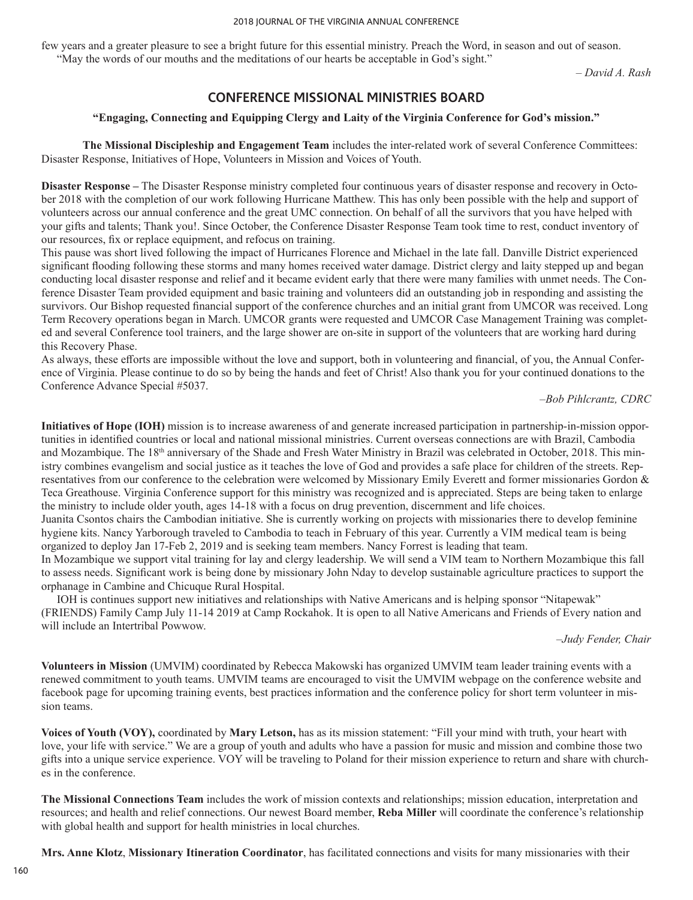#### 2018 JOURNAL OF THE VIRGINIA ANNUAL CONFERENCE

few years and a greater pleasure to see a bright future for this essential ministry. Preach the Word, in season and out of season. "May the words of our mouths and the meditations of our hearts be acceptable in God's sight."

*– David A. Rash*

# **CONFERENCE MISSIONAL MINISTRIES BOARD**

## **"Engaging, Connecting and Equipping Clergy and Laity of the Virginia Conference for God's mission."**

**The Missional Discipleship and Engagement Team** includes the inter-related work of several Conference Committees: Disaster Response, Initiatives of Hope, Volunteers in Mission and Voices of Youth.

**Disaster Response –** The Disaster Response ministry completed four continuous years of disaster response and recovery in October 2018 with the completion of our work following Hurricane Matthew. This has only been possible with the help and support of volunteers across our annual conference and the great UMC connection. On behalf of all the survivors that you have helped with your gifts and talents; Thank you!. Since October, the Conference Disaster Response Team took time to rest, conduct inventory of our resources, fix or replace equipment, and refocus on training.

This pause was short lived following the impact of Hurricanes Florence and Michael in the late fall. Danville District experienced significant flooding following these storms and many homes received water damage. District clergy and laity stepped up and began conducting local disaster response and relief and it became evident early that there were many families with unmet needs. The Conference Disaster Team provided equipment and basic training and volunteers did an outstanding job in responding and assisting the survivors. Our Bishop requested financial support of the conference churches and an initial grant from UMCOR was received. Long Term Recovery operations began in March. UMCOR grants were requested and UMCOR Case Management Training was completed and several Conference tool trainers, and the large shower are on-site in support of the volunteers that are working hard during this Recovery Phase.

As always, these efforts are impossible without the love and support, both in volunteering and financial, of you, the Annual Conference of Virginia. Please continue to do so by being the hands and feet of Christ! Also thank you for your continued donations to the Conference Advance Special #5037.

–*Bob Pihlcrantz, CDRC*

**Initiatives of Hope (IOH)** mission is to increase awareness of and generate increased participation in partnership-in-mission opportunities in identified countries or local and national missional ministries. Current overseas connections are with Brazil, Cambodia and Mozambique. The 18<sup>th</sup> anniversary of the Shade and Fresh Water Ministry in Brazil was celebrated in October, 2018. This ministry combines evangelism and social justice as it teaches the love of God and provides a safe place for children of the streets. Representatives from our conference to the celebration were welcomed by Missionary Emily Everett and former missionaries Gordon & Teca Greathouse. Virginia Conference support for this ministry was recognized and is appreciated. Steps are being taken to enlarge the ministry to include older youth, ages 14-18 with a focus on drug prevention, discernment and life choices.

Juanita Csontos chairs the Cambodian initiative. She is currently working on projects with missionaries there to develop feminine hygiene kits. Nancy Yarborough traveled to Cambodia to teach in February of this year. Currently a VIM medical team is being organized to deploy Jan 17-Feb 2, 2019 and is seeking team members. Nancy Forrest is leading that team.

In Mozambique we support vital training for lay and clergy leadership. We will send a VIM team to Northern Mozambique this fall to assess needs. Significant work is being done by missionary John Nday to develop sustainable agriculture practices to support the orphanage in Cambine and Chicuque Rural Hospital.

IOH is continues support new initiatives and relationships with Native Americans and is helping sponsor "Nitapewak" (FRIENDS) Family Camp July 11-14 2019 at Camp Rockahok. It is open to all Native Americans and Friends of Every nation and will include an Intertribal Powwow.

–*Judy Fender, Chair*

**Volunteers in Mission** (UMVIM) coordinated by Rebecca Makowski has organized UMVIM team leader training events with a renewed commitment to youth teams. UMVIM teams are encouraged to visit the UMVIM webpage on the conference website and facebook page for upcoming training events, best practices information and the conference policy for short term volunteer in mission teams.

**Voices of Youth (VOY),** coordinated by **Mary Letson,** has as its mission statement: "Fill your mind with truth, your heart with love, your life with service." We are a group of youth and adults who have a passion for music and mission and combine those two gifts into a unique service experience. VOY will be traveling to Poland for their mission experience to return and share with churches in the conference.

**The Missional Connections Team** includes the work of mission contexts and relationships; mission education, interpretation and resources; and health and relief connections. Our newest Board member, **Reba Miller** will coordinate the conference's relationship with global health and support for health ministries in local churches.

**Mrs. Anne Klotz**, **Missionary Itineration Coordinator**, has facilitated connections and visits for many missionaries with their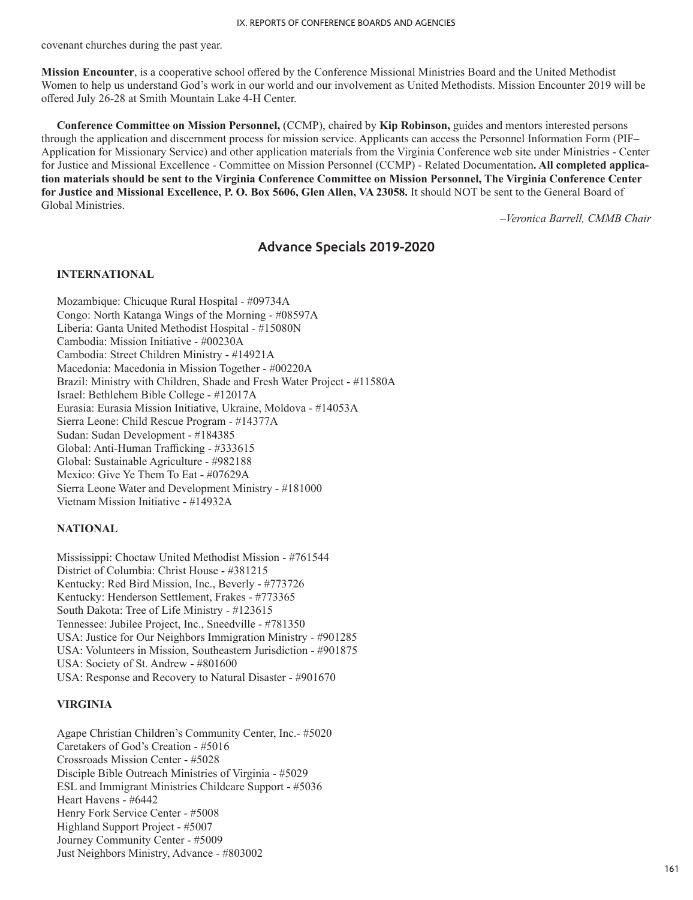covenant churches during the past year.

**Mission Encounter**, is a cooperative school offered by the Conference Missional Ministries Board and the United Methodist Women to help us understand God's work in our world and our involvement as United Methodists. Mission Encounter 2019 will be offered July 26-28 at Smith Mountain Lake 4-H Center.

**Conference Committee on Mission Personnel,** (CCMP), chaired by **Kip Robinson,** guides and mentors interested persons through the application and discernment process for mission service. Applicants can access the Personnel Information Form (PIF– Application for Missionary Service) and other application materials from the Virginia Conference web site under Ministries - Center for Justice and Missional Excellence - Committee on Mission Personnel (CCMP) - Related Documentation**. All completed application materials should be sent to the Virginia Conference Committee on Mission Personnel, The Virginia Conference Center for Justice and Missional Excellence, P. O. Box 5606, Glen Allen, VA 23058.** It should NOT be sent to the General Board of Global Ministries.

–*Veronica Barrell, CMMB Chair*

# **Advance Specials 2019-2020**

### **INTERNATIONAL**

Mozambique: Chicuque Rural Hospital - #09734A Congo: North Katanga Wings of the Morning - #08597A Liberia: Ganta United Methodist Hospital - #15080N Cambodia: Mission Initiative - #00230A Cambodia: Street Children Ministry - #14921A Macedonia: Macedonia in Mission Together - #00220A Brazil: Ministry with Children, Shade and Fresh Water Project - #11580A Israel: Bethlehem Bible College - #12017A Eurasia: Eurasia Mission Initiative, Ukraine, Moldova - #14053A Sierra Leone: Child Rescue Program - #14377A Sudan: Sudan Development - #184385 Global: Anti-Human Trafficking - #333615 Global: Sustainable Agriculture - #982188 Mexico: Give Ye Them To Eat - #07629A Sierra Leone Water and Development Ministry - #181000 Vietnam Mission Initiative - #14932A

## **NATIONAL**

Mississippi: Choctaw United Methodist Mission - #761544 District of Columbia: Christ House - #381215 Kentucky: Red Bird Mission, Inc., Beverly - #773726 Kentucky: Henderson Settlement, Frakes - #773365 South Dakota: Tree of Life Ministry - #123615 Tennessee: Jubilee Project, Inc., Sneedville - #781350 USA: Justice for Our Neighbors Immigration Ministry - #901285 USA: Volunteers in Mission, Southeastern Jurisdiction - #901875 USA: Society of St. Andrew - #801600 USA: Response and Recovery to Natural Disaster - #901670

## **VIRGINIA**

Agape Christian Children's Community Center, Inc.- #5020 Caretakers of God's Creation - #5016 Crossroads Mission Center - #5028 Disciple Bible Outreach Ministries of Virginia - #5029 ESL and Immigrant Ministries Childcare Support - #5036 Heart Havens - #6442 Henry Fork Service Center - #5008 Highland Support Project - #5007 Journey Community Center - #5009 Just Neighbors Ministry, Advance - #803002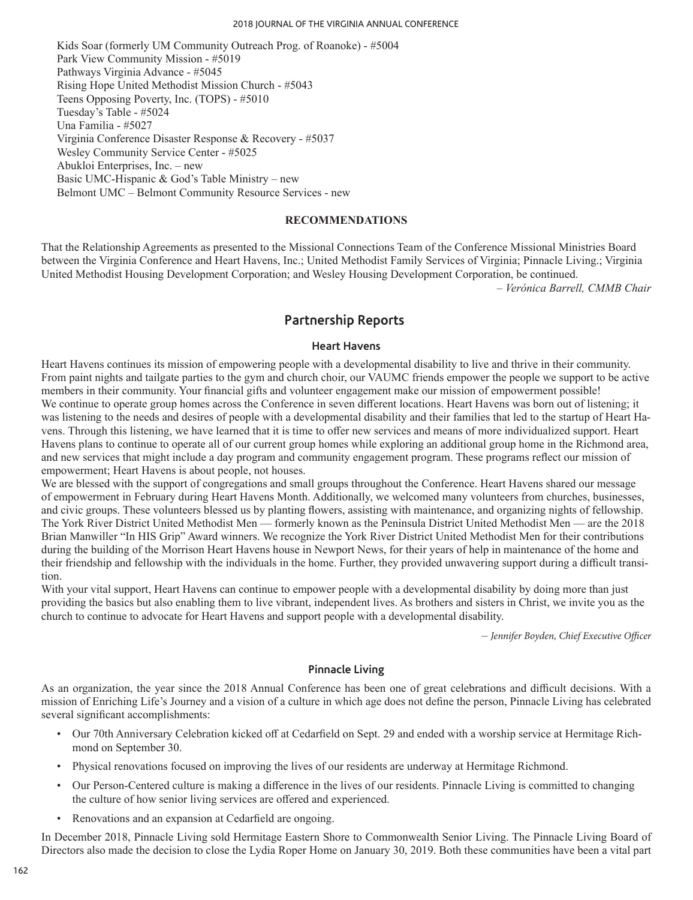Kids Soar (formerly UM Community Outreach Prog. of Roanoke) - #5004 Park View Community Mission - #5019 Pathways Virginia Advance - #5045 Rising Hope United Methodist Mission Church - #5043 Teens Opposing Poverty, Inc. (TOPS) - #5010 Tuesday's Table - #5024 Una Familia - #5027 Virginia Conference Disaster Response & Recovery - #5037 Wesley Community Service Center - #5025 Abukloi Enterprises, Inc. – new Basic UMC-Hispanic & God's Table Ministry – new Belmont UMC – Belmont Community Resource Services - new

## **RECOMMENDATIONS**

That the Relationship Agreements as presented to the Missional Connections Team of the Conference Missional Ministries Board between the Virginia Conference and Heart Havens, Inc.; United Methodist Family Services of Virginia; Pinnacle Living.; Virginia United Methodist Housing Development Corporation; and Wesley Housing Development Corporation, be continued.

*– Verónica Barrell, CMMB Chair*

# **Partnership Reports**

## **Heart Havens**

Heart Havens continues its mission of empowering people with a developmental disability to live and thrive in their community. From paint nights and tailgate parties to the gym and church choir, our VAUMC friends empower the people we support to be active members in their community. Your financial gifts and volunteer engagement make our mission of empowerment possible! We continue to operate group homes across the Conference in seven different locations. Heart Havens was born out of listening; it was listening to the needs and desires of people with a developmental disability and their families that led to the startup of Heart Havens. Through this listening, we have learned that it is time to offer new services and means of more individualized support. Heart Havens plans to continue to operate all of our current group homes while exploring an additional group home in the Richmond area, and new services that might include a day program and community engagement program. These programs reflect our mission of empowerment; Heart Havens is about people, not houses.

We are blessed with the support of congregations and small groups throughout the Conference. Heart Havens shared our message of empowerment in February during Heart Havens Month. Additionally, we welcomed many volunteers from churches, businesses, and civic groups. These volunteers blessed us by planting flowers, assisting with maintenance, and organizing nights of fellowship. The York River District United Methodist Men — formerly known as the Peninsula District United Methodist Men — are the 2018 Brian Manwiller "In HIS Grip" Award winners. We recognize the York River District United Methodist Men for their contributions during the building of the Morrison Heart Havens house in Newport News, for their years of help in maintenance of the home and their friendship and fellowship with the individuals in the home. Further, they provided unwavering support during a difficult transition.

With your vital support, Heart Havens can continue to empower people with a developmental disability by doing more than just providing the basics but also enabling them to live vibrant, independent lives. As brothers and sisters in Christ, we invite you as the church to continue to advocate for Heart Havens and support people with a developmental disability.

*– Jennifer Boyden, Chief Executive Officer*

## **Pinnacle Living**

As an organization, the year since the 2018 Annual Conference has been one of great celebrations and difficult decisions. With a mission of Enriching Life's Journey and a vision of a culture in which age does not define the person, Pinnacle Living has celebrated several significant accomplishments:

- Our 70th Anniversary Celebration kicked off at Cedarfield on Sept. 29 and ended with a worship service at Hermitage Richmond on September 30.
- Physical renovations focused on improving the lives of our residents are underway at Hermitage Richmond.
- Our Person-Centered culture is making a difference in the lives of our residents. Pinnacle Living is committed to changing the culture of how senior living services are offered and experienced.
- Renovations and an expansion at Cedarfield are ongoing.

In December 2018, Pinnacle Living sold Hermitage Eastern Shore to Commonwealth Senior Living. The Pinnacle Living Board of Directors also made the decision to close the Lydia Roper Home on January 30, 2019. Both these communities have been a vital part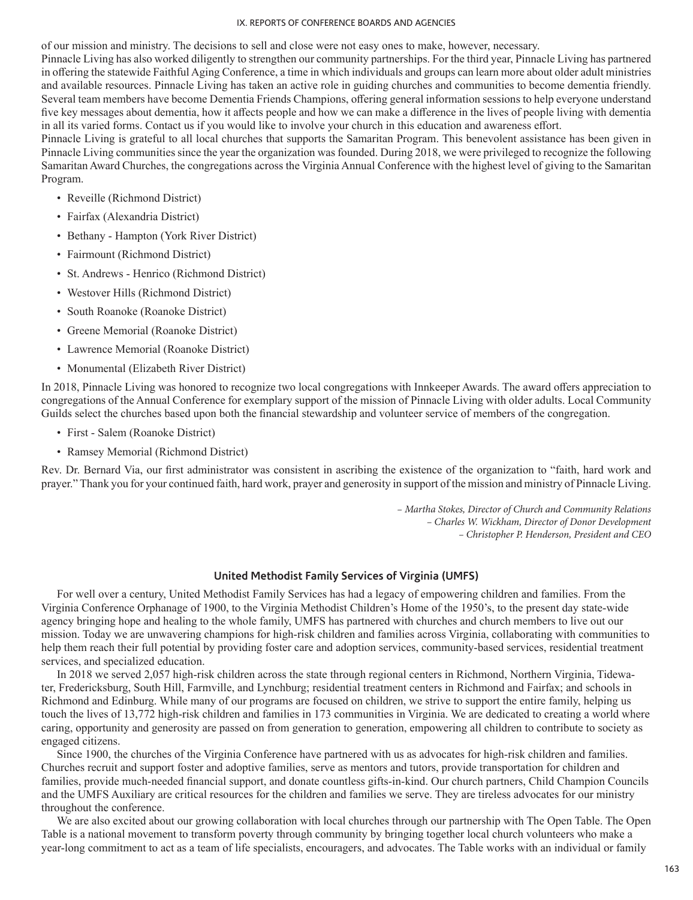of our mission and ministry. The decisions to sell and close were not easy ones to make, however, necessary.

Pinnacle Living has also worked diligently to strengthen our community partnerships. For the third year, Pinnacle Living has partnered in offering the statewide Faithful Aging Conference, a time in which individuals and groups can learn more about older adult ministries and available resources. Pinnacle Living has taken an active role in guiding churches and communities to become dementia friendly. Several team members have become Dementia Friends Champions, offering general information sessions to help everyone understand five key messages about dementia, how it affects people and how we can make a difference in the lives of people living with dementia in all its varied forms. Contact us if you would like to involve your church in this education and awareness effort.

Pinnacle Living is grateful to all local churches that supports the Samaritan Program. This benevolent assistance has been given in Pinnacle Living communities since the year the organization was founded. During 2018, we were privileged to recognize the following Samaritan Award Churches, the congregations across the Virginia Annual Conference with the highest level of giving to the Samaritan Program.

- Reveille (Richmond District)
- Fairfax (Alexandria District)
- Bethany Hampton (York River District)
- Fairmount (Richmond District)
- St. Andrews Henrico (Richmond District)
- Westover Hills (Richmond District)
- South Roanoke (Roanoke District)
- Greene Memorial (Roanoke District)
- Lawrence Memorial (Roanoke District)
- Monumental (Elizabeth River District)

In 2018, Pinnacle Living was honored to recognize two local congregations with Innkeeper Awards. The award offers appreciation to congregations of the Annual Conference for exemplary support of the mission of Pinnacle Living with older adults. Local Community Guilds select the churches based upon both the financial stewardship and volunteer service of members of the congregation.

- First Salem (Roanoke District)
- Ramsey Memorial (Richmond District)

Rev. Dr. Bernard Via, our first administrator was consistent in ascribing the existence of the organization to "faith, hard work and prayer." Thank you for your continued faith, hard work, prayer and generosity in support of the mission and ministry of Pinnacle Living.

> *– Martha Stokes, Director of Church and Community Relations – Charles W. Wickham, Director of Donor Development – Christopher P. Henderson, President and CEO*

## **United Methodist Family Services of Virginia (UMFS)**

For well over a century, United Methodist Family Services has had a legacy of empowering children and families. From the Virginia Conference Orphanage of 1900, to the Virginia Methodist Children's Home of the 1950's, to the present day state-wide agency bringing hope and healing to the whole family, UMFS has partnered with churches and church members to live out our mission. Today we are unwavering champions for high-risk children and families across Virginia, collaborating with communities to help them reach their full potential by providing foster care and adoption services, community-based services, residential treatment services, and specialized education.

In 2018 we served 2,057 high-risk children across the state through regional centers in Richmond, Northern Virginia, Tidewater, Fredericksburg, South Hill, Farmville, and Lynchburg; residential treatment centers in Richmond and Fairfax; and schools in Richmond and Edinburg. While many of our programs are focused on children, we strive to support the entire family, helping us touch the lives of 13,772 high-risk children and families in 173 communities in Virginia. We are dedicated to creating a world where caring, opportunity and generosity are passed on from generation to generation, empowering all children to contribute to society as engaged citizens.

Since 1900, the churches of the Virginia Conference have partnered with us as advocates for high-risk children and families. Churches recruit and support foster and adoptive families, serve as mentors and tutors, provide transportation for children and families, provide much-needed financial support, and donate countless gifts-in-kind. Our church partners, Child Champion Councils and the UMFS Auxiliary are critical resources for the children and families we serve. They are tireless advocates for our ministry throughout the conference.

We are also excited about our growing collaboration with local churches through our partnership with The Open Table. The Open Table is a national movement to transform poverty through community by bringing together local church volunteers who make a year-long commitment to act as a team of life specialists, encouragers, and advocates. The Table works with an individual or family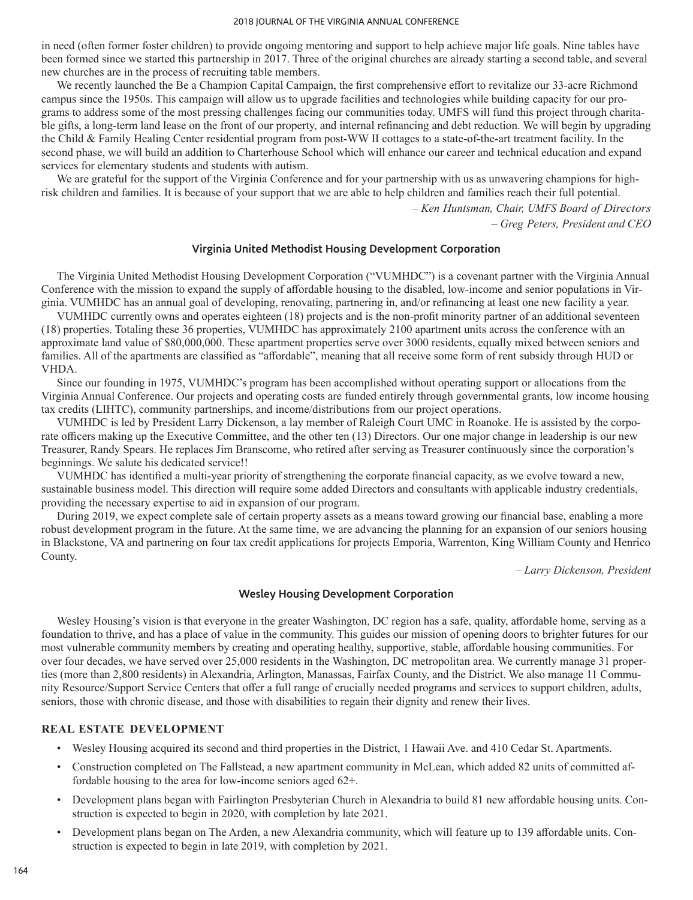in need (often former foster children) to provide ongoing mentoring and support to help achieve major life goals. Nine tables have been formed since we started this partnership in 2017. Three of the original churches are already starting a second table, and several new churches are in the process of recruiting table members.

We recently launched the Be a Champion Capital Campaign, the first comprehensive effort to revitalize our 33-acre Richmond campus since the 1950s. This campaign will allow us to upgrade facilities and technologies while building capacity for our programs to address some of the most pressing challenges facing our communities today. UMFS will fund this project through charitable gifts, a long-term land lease on the front of our property, and internal refinancing and debt reduction. We will begin by upgrading the Child & Family Healing Center residential program from post-WW II cottages to a state-of-the-art treatment facility. In the second phase, we will build an addition to Charterhouse School which will enhance our career and technical education and expand services for elementary students and students with autism.

We are grateful for the support of the Virginia Conference and for your partnership with us as unwavering champions for highrisk children and families. It is because of your support that we are able to help children and families reach their full potential.

> *– Ken Huntsman, Chair, UMFS Board of Directors – Greg Peters, President and CEO*

## **Virginia United Methodist Housing Development Corporation**

The Virginia United Methodist Housing Development Corporation ("VUMHDC") is a covenant partner with the Virginia Annual Conference with the mission to expand the supply of affordable housing to the disabled, low-income and senior populations in Virginia. VUMHDC has an annual goal of developing, renovating, partnering in, and/or refinancing at least one new facility a year.

VUMHDC currently owns and operates eighteen (18) projects and is the non-profit minority partner of an additional seventeen (18) properties. Totaling these 36 properties, VUMHDC has approximately 2100 apartment units across the conference with an approximate land value of \$80,000,000. These apartment properties serve over 3000 residents, equally mixed between seniors and families. All of the apartments are classified as "affordable", meaning that all receive some form of rent subsidy through HUD or VHDA.

Since our founding in 1975, VUMHDC's program has been accomplished without operating support or allocations from the Virginia Annual Conference. Our projects and operating costs are funded entirely through governmental grants, low income housing tax credits (LIHTC), community partnerships, and income/distributions from our project operations.

VUMHDC is led by President Larry Dickenson, a lay member of Raleigh Court UMC in Roanoke. He is assisted by the corporate officers making up the Executive Committee, and the other ten (13) Directors. Our one major change in leadership is our new Treasurer, Randy Spears. He replaces Jim Branscome, who retired after serving as Treasurer continuously since the corporation's beginnings. We salute his dedicated service!!

VUMHDC has identified a multi-year priority of strengthening the corporate financial capacity, as we evolve toward a new, sustainable business model. This direction will require some added Directors and consultants with applicable industry credentials, providing the necessary expertise to aid in expansion of our program.

During 2019, we expect complete sale of certain property assets as a means toward growing our financial base, enabling a more robust development program in the future. At the same time, we are advancing the planning for an expansion of our seniors housing in Blackstone, VA and partnering on four tax credit applications for projects Emporia, Warrenton, King William County and Henrico County.

*– Larry Dickenson, President*

## **Wesley Housing Development Corporation**

Wesley Housing's vision is that everyone in the greater Washington, DC region has a safe, quality, affordable home, serving as a foundation to thrive, and has a place of value in the community. This guides our mission of opening doors to brighter futures for our most vulnerable community members by creating and operating healthy, supportive, stable, affordable housing communities. For over four decades, we have served over 25,000 residents in the Washington, DC metropolitan area. We currently manage 31 properties (more than 2,800 residents) in Alexandria, Arlington, Manassas, Fairfax County, and the District. We also manage 11 Community Resource/Support Service Centers that offer a full range of crucially needed programs and services to support children, adults, seniors, those with chronic disease, and those with disabilities to regain their dignity and renew their lives.

## **REAL ESTATE DEVELOPMENT**

- Wesley Housing acquired its second and third properties in the District, 1 Hawaii Ave. and 410 Cedar St. Apartments.
- Construction completed on The Fallstead, a new apartment community in McLean, which added 82 units of committed affordable housing to the area for low-income seniors aged 62+.
- Development plans began with Fairlington Presbyterian Church in Alexandria to build 81 new affordable housing units. Construction is expected to begin in 2020, with completion by late 2021.
- Development plans began on The Arden, a new Alexandria community, which will feature up to 139 affordable units. Construction is expected to begin in late 2019, with completion by 2021.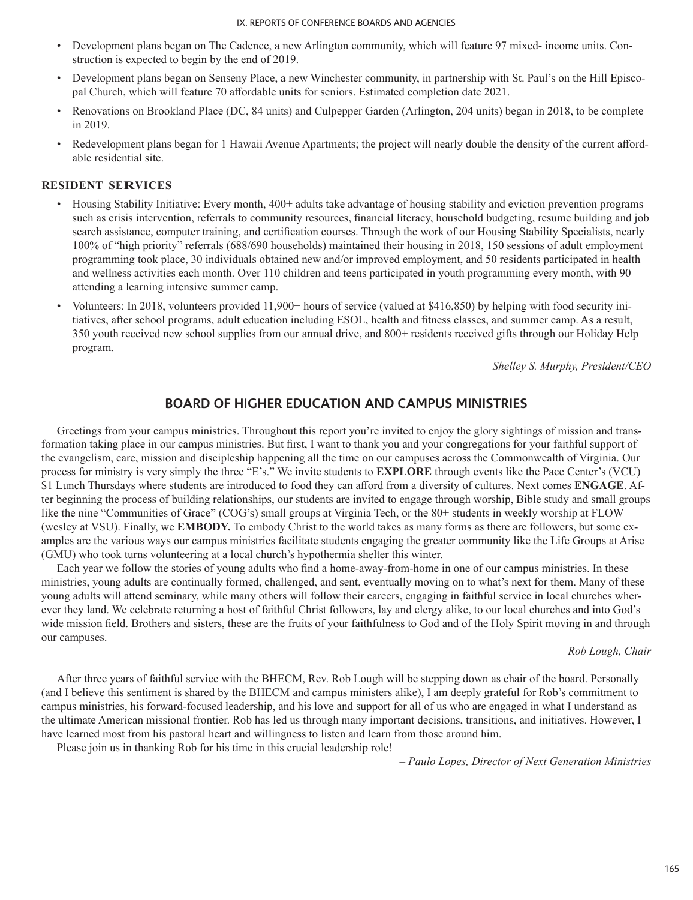- Development plans began on The Cadence, a new Arlington community, which will feature 97 mixed- income units. Construction is expected to begin by the end of 2019.
- Development plans began on Senseny Place, a new Winchester community, in partnership with St. Paul's on the Hill Episcopal Church, which will feature 70 affordable units for seniors. Estimated completion date 2021.
- Renovations on Brookland Place (DC, 84 units) and Culpepper Garden (Arlington, 204 units) began in 2018, to be complete in 2019.
- Redevelopment plans began for 1 Hawaii Avenue Apartments; the project will nearly double the density of the current affordable residential site.

# **RESIDENT SERVICES**

- Housing Stability Initiative: Every month, 400+ adults take advantage of housing stability and eviction prevention programs such as crisis intervention, referrals to community resources, financial literacy, household budgeting, resume building and job search assistance, computer training, and certification courses. Through the work of our Housing Stability Specialists, nearly 100% of "high priority" referrals (688/690 households) maintained their housing in 2018, 150 sessions of adult employment programming took place, 30 individuals obtained new and/or improved employment, and 50 residents participated in health and wellness activities each month. Over 110 children and teens participated in youth programming every month, with 90 attending a learning intensive summer camp.
- Volunteers: In 2018, volunteers provided 11,900+ hours of service (valued at \$416,850) by helping with food security initiatives, after school programs, adult education including ESOL, health and fitness classes, and summer camp. As a result, 350 youth received new school supplies from our annual drive, and 800+ residents received gifts through our Holiday Help program.

– *Shelley S. Murphy, President/CEO*

# **BOARD OF HIGHER EDUCATION AND CAMPUS MINISTRIES**

Greetings from your campus ministries. Throughout this report you're invited to enjoy the glory sightings of mission and transformation taking place in our campus ministries. But first, I want to thank you and your congregations for your faithful support of the evangelism, care, mission and discipleship happening all the time on our campuses across the Commonwealth of Virginia. Our process for ministry is very simply the three "E's." We invite students to **EXPLORE** through events like the Pace Center's (VCU) \$1 Lunch Thursdays where students are introduced to food they can afford from a diversity of cultures. Next comes **ENGAGE**. After beginning the process of building relationships, our students are invited to engage through worship, Bible study and small groups like the nine "Communities of Grace" (COG's) small groups at Virginia Tech, or the 80+ students in weekly worship at FLOW (wesley at VSU). Finally, we **EMBODY.** To embody Christ to the world takes as many forms as there are followers, but some examples are the various ways our campus ministries facilitate students engaging the greater community like the Life Groups at Arise (GMU) who took turns volunteering at a local church's hypothermia shelter this winter.

Each year we follow the stories of young adults who find a home-away-from-home in one of our campus ministries. In these ministries, young adults are continually formed, challenged, and sent, eventually moving on to what's next for them. Many of these young adults will attend seminary, while many others will follow their careers, engaging in faithful service in local churches wherever they land. We celebrate returning a host of faithful Christ followers, lay and clergy alike, to our local churches and into God's wide mission field. Brothers and sisters, these are the fruits of your faithfulness to God and of the Holy Spirit moving in and through our campuses.

*– Rob Lough, Chair*

After three years of faithful service with the BHECM, Rev. Rob Lough will be stepping down as chair of the board. Personally (and I believe this sentiment is shared by the BHECM and campus ministers alike), I am deeply grateful for Rob's commitment to campus ministries, his forward-focused leadership, and his love and support for all of us who are engaged in what I understand as the ultimate American missional frontier. Rob has led us through many important decisions, transitions, and initiatives. However, I have learned most from his pastoral heart and willingness to listen and learn from those around him.

Please join us in thanking Rob for his time in this crucial leadership role!

– *Paulo Lopes, Director of Next Generation Ministries*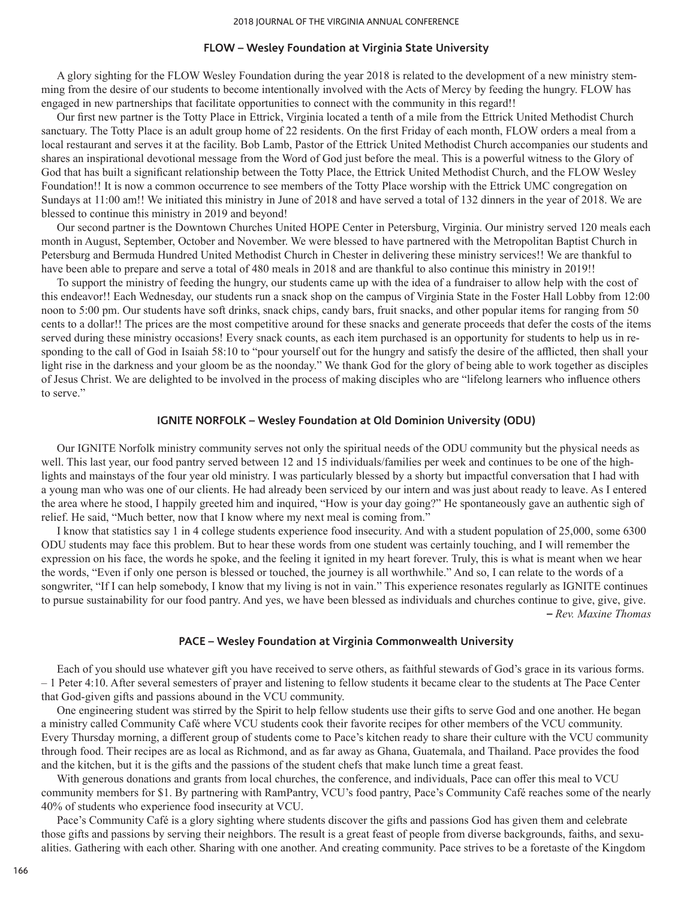#### **FLOW – Wesley Foundation at Virginia State University**

A glory sighting for the FLOW Wesley Foundation during the year 2018 is related to the development of a new ministry stemming from the desire of our students to become intentionally involved with the Acts of Mercy by feeding the hungry. FLOW has engaged in new partnerships that facilitate opportunities to connect with the community in this regard!!

Our first new partner is the Totty Place in Ettrick, Virginia located a tenth of a mile from the Ettrick United Methodist Church sanctuary. The Totty Place is an adult group home of 22 residents. On the first Friday of each month, FLOW orders a meal from a local restaurant and serves it at the facility. Bob Lamb, Pastor of the Ettrick United Methodist Church accompanies our students and shares an inspirational devotional message from the Word of God just before the meal. This is a powerful witness to the Glory of God that has built a significant relationship between the Totty Place, the Ettrick United Methodist Church, and the FLOW Wesley Foundation!! It is now a common occurrence to see members of the Totty Place worship with the Ettrick UMC congregation on Sundays at 11:00 am!! We initiated this ministry in June of 2018 and have served a total of 132 dinners in the year of 2018. We are blessed to continue this ministry in 2019 and beyond!

Our second partner is the Downtown Churches United HOPE Center in Petersburg, Virginia. Our ministry served 120 meals each month in August, September, October and November. We were blessed to have partnered with the Metropolitan Baptist Church in Petersburg and Bermuda Hundred United Methodist Church in Chester in delivering these ministry services!! We are thankful to have been able to prepare and serve a total of 480 meals in 2018 and are thankful to also continue this ministry in 2019!!

To support the ministry of feeding the hungry, our students came up with the idea of a fundraiser to allow help with the cost of this endeavor!! Each Wednesday, our students run a snack shop on the campus of Virginia State in the Foster Hall Lobby from 12:00 noon to 5:00 pm. Our students have soft drinks, snack chips, candy bars, fruit snacks, and other popular items for ranging from 50 cents to a dollar!! The prices are the most competitive around for these snacks and generate proceeds that defer the costs of the items served during these ministry occasions! Every snack counts, as each item purchased is an opportunity for students to help us in responding to the call of God in Isaiah 58:10 to "pour yourself out for the hungry and satisfy the desire of the afflicted, then shall your light rise in the darkness and your gloom be as the noonday." We thank God for the glory of being able to work together as disciples of Jesus Christ. We are delighted to be involved in the process of making disciples who are "lifelong learners who influence others to serve."

## **IGNITE NORFOLK – Wesley Foundation at Old Dominion University (ODU)**

Our IGNITE Norfolk ministry community serves not only the spiritual needs of the ODU community but the physical needs as well. This last year, our food pantry served between 12 and 15 individuals/families per week and continues to be one of the highlights and mainstays of the four year old ministry. I was particularly blessed by a shorty but impactful conversation that I had with a young man who was one of our clients. He had already been serviced by our intern and was just about ready to leave. As I entered the area where he stood, I happily greeted him and inquired, "How is your day going?" He spontaneously gave an authentic sigh of relief. He said, "Much better, now that I know where my next meal is coming from."

I know that statistics say 1 in 4 college students experience food insecurity. And with a student population of 25,000, some 6300 ODU students may face this problem. But to hear these words from one student was certainly touching, and I will remember the expression on his face, the words he spoke, and the feeling it ignited in my heart forever. Truly, this is what is meant when we hear the words, "Even if only one person is blessed or touched, the journey is all worthwhile." And so, I can relate to the words of a songwriter, "If I can help somebody, I know that my living is not in vain." This experience resonates regularly as IGNITE continues to pursue sustainability for our food pantry. And yes, we have been blessed as individuals and churches continue to give, give, give. **–** *Rev. Maxine Thomas*

### **PACE – Wesley Foundation at Virginia Commonwealth University**

Each of you should use whatever gift you have received to serve others, as faithful stewards of God's grace in its various forms. – 1 Peter 4:10. After several semesters of prayer and listening to fellow students it became clear to the students at The Pace Center that God-given gifts and passions abound in the VCU community.

One engineering student was stirred by the Spirit to help fellow students use their gifts to serve God and one another. He began a ministry called Community Café where VCU students cook their favorite recipes for other members of the VCU community. Every Thursday morning, a different group of students come to Pace's kitchen ready to share their culture with the VCU community through food. Their recipes are as local as Richmond, and as far away as Ghana, Guatemala, and Thailand. Pace provides the food and the kitchen, but it is the gifts and the passions of the student chefs that make lunch time a great feast.

With generous donations and grants from local churches, the conference, and individuals, Pace can offer this meal to VCU community members for \$1. By partnering with RamPantry, VCU's food pantry, Pace's Community Café reaches some of the nearly 40% of students who experience food insecurity at VCU.

Pace's Community Café is a glory sighting where students discover the gifts and passions God has given them and celebrate those gifts and passions by serving their neighbors. The result is a great feast of people from diverse backgrounds, faiths, and sexualities. Gathering with each other. Sharing with one another. And creating community. Pace strives to be a foretaste of the Kingdom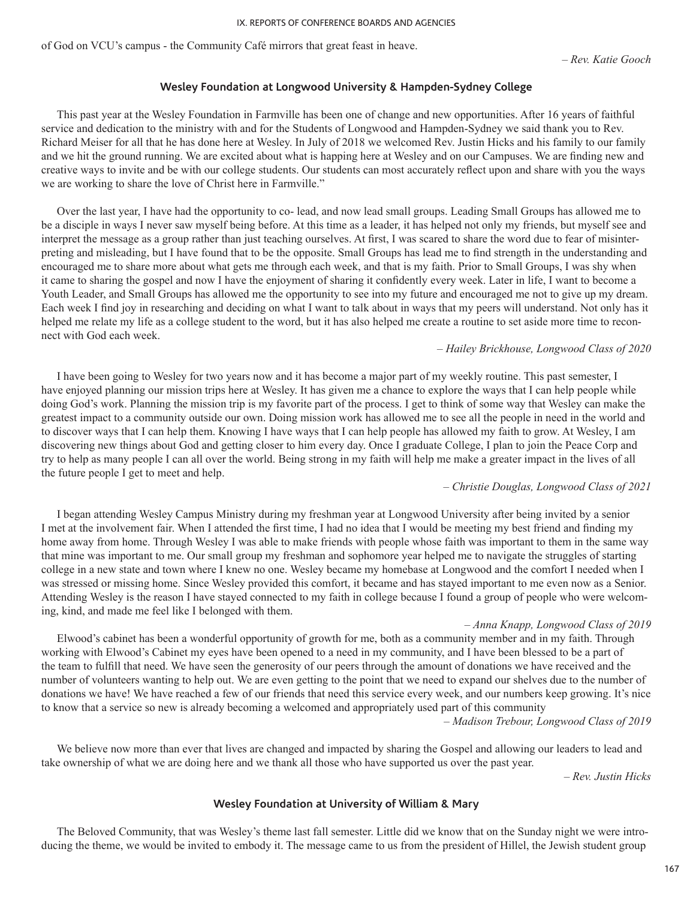of God on VCU's campus - the Community Café mirrors that great feast in heave.

## **Wesley Foundation at Longwood University & Hampden-Sydney College**

This past year at the Wesley Foundation in Farmville has been one of change and new opportunities. After 16 years of faithful service and dedication to the ministry with and for the Students of Longwood and Hampden-Sydney we said thank you to Rev. Richard Meiser for all that he has done here at Wesley. In July of 2018 we welcomed Rev. Justin Hicks and his family to our family and we hit the ground running. We are excited about what is happing here at Wesley and on our Campuses. We are finding new and creative ways to invite and be with our college students. Our students can most accurately reflect upon and share with you the ways we are working to share the love of Christ here in Farmville."

Over the last year, I have had the opportunity to co- lead, and now lead small groups. Leading Small Groups has allowed me to be a disciple in ways I never saw myself being before. At this time as a leader, it has helped not only my friends, but myself see and interpret the message as a group rather than just teaching ourselves. At first, I was scared to share the word due to fear of misinterpreting and misleading, but I have found that to be the opposite. Small Groups has lead me to find strength in the understanding and encouraged me to share more about what gets me through each week, and that is my faith. Prior to Small Groups, I was shy when it came to sharing the gospel and now I have the enjoyment of sharing it confidently every week. Later in life, I want to become a Youth Leader, and Small Groups has allowed me the opportunity to see into my future and encouraged me not to give up my dream. Each week I find joy in researching and deciding on what I want to talk about in ways that my peers will understand. Not only has it helped me relate my life as a college student to the word, but it has also helped me create a routine to set aside more time to reconnect with God each week.

### – *Hailey Brickhouse, Longwood Class of 2020*

I have been going to Wesley for two years now and it has become a major part of my weekly routine. This past semester, I have enjoyed planning our mission trips here at Wesley. It has given me a chance to explore the ways that I can help people while doing God's work. Planning the mission trip is my favorite part of the process. I get to think of some way that Wesley can make the greatest impact to a community outside our own. Doing mission work has allowed me to see all the people in need in the world and to discover ways that I can help them. Knowing I have ways that I can help people has allowed my faith to grow. At Wesley, I am discovering new things about God and getting closer to him every day. Once I graduate College, I plan to join the Peace Corp and try to help as many people I can all over the world. Being strong in my faith will help me make a greater impact in the lives of all the future people I get to meet and help.

#### – *Christie Douglas, Longwood Class of 2021*

I began attending Wesley Campus Ministry during my freshman year at Longwood University after being invited by a senior I met at the involvement fair. When I attended the first time, I had no idea that I would be meeting my best friend and finding my home away from home. Through Wesley I was able to make friends with people whose faith was important to them in the same way that mine was important to me. Our small group my freshman and sophomore year helped me to navigate the struggles of starting college in a new state and town where I knew no one. Wesley became my homebase at Longwood and the comfort I needed when I was stressed or missing home. Since Wesley provided this comfort, it became and has stayed important to me even now as a Senior. Attending Wesley is the reason I have stayed connected to my faith in college because I found a group of people who were welcoming, kind, and made me feel like I belonged with them.

#### – *Anna Knapp, Longwood Class of 2019*

Elwood's cabinet has been a wonderful opportunity of growth for me, both as a community member and in my faith. Through working with Elwood's Cabinet my eyes have been opened to a need in my community, and I have been blessed to be a part of the team to fulfill that need. We have seen the generosity of our peers through the amount of donations we have received and the number of volunteers wanting to help out. We are even getting to the point that we need to expand our shelves due to the number of donations we have! We have reached a few of our friends that need this service every week, and our numbers keep growing. It's nice to know that a service so new is already becoming a welcomed and appropriately used part of this community

*– Madison Trebour, Longwood Class of 2019*

We believe now more than ever that lives are changed and impacted by sharing the Gospel and allowing our leaders to lead and take ownership of what we are doing here and we thank all those who have supported us over the past year.

*– Rev. Justin Hicks*

## **Wesley Foundation at University of William & Mary**

The Beloved Community, that was Wesley's theme last fall semester. Little did we know that on the Sunday night we were introducing the theme, we would be invited to embody it. The message came to us from the president of Hillel, the Jewish student group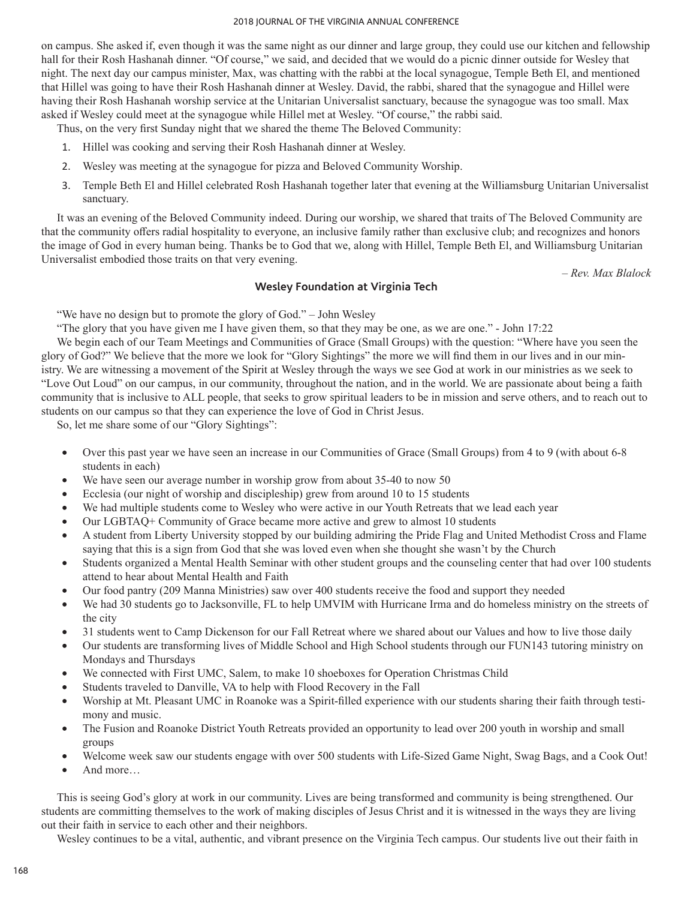#### 2018 JOURNAL OF THE VIRGINIA ANNUAL CONFERENCE

on campus. She asked if, even though it was the same night as our dinner and large group, they could use our kitchen and fellowship hall for their Rosh Hashanah dinner. "Of course," we said, and decided that we would do a picnic dinner outside for Wesley that night. The next day our campus minister, Max, was chatting with the rabbi at the local synagogue, Temple Beth El, and mentioned that Hillel was going to have their Rosh Hashanah dinner at Wesley. David, the rabbi, shared that the synagogue and Hillel were having their Rosh Hashanah worship service at the Unitarian Universalist sanctuary, because the synagogue was too small. Max asked if Wesley could meet at the synagogue while Hillel met at Wesley. "Of course," the rabbi said.

Thus, on the very first Sunday night that we shared the theme The Beloved Community:

- 1. Hillel was cooking and serving their Rosh Hashanah dinner at Wesley.
- 2. Wesley was meeting at the synagogue for pizza and Beloved Community Worship.
- 3. Temple Beth El and Hillel celebrated Rosh Hashanah together later that evening at the Williamsburg Unitarian Universalist sanctuary.

It was an evening of the Beloved Community indeed. During our worship, we shared that traits of The Beloved Community are that the community offers radial hospitality to everyone, an inclusive family rather than exclusive club; and recognizes and honors the image of God in every human being. Thanks be to God that we, along with Hillel, Temple Beth El, and Williamsburg Unitarian Universalist embodied those traits on that very evening.

*– Rev. Max Blalock*

## **Wesley Foundation at Virginia Tech**

"We have no design but to promote the glory of God." – John Wesley

"The glory that you have given me I have given them, so that they may be one, as we are one." - John 17:22

We begin each of our Team Meetings and Communities of Grace (Small Groups) with the question: "Where have you seen the glory of God?" We believe that the more we look for "Glory Sightings" the more we will find them in our lives and in our ministry. We are witnessing a movement of the Spirit at Wesley through the ways we see God at work in our ministries as we seek to "Love Out Loud" on our campus, in our community, throughout the nation, and in the world. We are passionate about being a faith community that is inclusive to ALL people, that seeks to grow spiritual leaders to be in mission and serve others, and to reach out to students on our campus so that they can experience the love of God in Christ Jesus.

So, let me share some of our "Glory Sightings":

- Over this past year we have seen an increase in our Communities of Grace (Small Groups) from 4 to 9 (with about 6-8 students in each)
- We have seen our average number in worship grow from about  $35-40$  to now  $50$
- Ecclesia (our night of worship and discipleship) grew from around 10 to 15 students
- We had multiple students come to Wesley who were active in our Youth Retreats that we lead each year
- Our LGBTAQ+ Community of Grace became more active and grew to almost 10 students
- A student from Liberty University stopped by our building admiring the Pride Flag and United Methodist Cross and Flame saying that this is a sign from God that she was loved even when she thought she wasn't by the Church
- • Students organized a Mental Health Seminar with other student groups and the counseling center that had over 100 students attend to hear about Mental Health and Faith
- Our food pantry (209 Manna Ministries) saw over 400 students receive the food and support they needed
- We had 30 students go to Jacksonville, FL to help UMVIM with Hurricane Irma and do homeless ministry on the streets of the city
- 31 students went to Camp Dickenson for our Fall Retreat where we shared about our Values and how to live those daily
- Our students are transforming lives of Middle School and High School students through our FUN143 tutoring ministry on Mondays and Thursdays
- We connected with First UMC, Salem, to make 10 shoeboxes for Operation Christmas Child
- Students traveled to Danville, VA to help with Flood Recovery in the Fall
- Worship at Mt. Pleasant UMC in Roanoke was a Spirit-filled experience with our students sharing their faith through testimony and music.
- The Fusion and Roanoke District Youth Retreats provided an opportunity to lead over 200 youth in worship and small groups
- Welcome week saw our students engage with over 500 students with Life-Sized Game Night, Swag Bags, and a Cook Out!
- And more…

This is seeing God's glory at work in our community. Lives are being transformed and community is being strengthened. Our students are committing themselves to the work of making disciples of Jesus Christ and it is witnessed in the ways they are living out their faith in service to each other and their neighbors.

Wesley continues to be a vital, authentic, and vibrant presence on the Virginia Tech campus. Our students live out their faith in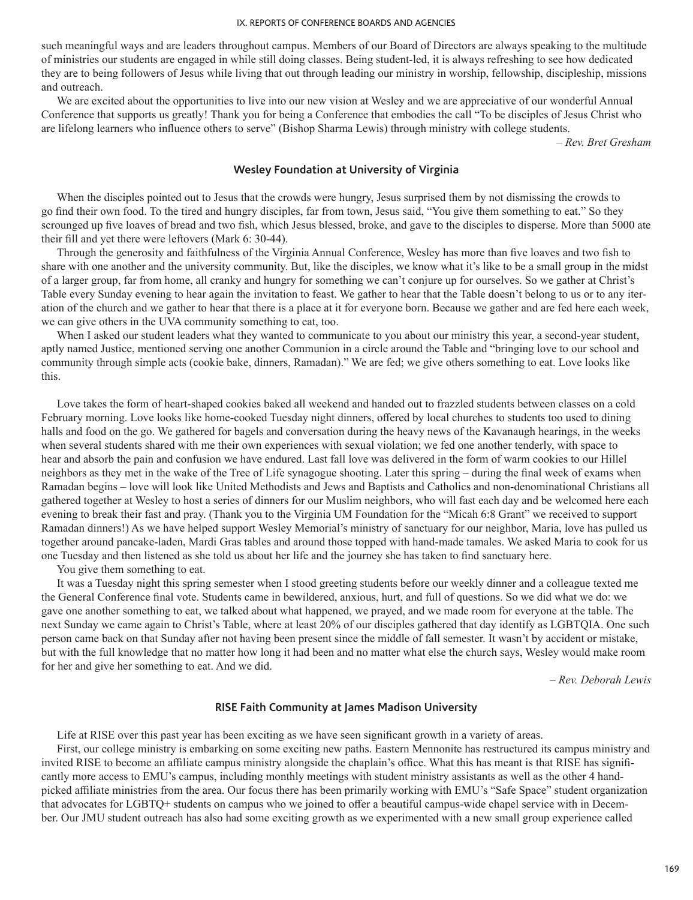such meaningful ways and are leaders throughout campus. Members of our Board of Directors are always speaking to the multitude of ministries our students are engaged in while still doing classes. Being student-led, it is always refreshing to see how dedicated they are to being followers of Jesus while living that out through leading our ministry in worship, fellowship, discipleship, missions and outreach.

We are excited about the opportunities to live into our new vision at Wesley and we are appreciative of our wonderful Annual Conference that supports us greatly! Thank you for being a Conference that embodies the call "To be disciples of Jesus Christ who are lifelong learners who influence others to serve" (Bishop Sharma Lewis) through ministry with college students.

*– Rev. Bret Gresham*

## **Wesley Foundation at University of Virginia**

When the disciples pointed out to Jesus that the crowds were hungry, Jesus surprised them by not dismissing the crowds to go find their own food. To the tired and hungry disciples, far from town, Jesus said, "You give them something to eat." So they scrounged up five loaves of bread and two fish, which Jesus blessed, broke, and gave to the disciples to disperse. More than 5000 ate their fill and yet there were leftovers (Mark 6: 30-44).

Through the generosity and faithfulness of the Virginia Annual Conference, Wesley has more than five loaves and two fish to share with one another and the university community. But, like the disciples, we know what it's like to be a small group in the midst of a larger group, far from home, all cranky and hungry for something we can't conjure up for ourselves. So we gather at Christ's Table every Sunday evening to hear again the invitation to feast. We gather to hear that the Table doesn't belong to us or to any iteration of the church and we gather to hear that there is a place at it for everyone born. Because we gather and are fed here each week, we can give others in the UVA community something to eat, too.

When I asked our student leaders what they wanted to communicate to you about our ministry this year, a second-year student, aptly named Justice, mentioned serving one another Communion in a circle around the Table and "bringing love to our school and community through simple acts (cookie bake, dinners, Ramadan)." We are fed; we give others something to eat. Love looks like this.

Love takes the form of heart-shaped cookies baked all weekend and handed out to frazzled students between classes on a cold February morning. Love looks like home-cooked Tuesday night dinners, offered by local churches to students too used to dining halls and food on the go. We gathered for bagels and conversation during the heavy news of the Kavanaugh hearings, in the weeks when several students shared with me their own experiences with sexual violation; we fed one another tenderly, with space to hear and absorb the pain and confusion we have endured. Last fall love was delivered in the form of warm cookies to our Hillel neighbors as they met in the wake of the Tree of Life synagogue shooting. Later this spring – during the final week of exams when Ramadan begins – love will look like United Methodists and Jews and Baptists and Catholics and non-denominational Christians all gathered together at Wesley to host a series of dinners for our Muslim neighbors, who will fast each day and be welcomed here each evening to break their fast and pray. (Thank you to the Virginia UM Foundation for the "Micah 6:8 Grant" we received to support Ramadan dinners!) As we have helped support Wesley Memorial's ministry of sanctuary for our neighbor, Maria, love has pulled us together around pancake-laden, Mardi Gras tables and around those topped with hand-made tamales. We asked Maria to cook for us one Tuesday and then listened as she told us about her life and the journey she has taken to find sanctuary here.

You give them something to eat.

It was a Tuesday night this spring semester when I stood greeting students before our weekly dinner and a colleague texted me the General Conference final vote. Students came in bewildered, anxious, hurt, and full of questions. So we did what we do: we gave one another something to eat, we talked about what happened, we prayed, and we made room for everyone at the table. The next Sunday we came again to Christ's Table, where at least 20% of our disciples gathered that day identify as LGBTQIA. One such person came back on that Sunday after not having been present since the middle of fall semester. It wasn't by accident or mistake, but with the full knowledge that no matter how long it had been and no matter what else the church says, Wesley would make room for her and give her something to eat. And we did.

*– Rev. Deborah Lewis*

### **RISE Faith Community at James Madison University**

Life at RISE over this past year has been exciting as we have seen significant growth in a variety of areas.

First, our college ministry is embarking on some exciting new paths. Eastern Mennonite has restructured its campus ministry and invited RISE to become an affiliate campus ministry alongside the chaplain's office. What this has meant is that RISE has significantly more access to EMU's campus, including monthly meetings with student ministry assistants as well as the other 4 handpicked affiliate ministries from the area. Our focus there has been primarily working with EMU's "Safe Space" student organization that advocates for LGBTQ+ students on campus who we joined to offer a beautiful campus-wide chapel service with in December. Our JMU student outreach has also had some exciting growth as we experimented with a new small group experience called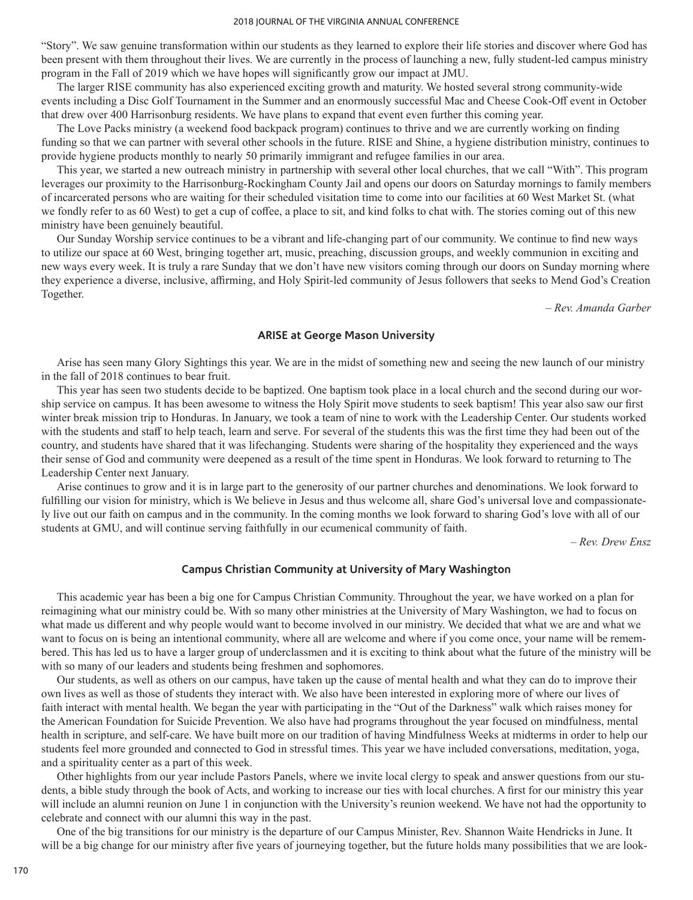#### 2018 JOURNAL OF THE VIRGINIA ANNUAL CONFERENCE

"Story". We saw genuine transformation within our students as they learned to explore their life stories and discover where God has been present with them throughout their lives. We are currently in the process of launching a new, fully student-led campus ministry program in the Fall of 2019 which we have hopes will significantly grow our impact at JMU.

The larger RISE community has also experienced exciting growth and maturity. We hosted several strong community-wide events including a Disc Golf Tournament in the Summer and an enormously successful Mac and Cheese Cook-Off event in October that drew over 400 Harrisonburg residents. We have plans to expand that event even further this coming year.

The Love Packs ministry (a weekend food backpack program) continues to thrive and we are currently working on finding funding so that we can partner with several other schools in the future. RISE and Shine, a hygiene distribution ministry, continues to provide hygiene products monthly to nearly 50 primarily immigrant and refugee families in our area.

This year, we started a new outreach ministry in partnership with several other local churches, that we call "With". This program leverages our proximity to the Harrisonburg-Rockingham County Jail and opens our doors on Saturday mornings to family members of incarcerated persons who are waiting for their scheduled visitation time to come into our facilities at 60 West Market St. (what we fondly refer to as 60 West) to get a cup of coffee, a place to sit, and kind folks to chat with. The stories coming out of this new ministry have been genuinely beautiful.

Our Sunday Worship service continues to be a vibrant and life-changing part of our community. We continue to find new ways to utilize our space at 60 West, bringing together art, music, preaching, discussion groups, and weekly communion in exciting and new ways every week. It is truly a rare Sunday that we don't have new visitors coming through our doors on Sunday morning where they experience a diverse, inclusive, affirming, and Holy Spirit-led community of Jesus followers that seeks to Mend God's Creation Together.

*– Rev. Amanda Garber*

### **ARISE at George Mason University**

Arise has seen many Glory Sightings this year. We are in the midst of something new and seeing the new launch of our ministry in the fall of 2018 continues to bear fruit.

This year has seen two students decide to be baptized. One baptism took place in a local church and the second during our worship service on campus. It has been awesome to witness the Holy Spirit move students to seek baptism! This year also saw our first winter break mission trip to Honduras. In January, we took a team of nine to work with the Leadership Center. Our students worked with the students and staff to help teach, learn and serve. For several of the students this was the first time they had been out of the country, and students have shared that it was lifechanging. Students were sharing of the hospitality they experienced and the ways their sense of God and community were deepened as a result of the time spent in Honduras. We look forward to returning to The Leadership Center next January.

Arise continues to grow and it is in large part to the generosity of our partner churches and denominations. We look forward to fulfilling our vision for ministry, which is We believe in Jesus and thus welcome all, share God's universal love and compassionately live out our faith on campus and in the community. In the coming months we look forward to sharing God's love with all of our students at GMU, and will continue serving faithfully in our ecumenical community of faith.

*– Rev. Drew Ensz*

### **Campus Christian Community at University of Mary Washington**

This academic year has been a big one for Campus Christian Community. Throughout the year, we have worked on a plan for reimagining what our ministry could be. With so many other ministries at the University of Mary Washington, we had to focus on what made us different and why people would want to become involved in our ministry. We decided that what we are and what we want to focus on is being an intentional community, where all are welcome and where if you come once, your name will be remembered. This has led us to have a larger group of underclassmen and it is exciting to think about what the future of the ministry will be with so many of our leaders and students being freshmen and sophomores.

Our students, as well as others on our campus, have taken up the cause of mental health and what they can do to improve their own lives as well as those of students they interact with. We also have been interested in exploring more of where our lives of faith interact with mental health. We began the year with participating in the "Out of the Darkness" walk which raises money for the American Foundation for Suicide Prevention. We also have had programs throughout the year focused on mindfulness, mental health in scripture, and self-care. We have built more on our tradition of having Mindfulness Weeks at midterms in order to help our students feel more grounded and connected to God in stressful times. This year we have included conversations, meditation, yoga, and a spirituality center as a part of this week.

Other highlights from our year include Pastors Panels, where we invite local clergy to speak and answer questions from our students, a bible study through the book of Acts, and working to increase our ties with local churches. A first for our ministry this year will include an alumni reunion on June 1 in conjunction with the University's reunion weekend. We have not had the opportunity to celebrate and connect with our alumni this way in the past.

One of the big transitions for our ministry is the departure of our Campus Minister, Rev. Shannon Waite Hendricks in June. It will be a big change for our ministry after five years of journeying together, but the future holds many possibilities that we are look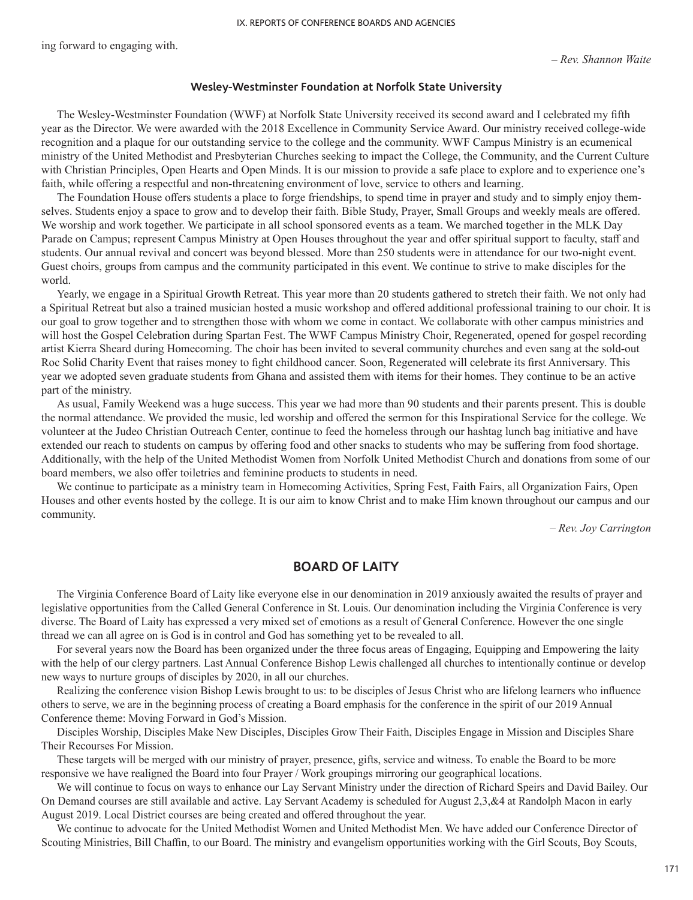ing forward to engaging with.

#### **Wesley-Westminster Foundation at Norfolk State University**

The Wesley-Westminster Foundation (WWF) at Norfolk State University received its second award and I celebrated my fifth year as the Director. We were awarded with the 2018 Excellence in Community Service Award. Our ministry received college-wide recognition and a plaque for our outstanding service to the college and the community. WWF Campus Ministry is an ecumenical ministry of the United Methodist and Presbyterian Churches seeking to impact the College, the Community, and the Current Culture with Christian Principles, Open Hearts and Open Minds. It is our mission to provide a safe place to explore and to experience one's faith, while offering a respectful and non-threatening environment of love, service to others and learning.

The Foundation House offers students a place to forge friendships, to spend time in prayer and study and to simply enjoy themselves. Students enjoy a space to grow and to develop their faith. Bible Study, Prayer, Small Groups and weekly meals are offered. We worship and work together. We participate in all school sponsored events as a team. We marched together in the MLK Day Parade on Campus; represent Campus Ministry at Open Houses throughout the year and offer spiritual support to faculty, staff and students. Our annual revival and concert was beyond blessed. More than 250 students were in attendance for our two-night event. Guest choirs, groups from campus and the community participated in this event. We continue to strive to make disciples for the world.

Yearly, we engage in a Spiritual Growth Retreat. This year more than 20 students gathered to stretch their faith. We not only had a Spiritual Retreat but also a trained musician hosted a music workshop and offered additional professional training to our choir. It is our goal to grow together and to strengthen those with whom we come in contact. We collaborate with other campus ministries and will host the Gospel Celebration during Spartan Fest. The WWF Campus Ministry Choir, Regenerated, opened for gospel recording artist Kierra Sheard during Homecoming. The choir has been invited to several community churches and even sang at the sold-out Roc Solid Charity Event that raises money to fight childhood cancer. Soon, Regenerated will celebrate its first Anniversary. This year we adopted seven graduate students from Ghana and assisted them with items for their homes. They continue to be an active part of the ministry.

As usual, Family Weekend was a huge success. This year we had more than 90 students and their parents present. This is double the normal attendance. We provided the music, led worship and offered the sermon for this Inspirational Service for the college. We volunteer at the Judeo Christian Outreach Center, continue to feed the homeless through our hashtag lunch bag initiative and have extended our reach to students on campus by offering food and other snacks to students who may be suffering from food shortage. Additionally, with the help of the United Methodist Women from Norfolk United Methodist Church and donations from some of our board members, we also offer toiletries and feminine products to students in need.

We continue to participate as a ministry team in Homecoming Activities, Spring Fest, Faith Fairs, all Organization Fairs, Open Houses and other events hosted by the college. It is our aim to know Christ and to make Him known throughout our campus and our community.

*– Rev. Joy Carrington*

# **BOARD OF LAITY**

The Virginia Conference Board of Laity like everyone else in our denomination in 2019 anxiously awaited the results of prayer and legislative opportunities from the Called General Conference in St. Louis. Our denomination including the Virginia Conference is very diverse. The Board of Laity has expressed a very mixed set of emotions as a result of General Conference. However the one single thread we can all agree on is God is in control and God has something yet to be revealed to all.

For several years now the Board has been organized under the three focus areas of Engaging, Equipping and Empowering the laity with the help of our clergy partners. Last Annual Conference Bishop Lewis challenged all churches to intentionally continue or develop new ways to nurture groups of disciples by 2020, in all our churches.

Realizing the conference vision Bishop Lewis brought to us: to be disciples of Jesus Christ who are lifelong learners who influence others to serve, we are in the beginning process of creating a Board emphasis for the conference in the spirit of our 2019 Annual Conference theme: Moving Forward in God's Mission.

Disciples Worship, Disciples Make New Disciples, Disciples Grow Their Faith, Disciples Engage in Mission and Disciples Share Their Recourses For Mission.

These targets will be merged with our ministry of prayer, presence, gifts, service and witness. To enable the Board to be more responsive we have realigned the Board into four Prayer / Work groupings mirroring our geographical locations.

We will continue to focus on ways to enhance our Lay Servant Ministry under the direction of Richard Speirs and David Bailey. Our On Demand courses are still available and active. Lay Servant Academy is scheduled for August 2,3,&4 at Randolph Macon in early August 2019. Local District courses are being created and offered throughout the year.

We continue to advocate for the United Methodist Women and United Methodist Men. We have added our Conference Director of Scouting Ministries, Bill Chaffin, to our Board. The ministry and evangelism opportunities working with the Girl Scouts, Boy Scouts,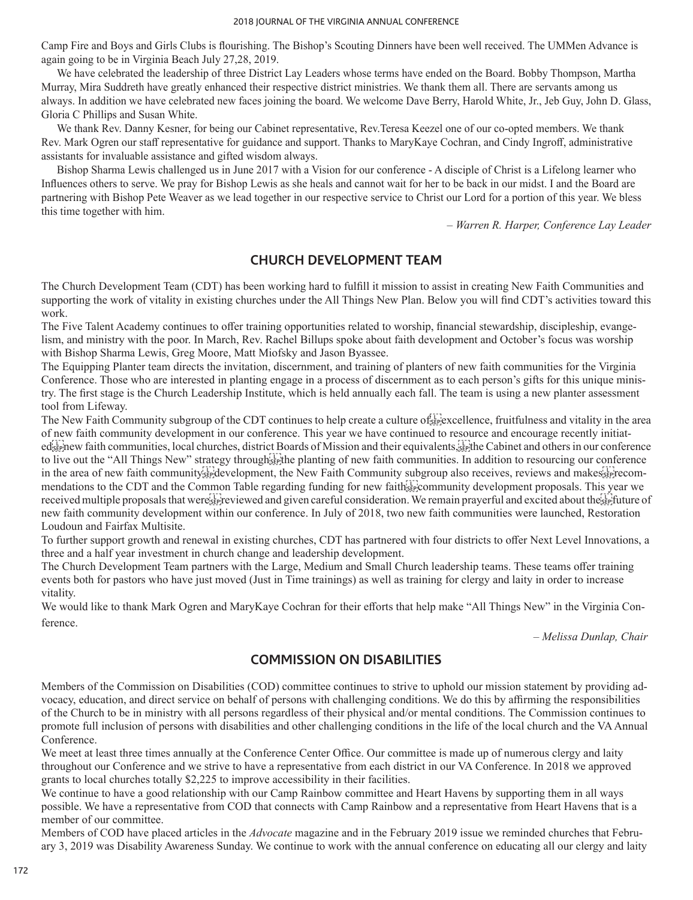Camp Fire and Boys and Girls Clubs is flourishing. The Bishop's Scouting Dinners have been well received. The UMMen Advance is again going to be in Virginia Beach July 27,28, 2019.

We have celebrated the leadership of three District Lay Leaders whose terms have ended on the Board. Bobby Thompson, Martha Murray, Mira Suddreth have greatly enhanced their respective district ministries. We thank them all. There are servants among us always. In addition we have celebrated new faces joining the board. We welcome Dave Berry, Harold White, Jr., Jeb Guy, John D. Glass, Gloria C Phillips and Susan White.

We thank Rev. Danny Kesner, for being our Cabinet representative, Rev.Teresa Keezel one of our co-opted members. We thank Rev. Mark Ogren our staff representative for guidance and support. Thanks to MaryKaye Cochran, and Cindy Ingroff, administrative assistants for invaluable assistance and gifted wisdom always.

Bishop Sharma Lewis challenged us in June 2017 with a Vision for our conference - A disciple of Christ is a Lifelong learner who Influences others to serve. We pray for Bishop Lewis as she heals and cannot wait for her to be back in our midst. I and the Board are partnering with Bishop Pete Weaver as we lead together in our respective service to Christ our Lord for a portion of this year. We bless this time together with him.

*– Warren R. Harper, Conference Lay Leader*

# **CHURCH DEVELOPMENT TEAM**

The Church Development Team (CDT) has been working hard to fulfill it mission to assist in creating New Faith Communities and supporting the work of vitality in existing churches under the All Things New Plan. Below you will find CDT's activities toward this work.

The Five Talent Academy continues to offer training opportunities related to worship, financial stewardship, discipleship, evangelism, and ministry with the poor. In March, Rev. Rachel Billups spoke about faith development and October's focus was worship with Bishop Sharma Lewis, Greg Moore, Matt Miofsky and Jason Byassee.

The Equipping Planter team directs the invitation, discernment, and training of planters of new faith communities for the Virginia Conference. Those who are interested in planting engage in a process of discernment as to each person's gifts for this unique ministry. The first stage is the Church Leadership Institute, which is held annually each fall. The team is using a new planter assessment tool from Lifeway.

The New Faith Community subgroup of the CDT continues to help create a culture of  $\frac{f}{\text{S}}$  excellence, fruitfulness and vitality in the area of new faith community development in our conference. This year we have continued to resource and encourage recently initiatedsteinew faith communities, local churches, district Boards of Mission and their equivalents. Fight the Cabinet and others in our conference

to live out the "All Things New" strategy through  $\frac{1}{100}$  the planting of new faith communities. In addition to resourcing our conference in the area of new faith community  $\frac{1}{2}$  development, the New Faith Community subgroup also receives, reviews and makes  $\frac{1}{2}$  recommendations to the CDT and the Common Table regarding funding for new faithstreed community development proposals. This year we received multiple proposals that were reviewed and given careful consideration. We remain prayerful and excited about the strituture of new faith community development within our conference. In July of 2018, two new faith communities were launched, Restoration Loudoun and Fairfax Multisite.

To further support growth and renewal in existing churches, CDT has partnered with four districts to offer Next Level Innovations, a three and a half year investment in church change and leadership development.

The Church Development Team partners with the Large, Medium and Small Church leadership teams. These teams offer training events both for pastors who have just moved (Just in Time trainings) as well as training for clergy and laity in order to increase vitality.

We would like to thank Mark Ogren and MaryKaye Cochran for their efforts that help make "All Things New" in the Virginia Conference.

*– Melissa Dunlap, Chair*

# **COMMISSION ON DISABILITIES**

Members of the Commission on Disabilities (COD) committee continues to strive to uphold our mission statement by providing advocacy, education, and direct service on behalf of persons with challenging conditions. We do this by affirming the responsibilities of the Church to be in ministry with all persons regardless of their physical and/or mental conditions. The Commission continues to promote full inclusion of persons with disabilities and other challenging conditions in the life of the local church and the VA Annual Conference.

We meet at least three times annually at the Conference Center Office. Our committee is made up of numerous clergy and laity throughout our Conference and we strive to have a representative from each district in our VA Conference. In 2018 we approved grants to local churches totally \$2,225 to improve accessibility in their facilities.

We continue to have a good relationship with our Camp Rainbow committee and Heart Havens by supporting them in all ways possible. We have a representative from COD that connects with Camp Rainbow and a representative from Heart Havens that is a member of our committee.

Members of COD have placed articles in the *Advocate* magazine and in the February 2019 issue we reminded churches that February 3, 2019 was Disability Awareness Sunday. We continue to work with the annual conference on educating all our clergy and laity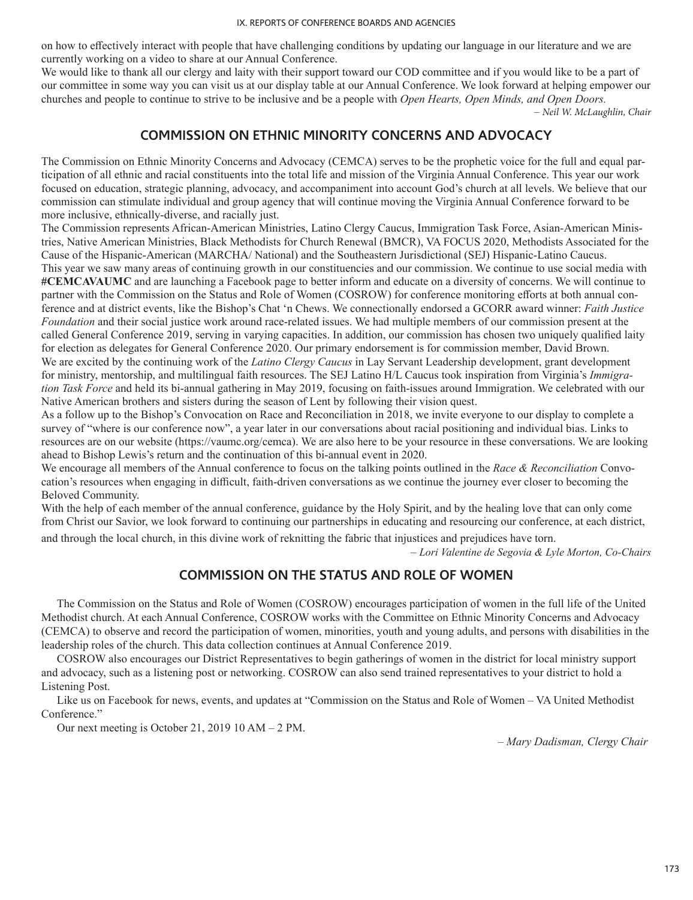on how to effectively interact with people that have challenging conditions by updating our language in our literature and we are currently working on a video to share at our Annual Conference.

We would like to thank all our clergy and laity with their support toward our COD committee and if you would like to be a part of our committee in some way you can visit us at our display table at our Annual Conference. We look forward at helping empower our churches and people to continue to strive to be inclusive and be a people with *Open Hearts, Open Minds, and Open Doors.* – *Neil W. McLaughlin, Chair*

# **COMMISSION ON ETHNIC MINORITY CONCERNS AND ADVOCACY**

The Commission on Ethnic Minority Concerns and Advocacy (CEMCA) serves to be the prophetic voice for the full and equal participation of all ethnic and racial constituents into the total life and mission of the Virginia Annual Conference. This year our work focused on education, strategic planning, advocacy, and accompaniment into account God's church at all levels. We believe that our commission can stimulate individual and group agency that will continue moving the Virginia Annual Conference forward to be more inclusive, ethnically-diverse, and racially just.

The Commission represents African-American Ministries, Latino Clergy Caucus, Immigration Task Force, Asian-American Ministries, Native American Ministries, Black Methodists for Church Renewal (BMCR), VA FOCUS 2020, Methodists Associated for the Cause of the Hispanic-American (MARCHA/ National) and the Southeastern Jurisdictional (SEJ) Hispanic-Latino Caucus. This year we saw many areas of continuing growth in our constituencies and our commission. We continue to use social media with **#CEMCAVAUMC** and are launching a Facebook page to better inform and educate on a diversity of concerns. We will continue to partner with the Commission on the Status and Role of Women (COSROW) for conference monitoring efforts at both annual conference and at district events, like the Bishop's Chat 'n Chews. We connectionally endorsed a GCORR award winner: *Faith Justice Foundation* and their social justice work around race-related issues. We had multiple members of our commission present at the called General Conference 2019, serving in varying capacities. In addition, our commission has chosen two uniquely qualified laity for election as delegates for General Conference 2020. Our primary endorsement is for commission member, David Brown. We are excited by the continuing work of the *Latino Clergy Caucus* in Lay Servant Leadership development, grant development for ministry, mentorship, and multilingual faith resources. The SEJ Latino H/L Caucus took inspiration from Virginia's *Immigration Task Force* and held its bi-annual gathering in May 2019, focusing on faith-issues around Immigration. We celebrated with our Native American brothers and sisters during the season of Lent by following their vision quest.

As a follow up to the Bishop's Convocation on Race and Reconciliation in 2018, we invite everyone to our display to complete a survey of "where is our conference now", a year later in our conversations about racial positioning and individual bias. Links to resources are on our website (https://vaumc.org/cemca). We are also here to be your resource in these conversations. We are looking ahead to Bishop Lewis's return and the continuation of this bi-annual event in 2020.

We encourage all members of the Annual conference to focus on the talking points outlined in the *Race & Reconciliation* Convocation's resources when engaging in difficult, faith-driven conversations as we continue the journey ever closer to becoming the Beloved Community.

With the help of each member of the annual conference, guidance by the Holy Spirit, and by the healing love that can only come from Christ our Savior, we look forward to continuing our partnerships in educating and resourcing our conference, at each district, and through the local church, in this divine work of reknitting the fabric that injustices and prejudices have torn.

*– Lori Valentine de Segovia & Lyle Morton, Co-Chairs*

# **COMMISSION ON THE STATUS AND ROLE OF WOMEN**

The Commission on the Status and Role of Women (COSROW) encourages participation of women in the full life of the United Methodist church. At each Annual Conference, COSROW works with the Committee on Ethnic Minority Concerns and Advocacy (CEMCA) to observe and record the participation of women, minorities, youth and young adults, and persons with disabilities in the leadership roles of the church. This data collection continues at Annual Conference 2019.

COSROW also encourages our District Representatives to begin gatherings of women in the district for local ministry support and advocacy, such as a listening post or networking. COSROW can also send trained representatives to your district to hold a Listening Post.

Like us on Facebook for news, events, and updates at "Commission on the Status and Role of Women – VA United Methodist Conference."

Our next meeting is October 21, 2019 10 AM – 2 PM.

*– Mary Dadisman, Clergy Chair*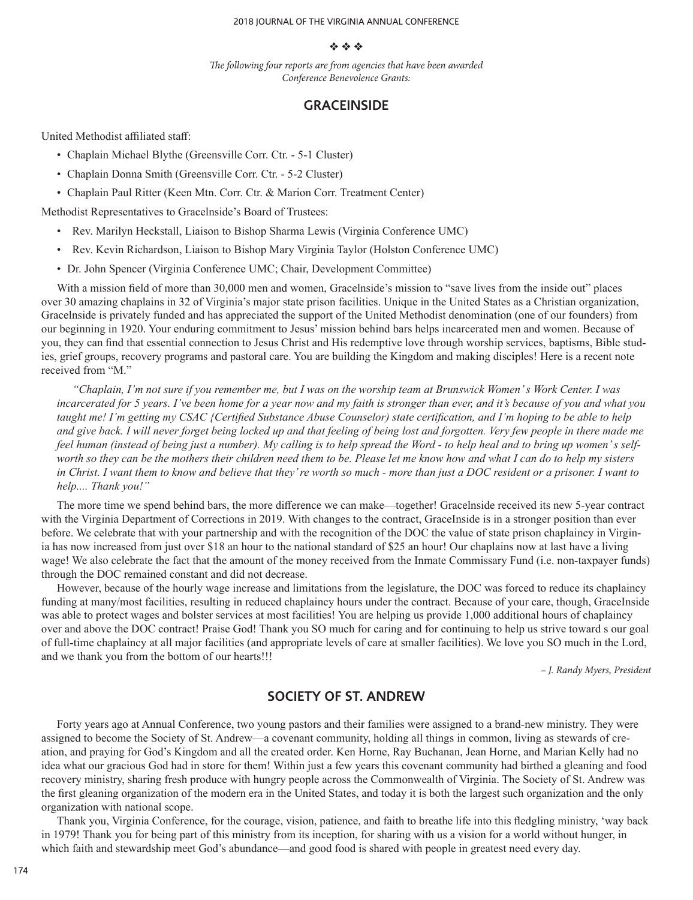#### 2018 JOURNAL OF THE VIRGINIA ANNUAL CONFERENCE

### $\phi_2$   $\phi_3$   $\phi_4$

*The following four reports are from agencies that have been awarded Conference Benevolence Grants:*

## **GRACEINSIDE**

United Methodist affiliated staff:

- Chaplain Michael Blythe (Greensville Corr. Ctr. 5-1 Cluster)
- Chaplain Donna Smith (Greensville Corr. Ctr. 5-2 Cluster)
- Chaplain Paul Ritter (Keen Mtn. Corr. Ctr. & Marion Corr. Treatment Center)

Methodist Representatives to Gracelnside's Board of Trustees:

- Rev. Marilyn Heckstall, Liaison to Bishop Sharma Lewis (Virginia Conference UMC)
- Rev. Kevin Richardson, Liaison to Bishop Mary Virginia Taylor (Holston Conference UMC)
- Dr. John Spencer (Virginia Conference UMC; Chair, Development Committee)

With a mission field of more than 30,000 men and women, Gracelnside's mission to "save lives from the inside out" places over 30 amazing chaplains in 32 of Virginia's major state prison facilities. Unique in the United States as a Christian organization, Gracelnside is privately funded and has appreciated the support of the United Methodist denomination (one of our founders) from our beginning in 1920. Your enduring commitment to Jesus' mission behind bars helps incarcerated men and women. Because of you, they can find that essential connection to Jesus Christ and His redemptive love through worship services, baptisms, Bible studies, grief groups, recovery programs and pastoral care. You are building the Kingdom and making disciples! Here is a recent note received from "M."

*"Chaplain, I'm not sure if you remember me, but I was on the worship team at Brunswick Women' s Work Center. I was incarcerated for 5 years. I've been home for a year now and my faith is stronger than ever, and it's because of you and what you taught me! I'm getting my CSAC {Certified Substance Abuse Counselor) state certification, and I'm hoping to be able to help and give back. I will never forget being locked up and that feeling of being lost and forgotten. Very few people in there made me feel human (instead of being just a number). My calling is to help spread the Word - to help heal and to bring up women' s selfworth so they can be the mothers their children need them to be. Please let me know how and what I can do to help my sisters in Christ. I want them to know and believe that they' re worth so much - more than just a DOC resident or a prisoner. I want to help.... Thank you!"*

The more time we spend behind bars, the more difference we can make—together! Gracelnside received its new 5-year contract with the Virginia Department of Corrections in 2019. With changes to the contract, GraceInside is in a stronger position than ever before. We celebrate that with your partnership and with the recognition of the DOC the value of state prison chaplaincy in Virginia has now increased from just over \$18 an hour to the national standard of \$25 an hour! Our chaplains now at last have a living wage! We also celebrate the fact that the amount of the money received from the Inmate Commissary Fund (i.e. non-taxpayer funds) through the DOC remained constant and did not decrease.

However, because of the hourly wage increase and limitations from the legislature, the DOC was forced to reduce its chaplaincy funding at many/most facilities, resulting in reduced chaplaincy hours under the contract. Because of your care, though, GraceInside was able to protect wages and bolster services at most facilities! You are helping us provide 1,000 additional hours of chaplaincy over and above the DOC contract! Praise God! Thank you SO much for caring and for continuing to help us strive toward s our goal of full-time chaplaincy at all major facilities (and appropriate levels of care at smaller facilities). We love you SO much in the Lord, and we thank you from the bottom of our hearts!!!

*– J. Randy Myers, President*

# **SOCIETY OF ST. ANDREW**

Forty years ago at Annual Conference, two young pastors and their families were assigned to a brand-new ministry. They were assigned to become the Society of St. Andrew—a covenant community, holding all things in common, living as stewards of creation, and praying for God's Kingdom and all the created order. Ken Horne, Ray Buchanan, Jean Horne, and Marian Kelly had no idea what our gracious God had in store for them! Within just a few years this covenant community had birthed a gleaning and food recovery ministry, sharing fresh produce with hungry people across the Commonwealth of Virginia. The Society of St. Andrew was the first gleaning organization of the modern era in the United States, and today it is both the largest such organization and the only organization with national scope.

Thank you, Virginia Conference, for the courage, vision, patience, and faith to breathe life into this fledgling ministry, 'way back in 1979! Thank you for being part of this ministry from its inception, for sharing with us a vision for a world without hunger, in which faith and stewardship meet God's abundance—and good food is shared with people in greatest need every day.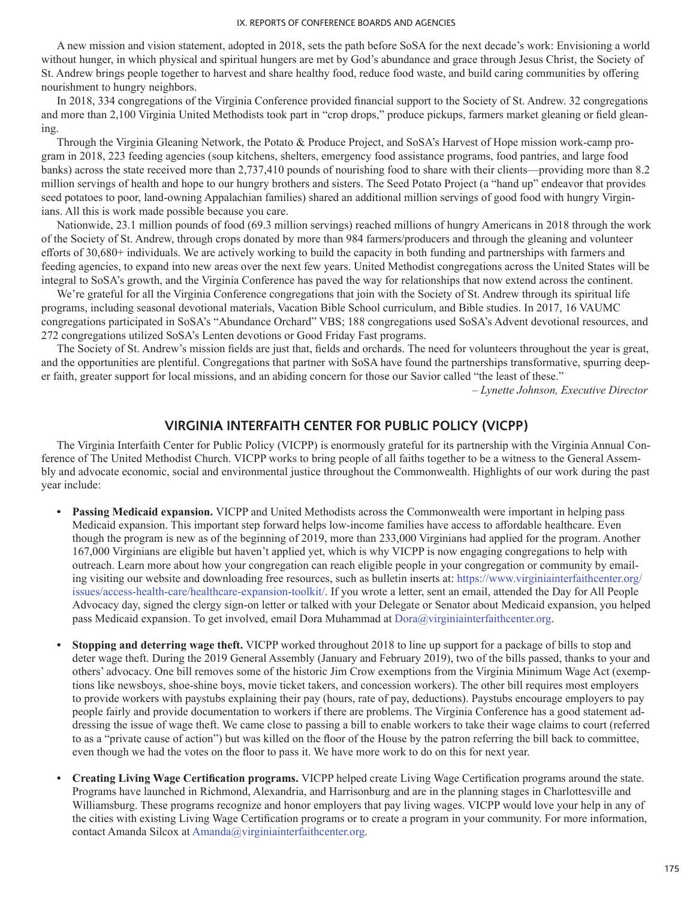A new mission and vision statement, adopted in 2018, sets the path before SoSA for the next decade's work: Envisioning a world without hunger, in which physical and spiritual hungers are met by God's abundance and grace through Jesus Christ, the Society of St. Andrew brings people together to harvest and share healthy food, reduce food waste, and build caring communities by offering nourishment to hungry neighbors.

In 2018, 334 congregations of the Virginia Conference provided financial support to the Society of St. Andrew. 32 congregations and more than 2,100 Virginia United Methodists took part in "crop drops," produce pickups, farmers market gleaning or field gleaning.

Through the Virginia Gleaning Network, the Potato & Produce Project, and SoSA's Harvest of Hope mission work-camp program in 2018, 223 feeding agencies (soup kitchens, shelters, emergency food assistance programs, food pantries, and large food banks) across the state received more than 2,737,410 pounds of nourishing food to share with their clients—providing more than 8.2 million servings of health and hope to our hungry brothers and sisters. The Seed Potato Project (a "hand up" endeavor that provides seed potatoes to poor, land-owning Appalachian families) shared an additional million servings of good food with hungry Virginians. All this is work made possible because you care.

Nationwide, 23.1 million pounds of food (69.3 million servings) reached millions of hungry Americans in 2018 through the work of the Society of St. Andrew, through crops donated by more than 984 farmers/producers and through the gleaning and volunteer efforts of 30,680+ individuals. We are actively working to build the capacity in both funding and partnerships with farmers and feeding agencies, to expand into new areas over the next few years. United Methodist congregations across the United States will be integral to SoSA's growth, and the Virginia Conference has paved the way for relationships that now extend across the continent.

We're grateful for all the Virginia Conference congregations that join with the Society of St. Andrew through its spiritual life programs, including seasonal devotional materials, Vacation Bible School curriculum, and Bible studies. In 2017, 16 VAUMC congregations participated in SoSA's "Abundance Orchard" VBS; 188 congregations used SoSA's Advent devotional resources, and 272 congregations utilized SoSA's Lenten devotions or Good Friday Fast programs.

The Society of St. Andrew's mission fields are just that, fields and orchards. The need for volunteers throughout the year is great, and the opportunities are plentiful. Congregations that partner with SoSA have found the partnerships transformative, spurring deeper faith, greater support for local missions, and an abiding concern for those our Savior called "the least of these."

*– Lynette Johnson, Executive Director*

# **VIRGINIA INTERFAITH CENTER FOR PUBLIC POLICY (VICPP)**

The Virginia Interfaith Center for Public Policy (VICPP) is enormously grateful for its partnership with the Virginia Annual Conference of The United Methodist Church. VICPP works to bring people of all faiths together to be a witness to the General Assembly and advocate economic, social and environmental justice throughout the Commonwealth. Highlights of our work during the past year include:

- **• Passing Medicaid expansion.** VICPP and United Methodists across the Commonwealth were important in helping pass Medicaid expansion. This important step forward helps low-income families have access to affordable healthcare. Even though the program is new as of the beginning of 2019, more than 233,000 Virginians had applied for the program. Another 167,000 Virginians are eligible but haven't applied yet, which is why VICPP is now engaging congregations to help with outreach. Learn more about how your congregation can reach eligible people in your congregation or community by emailing visiting our website and downloading free resources, such as bulletin inserts at: https://www.virginiainterfaithcenter.org/ issues/access-health-care/healthcare-expansion-toolkit/. If you wrote a letter, sent an email, attended the Day for All People Advocacy day, signed the clergy sign-on letter or talked with your Delegate or Senator about Medicaid expansion, you helped pass Medicaid expansion. To get involved, email Dora Muhammad at Dora@virginiainterfaithcenter.org.
- **• Stopping and deterring wage theft.** VICPP worked throughout 2018 to line up support for a package of bills to stop and deter wage theft. During the 2019 General Assembly (January and February 2019), two of the bills passed, thanks to your and others' advocacy. One bill removes some of the historic Jim Crow exemptions from the Virginia Minimum Wage Act (exemptions like newsboys, shoe-shine boys, movie ticket takers, and concession workers). The other bill requires most employers to provide workers with paystubs explaining their pay (hours, rate of pay, deductions). Paystubs encourage employers to pay people fairly and provide documentation to workers if there are problems. The Virginia Conference has a good statement addressing the issue of wage theft. We came close to passing a bill to enable workers to take their wage claims to court (referred to as a "private cause of action") but was killed on the floor of the House by the patron referring the bill back to committee, even though we had the votes on the floor to pass it. We have more work to do on this for next year.
- **• Creating Living Wage Certification programs.** VICPP helped create Living Wage Certification programs around the state. Programs have launched in Richmond, Alexandria, and Harrisonburg and are in the planning stages in Charlottesville and Williamsburg. These programs recognize and honor employers that pay living wages. VICPP would love your help in any of the cities with existing Living Wage Certification programs or to create a program in your community. For more information, contact Amanda Silcox at Amanda@virginiainterfaithcenter.org.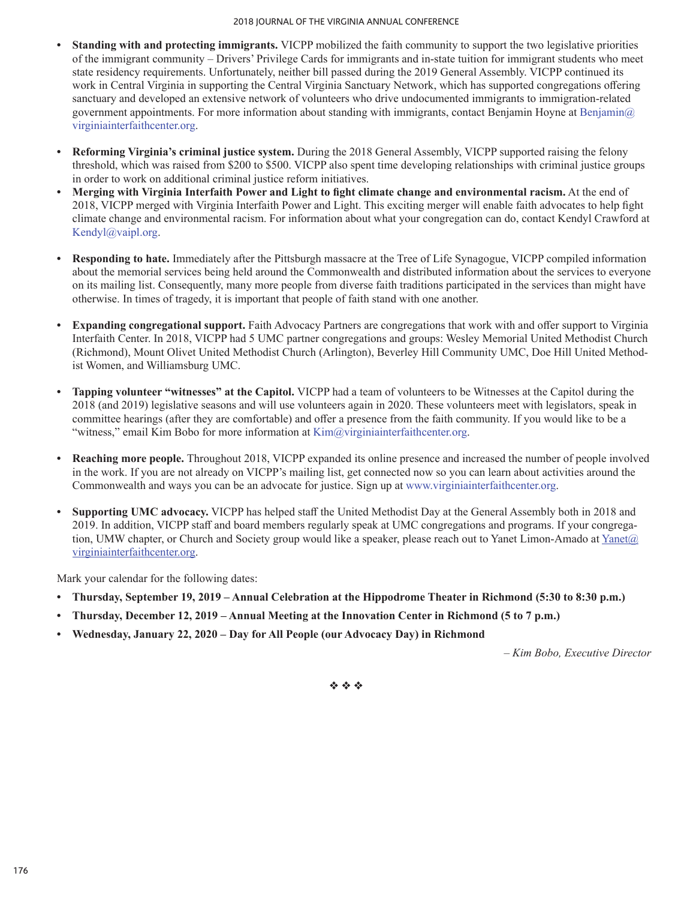- **• Standing with and protecting immigrants.** VICPP mobilized the faith community to support the two legislative priorities of the immigrant community – Drivers' Privilege Cards for immigrants and in-state tuition for immigrant students who meet state residency requirements. Unfortunately, neither bill passed during the 2019 General Assembly. VICPP continued its work in Central Virginia in supporting the Central Virginia Sanctuary Network, which has supported congregations offering sanctuary and developed an extensive network of volunteers who drive undocumented immigrants to immigration-related government appointments. For more information about standing with immigrants, contact Benjamin Hoyne at Benjamin  $\omega$ virginiainterfaithcenter.org.
- **• Reforming Virginia's criminal justice system.** During the 2018 General Assembly, VICPP supported raising the felony threshold, which was raised from \$200 to \$500. VICPP also spent time developing relationships with criminal justice groups in order to work on additional criminal justice reform initiatives.
- **• Merging with Virginia Interfaith Power and Light to fight climate change and environmental racism.** At the end of 2018, VICPP merged with Virginia Interfaith Power and Light. This exciting merger will enable faith advocates to help fight climate change and environmental racism. For information about what your congregation can do, contact Kendyl Crawford at Kendyl@vaipl.org.
- **• Responding to hate.** Immediately after the Pittsburgh massacre at the Tree of Life Synagogue, VICPP compiled information about the memorial services being held around the Commonwealth and distributed information about the services to everyone on its mailing list. Consequently, many more people from diverse faith traditions participated in the services than might have otherwise. In times of tragedy, it is important that people of faith stand with one another.
- **• Expanding congregational support.** Faith Advocacy Partners are congregations that work with and offer support to Virginia Interfaith Center. In 2018, VICPP had 5 UMC partner congregations and groups: Wesley Memorial United Methodist Church (Richmond), Mount Olivet United Methodist Church (Arlington), Beverley Hill Community UMC, Doe Hill United Methodist Women, and Williamsburg UMC.
- **• Tapping volunteer "witnesses" at the Capitol.** VICPP had a team of volunteers to be Witnesses at the Capitol during the 2018 (and 2019) legislative seasons and will use volunteers again in 2020. These volunteers meet with legislators, speak in committee hearings (after they are comfortable) and offer a presence from the faith community. If you would like to be a "witness," email Kim Bobo for more information at Kim@virginiainterfaithcenter.org.
- **• Reaching more people.** Throughout 2018, VICPP expanded its online presence and increased the number of people involved in the work. If you are not already on VICPP's mailing list, get connected now so you can learn about activities around the Commonwealth and ways you can be an advocate for justice. Sign up at www.virginiainterfaithcenter.org.
- **• Supporting UMC advocacy.** VICPP has helped staff the United Methodist Day at the General Assembly both in 2018 and 2019. In addition, VICPP staff and board members regularly speak at UMC congregations and programs. If your congregation, UMW chapter, or Church and Society group would like a speaker, please reach out to Yanet Limon-Amado at Yanet@ virginiainterfaithcenter.org.

Mark your calendar for the following dates:

- **• Thursday, September 19, 2019 Annual Celebration at the Hippodrome Theater in Richmond (5:30 to 8:30 p.m.)**
- **• Thursday, December 12, 2019 Annual Meeting at the Innovation Center in Richmond (5 to 7 p.m.)**
- **• Wednesday, January 22, 2020 Day for All People (our Advocacy Day) in Richmond**

*– Kim Bobo, Executive Director*

 $\phi_2$   $\phi_3$   $\phi_4$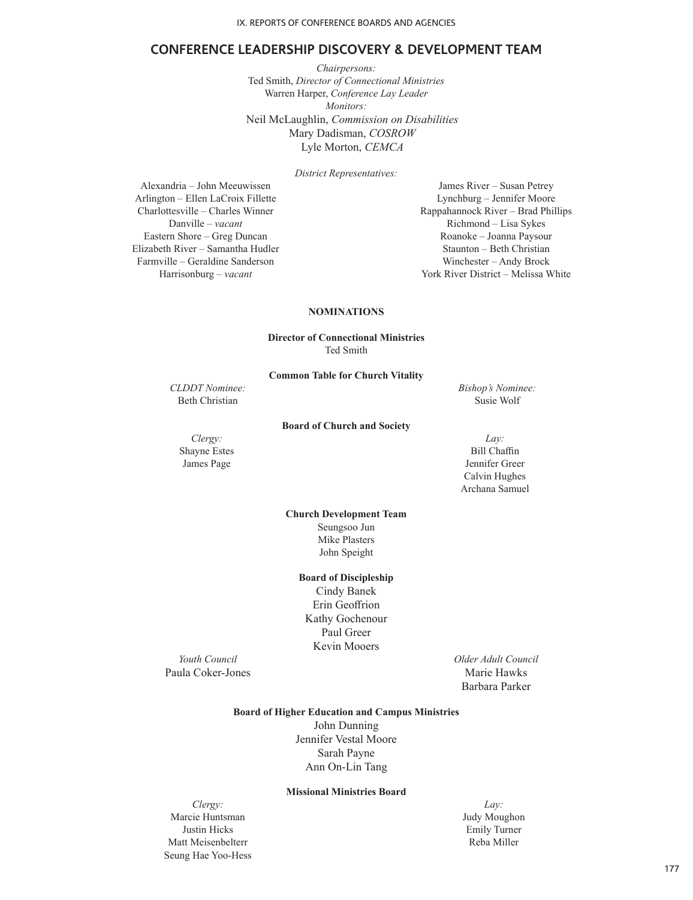## **CONFERENCE LEADERSHIP DISCOVERY & DEVELOPMENT TEAM**

*Chairpersons:* Ted Smith, *Director of Connectional Ministries* Warren Harper, *Conference Lay Leader Monitors:* Neil McLaughlin, *Commission on Disabilities* Mary Dadisman, *COSROW* Lyle Morton, *CEMCA*

*District Representatives:*

Alexandria – John Meeuwissen James River – Susan Petrey Arlington – Ellen LaCroix Fillette Lynchburg – Jennifer Moore Eastern Shore – Greg Duncan Roanoke – Joanna Paysour Elizabeth River – Samantha Hudler Staunton – Beth Christian Farmville – Geraldine Sanderson Winchester – Andy Brock

Charlottesville – Charles Winner Rappahannock River – Brad Phillips Danville – *vacant* Richmond – Lisa Sykes Harrisonburg – *vacant* York River District – Melissa White

### **NOMINATIONS**

**Director of Connectional Ministries** Ted Smith

**Common Table for Church Vitality**

**Board of Church and Society**

*CLDDT Nominee: Bishop's Nominee:*

Beth Christian Susie Wolf

*Clergy: Lay:* Shayne Estes Bill Chaffin

James Page Jennifer Greer Calvin Hughes Archana Samuel

> **Church Development Team** Seungsoo Jun Mike Plasters John Speight

### **Board of Discipleship**

Cindy Banek Erin Geoffrion Kathy Gochenour Paul Greer Kevin Mooers

Paula Coker-Jones Marie Hawks

*Youth Council Older Adult Council* Barbara Parker

## **Board of Higher Education and Campus Ministries**

John Dunning Jennifer Vestal Moore Sarah Payne Ann On-Lin Tang

## **Missional Ministries Board**

*Clergy: Lay:* Marcie Huntsman Judy Moughon Justin Hicks Emily Turner Matt Meisenbelterr Reba Miller Seung Hae Yoo-Hess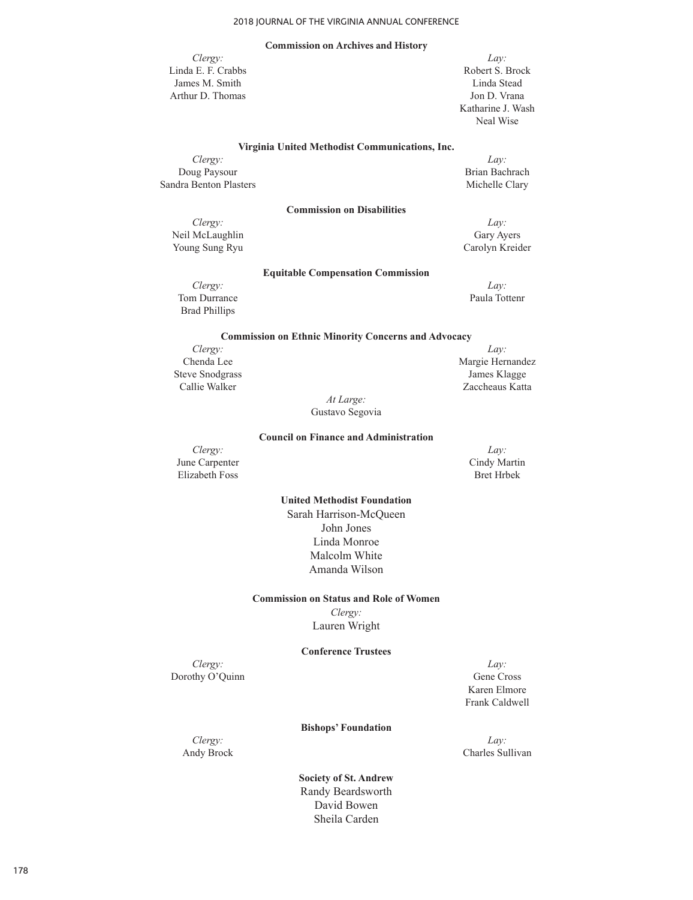### **Commission on Archives and History**

Linda E. F. Crabbs Robert S. Brock James M. Smith Linda Stead Arthur D. Thomas Jon D. Vrana

*Clergy: Lay:* Katharine J. Wash Neal Wise

#### **Virginia United Methodist Communications, Inc.**

*Clergy: Lay:* Doug Paysour Brian Bachrach<br>
dra Benton Plasters (1999)<br>
Michelle Clary Sandra Benton Plasters

*Clergy: Lay:* Neil McLaughlin Gary Ayers Young Sung Ryu Carolyn Kreider

## **Equitable Compensation Commission**

**Commission on Disabilities** 

*Clergy: Lay:* Tom Durrance Paula Tottenr Brad Phillips

#### **Commission on Ethnic Minority Concerns and Advocacy**

*Clergy: Lay:* Steve Snodgrass James Klagge

Chenda Lee Margie Hernandez Callie Walker Zaccheaus Katta

*At Large:*  Gustavo Segovia

#### **Council on Finance and Administration**

*Clergy: Lay:* June Carpenter Cindy Martin<br>
Elizabeth Foss Bret Hrbek Elizabeth Foss

### **United Methodist Foundation**

Sarah Harrison-McQueen John Jones Linda Monroe Malcolm White Amanda Wilson

#### **Commission on Status and Role of Women**

*Clergy:* Lauren Wright

### **Conference Trustees**

*Clergy: Lay:* Dorothy O'Quinn Gene Cross

Karen Elmore Frank Caldwell

#### **Bishops' Foundation**

*Clergy: Lay:*

Andy Brock Charles Sullivan

**Society of St. Andrew** Randy Beardsworth David Bowen Sheila Carden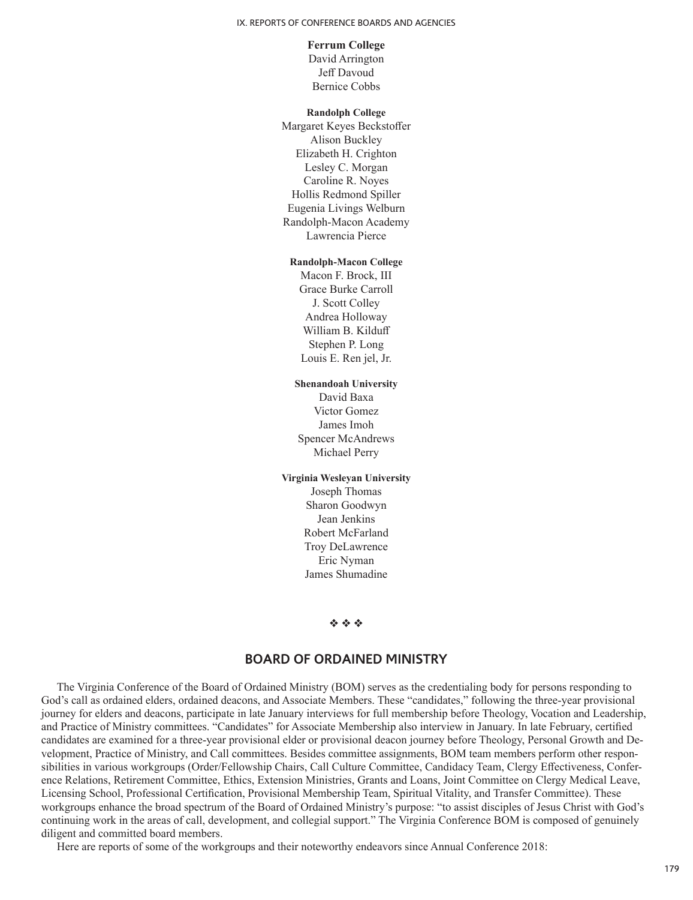## **Ferrum College**

David Arrington Jeff Davoud Bernice Cobbs

### **Randolph College**

Margaret Keyes Beckstoffer Alison Buckley Elizabeth H. Crighton Lesley C. Morgan Caroline R. Noyes Hollis Redmond Spiller Eugenia Livings Welburn Randolph-Macon Academy Lawrencia Pierce

## **Randolph-Macon College**

Macon F. Brock, III Grace Burke Carroll J. Scott Colley Andrea Holloway William B. Kilduff Stephen P. Long Louis E. Ren jel, Jr.

#### **Shenandoah University**

David Baxa Victor Gomez James Imoh Spencer McAndrews Michael Perry

## **Virginia Wesleyan University** Joseph Thomas Sharon Goodwyn Jean Jenkins Robert McFarland Troy DeLawrence Eric Nyman James Shumadine

#### $\Phi \Phi \Phi$

# **BOARD OF ORDAINED MINISTRY**

The Virginia Conference of the Board of Ordained Ministry (BOM) serves as the credentialing body for persons responding to God's call as ordained elders, ordained deacons, and Associate Members. These "candidates," following the three-year provisional journey for elders and deacons, participate in late January interviews for full membership before Theology, Vocation and Leadership, and Practice of Ministry committees. "Candidates" for Associate Membership also interview in January. In late February, certified candidates are examined for a three-year provisional elder or provisional deacon journey before Theology, Personal Growth and Development, Practice of Ministry, and Call committees. Besides committee assignments, BOM team members perform other responsibilities in various workgroups (Order/Fellowship Chairs, Call Culture Committee, Candidacy Team, Clergy Effectiveness, Conference Relations, Retirement Committee, Ethics, Extension Ministries, Grants and Loans, Joint Committee on Clergy Medical Leave, Licensing School, Professional Certification, Provisional Membership Team, Spiritual Vitality, and Transfer Committee). These workgroups enhance the broad spectrum of the Board of Ordained Ministry's purpose: "to assist disciples of Jesus Christ with God's continuing work in the areas of call, development, and collegial support." The Virginia Conference BOM is composed of genuinely diligent and committed board members.

Here are reports of some of the workgroups and their noteworthy endeavors since Annual Conference 2018: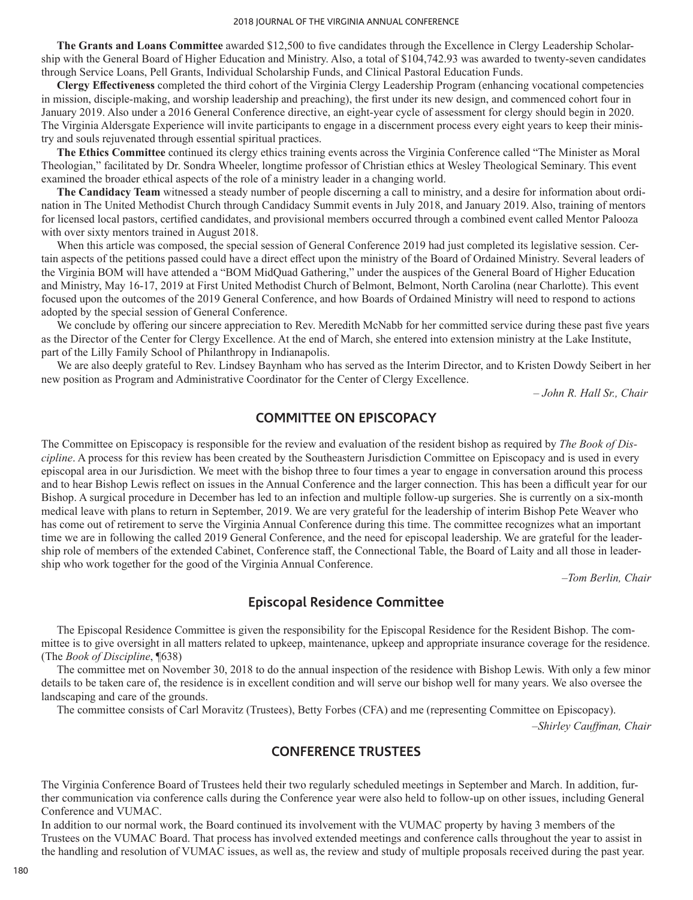**The Grants and Loans Committee** awarded \$12,500 to five candidates through the Excellence in Clergy Leadership Scholarship with the General Board of Higher Education and Ministry. Also, a total of \$104,742.93 was awarded to twenty-seven candidates through Service Loans, Pell Grants, Individual Scholarship Funds, and Clinical Pastoral Education Funds.

**Clergy Effectiveness** completed the third cohort of the Virginia Clergy Leadership Program (enhancing vocational competencies in mission, disciple-making, and worship leadership and preaching), the first under its new design, and commenced cohort four in January 2019. Also under a 2016 General Conference directive, an eight-year cycle of assessment for clergy should begin in 2020. The Virginia Aldersgate Experience will invite participants to engage in a discernment process every eight years to keep their ministry and souls rejuvenated through essential spiritual practices.

**The Ethics Committee** continued its clergy ethics training events across the Virginia Conference called "The Minister as Moral Theologian," facilitated by Dr. Sondra Wheeler, longtime professor of Christian ethics at Wesley Theological Seminary. This event examined the broader ethical aspects of the role of a ministry leader in a changing world.

**The Candidacy Team** witnessed a steady number of people discerning a call to ministry, and a desire for information about ordination in The United Methodist Church through Candidacy Summit events in July 2018, and January 2019. Also, training of mentors for licensed local pastors, certified candidates, and provisional members occurred through a combined event called Mentor Palooza with over sixty mentors trained in August 2018.

When this article was composed, the special session of General Conference 2019 had just completed its legislative session. Certain aspects of the petitions passed could have a direct effect upon the ministry of the Board of Ordained Ministry. Several leaders of the Virginia BOM will have attended a "BOM MidQuad Gathering," under the auspices of the General Board of Higher Education and Ministry, May 16-17, 2019 at First United Methodist Church of Belmont, Belmont, North Carolina (near Charlotte). This event focused upon the outcomes of the 2019 General Conference, and how Boards of Ordained Ministry will need to respond to actions adopted by the special session of General Conference.

We conclude by offering our sincere appreciation to Rev. Meredith McNabb for her committed service during these past five years as the Director of the Center for Clergy Excellence. At the end of March, she entered into extension ministry at the Lake Institute, part of the Lilly Family School of Philanthropy in Indianapolis.

We are also deeply grateful to Rev. Lindsey Baynham who has served as the Interim Director, and to Kristen Dowdy Seibert in her new position as Program and Administrative Coordinator for the Center of Clergy Excellence.

*– John R. Hall Sr., Chair*

# **COMMITTEE ON EPISCOPACY**

The Committee on Episcopacy is responsible for the review and evaluation of the resident bishop as required by *The Book of Discipline*. A process for this review has been created by the Southeastern Jurisdiction Committee on Episcopacy and is used in every episcopal area in our Jurisdiction. We meet with the bishop three to four times a year to engage in conversation around this process and to hear Bishop Lewis reflect on issues in the Annual Conference and the larger connection. This has been a difficult year for our Bishop. A surgical procedure in December has led to an infection and multiple follow-up surgeries. She is currently on a six-month medical leave with plans to return in September, 2019. We are very grateful for the leadership of interim Bishop Pete Weaver who has come out of retirement to serve the Virginia Annual Conference during this time. The committee recognizes what an important time we are in following the called 2019 General Conference, and the need for episcopal leadership. We are grateful for the leadership role of members of the extended Cabinet, Conference staff, the Connectional Table, the Board of Laity and all those in leadership who work together for the good of the Virginia Annual Conference.

*–Tom Berlin, Chair*

# **Episcopal Residence Committee**

The Episcopal Residence Committee is given the responsibility for the Episcopal Residence for the Resident Bishop. The committee is to give oversight in all matters related to upkeep, maintenance, upkeep and appropriate insurance coverage for the residence. (The *Book of Discipline*, ¶638)

The committee met on November 30, 2018 to do the annual inspection of the residence with Bishop Lewis. With only a few minor details to be taken care of, the residence is in excellent condition and will serve our bishop well for many years. We also oversee the landscaping and care of the grounds.

The committee consists of Carl Moravitz (Trustees), Betty Forbes (CFA) and me (representing Committee on Episcopacy).

*–Shirley Cauffman, Chair*

## **CONFERENCE TRUSTEES**

The Virginia Conference Board of Trustees held their two regularly scheduled meetings in September and March. In addition, further communication via conference calls during the Conference year were also held to follow-up on other issues, including General Conference and VUMAC.

In addition to our normal work, the Board continued its involvement with the VUMAC property by having 3 members of the Trustees on the VUMAC Board. That process has involved extended meetings and conference calls throughout the year to assist in the handling and resolution of VUMAC issues, as well as, the review and study of multiple proposals received during the past year.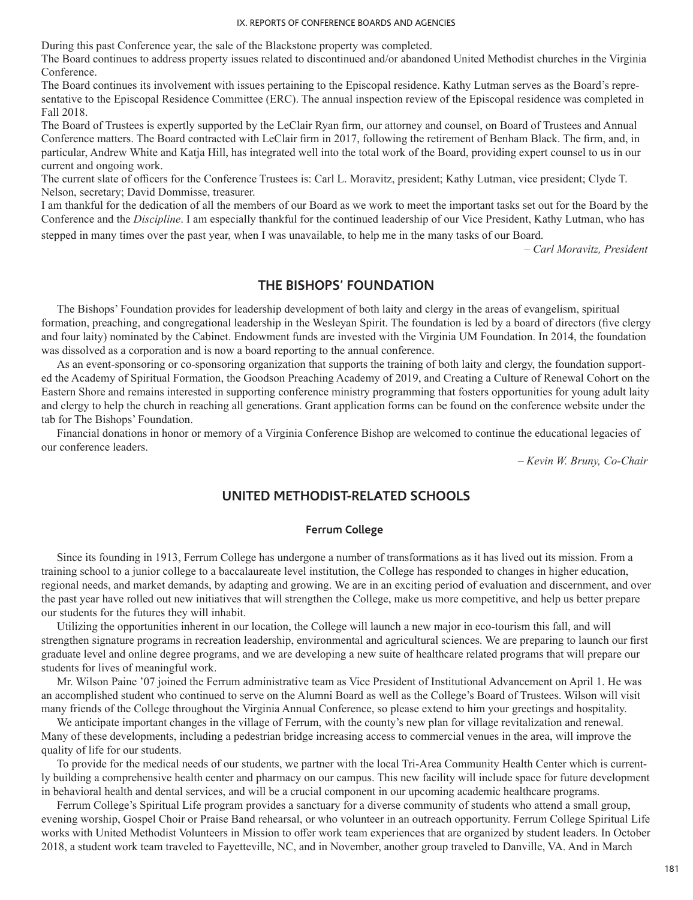During this past Conference year, the sale of the Blackstone property was completed.

The Board continues to address property issues related to discontinued and/or abandoned United Methodist churches in the Virginia Conference.

The Board continues its involvement with issues pertaining to the Episcopal residence. Kathy Lutman serves as the Board's representative to the Episcopal Residence Committee (ERC). The annual inspection review of the Episcopal residence was completed in Fall 2018.

The Board of Trustees is expertly supported by the LeClair Ryan firm, our attorney and counsel, on Board of Trustees and Annual Conference matters. The Board contracted with LeClair firm in 2017, following the retirement of Benham Black. The firm, and, in particular, Andrew White and Katja Hill, has integrated well into the total work of the Board, providing expert counsel to us in our current and ongoing work.

The current slate of officers for the Conference Trustees is: Carl L. Moravitz, president; Kathy Lutman, vice president; Clyde T. Nelson, secretary; David Dommisse, treasurer.

I am thankful for the dedication of all the members of our Board as we work to meet the important tasks set out for the Board by the Conference and the *Discipline*. I am especially thankful for the continued leadership of our Vice President, Kathy Lutman, who has

stepped in many times over the past year, when I was unavailable, to help me in the many tasks of our Board.

*– Carl Moravitz, President*

## **THE BISHOPS' FOUNDATION**

The Bishops' Foundation provides for leadership development of both laity and clergy in the areas of evangelism, spiritual formation, preaching, and congregational leadership in the Wesleyan Spirit. The foundation is led by a board of directors (five clergy and four laity) nominated by the Cabinet. Endowment funds are invested with the Virginia UM Foundation. In 2014, the foundation was dissolved as a corporation and is now a board reporting to the annual conference.

As an event-sponsoring or co-sponsoring organization that supports the training of both laity and clergy, the foundation supported the Academy of Spiritual Formation, the Goodson Preaching Academy of 2019, and Creating a Culture of Renewal Cohort on the Eastern Shore and remains interested in supporting conference ministry programming that fosters opportunities for young adult laity and clergy to help the church in reaching all generations. Grant application forms can be found on the conference website under the tab for The Bishops' Foundation.

Financial donations in honor or memory of a Virginia Conference Bishop are welcomed to continue the educational legacies of our conference leaders.

*– Kevin W. Bruny, Co-Chair*

## **UNITED METHODIST-RELATED SCHOOLS**

### **Ferrum College**

Since its founding in 1913, Ferrum College has undergone a number of transformations as it has lived out its mission. From a training school to a junior college to a baccalaureate level institution, the College has responded to changes in higher education, regional needs, and market demands, by adapting and growing. We are in an exciting period of evaluation and discernment, and over the past year have rolled out new initiatives that will strengthen the College, make us more competitive, and help us better prepare our students for the futures they will inhabit.

Utilizing the opportunities inherent in our location, the College will launch a new major in eco-tourism this fall, and will strengthen signature programs in recreation leadership, environmental and agricultural sciences. We are preparing to launch our first graduate level and online degree programs, and we are developing a new suite of healthcare related programs that will prepare our students for lives of meaningful work.

Mr. Wilson Paine '07 joined the Ferrum administrative team as Vice President of Institutional Advancement on April 1. He was an accomplished student who continued to serve on the Alumni Board as well as the College's Board of Trustees. Wilson will visit many friends of the College throughout the Virginia Annual Conference, so please extend to him your greetings and hospitality.

We anticipate important changes in the village of Ferrum, with the county's new plan for village revitalization and renewal. Many of these developments, including a pedestrian bridge increasing access to commercial venues in the area, will improve the quality of life for our students.

To provide for the medical needs of our students, we partner with the local Tri-Area Community Health Center which is currently building a comprehensive health center and pharmacy on our campus. This new facility will include space for future development in behavioral health and dental services, and will be a crucial component in our upcoming academic healthcare programs.

Ferrum College's Spiritual Life program provides a sanctuary for a diverse community of students who attend a small group, evening worship, Gospel Choir or Praise Band rehearsal, or who volunteer in an outreach opportunity. Ferrum College Spiritual Life works with United Methodist Volunteers in Mission to offer work team experiences that are organized by student leaders. In October 2018, a student work team traveled to Fayetteville, NC, and in November, another group traveled to Danville, VA. And in March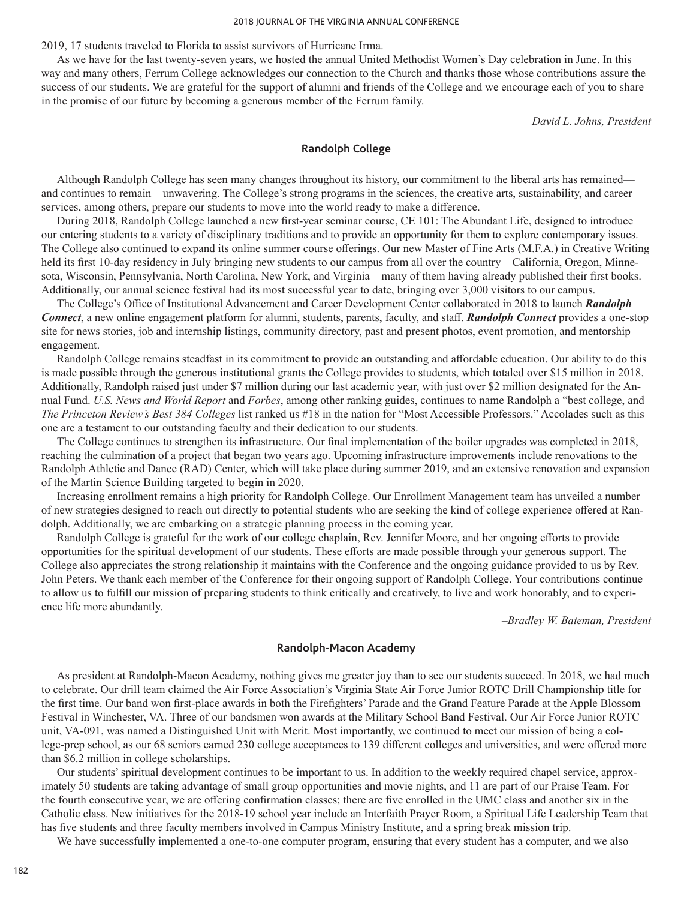2019, 17 students traveled to Florida to assist survivors of Hurricane Irma.

As we have for the last twenty-seven years, we hosted the annual United Methodist Women's Day celebration in June. In this way and many others, Ferrum College acknowledges our connection to the Church and thanks those whose contributions assure the success of our students. We are grateful for the support of alumni and friends of the College and we encourage each of you to share in the promise of our future by becoming a generous member of the Ferrum family.

*– David L. Johns, President*

### **Randolph College**

Although Randolph College has seen many changes throughout its history, our commitment to the liberal arts has remained and continues to remain—unwavering. The College's strong programs in the sciences, the creative arts, sustainability, and career services, among others, prepare our students to move into the world ready to make a difference.

During 2018, Randolph College launched a new first-year seminar course, CE 101: The Abundant Life, designed to introduce our entering students to a variety of disciplinary traditions and to provide an opportunity for them to explore contemporary issues. The College also continued to expand its online summer course offerings. Our new Master of Fine Arts (M.F.A.) in Creative Writing held its first 10-day residency in July bringing new students to our campus from all over the country—California, Oregon, Minnesota, Wisconsin, Pennsylvania, North Carolina, New York, and Virginia—many of them having already published their first books. Additionally, our annual science festival had its most successful year to date, bringing over 3,000 visitors to our campus.

The College's Office of Institutional Advancement and Career Development Center collaborated in 2018 to launch *Randolph Connect*, a new online engagement platform for alumni, students, parents, faculty, and staff. *Randolph Connect* provides a one-stop site for news stories, job and internship listings, community directory, past and present photos, event promotion, and mentorship engagement.

Randolph College remains steadfast in its commitment to provide an outstanding and affordable education. Our ability to do this is made possible through the generous institutional grants the College provides to students, which totaled over \$15 million in 2018. Additionally, Randolph raised just under \$7 million during our last academic year, with just over \$2 million designated for the Annual Fund. *U.S. News and World Report* and *Forbes*, among other ranking guides, continues to name Randolph a "best college, and *The Princeton Review's Best 384 Colleges* list ranked us #18 in the nation for "Most Accessible Professors." Accolades such as this one are a testament to our outstanding faculty and their dedication to our students.

The College continues to strengthen its infrastructure. Our final implementation of the boiler upgrades was completed in 2018, reaching the culmination of a project that began two years ago. Upcoming infrastructure improvements include renovations to the Randolph Athletic and Dance (RAD) Center, which will take place during summer 2019, and an extensive renovation and expansion of the Martin Science Building targeted to begin in 2020.

Increasing enrollment remains a high priority for Randolph College. Our Enrollment Management team has unveiled a number of new strategies designed to reach out directly to potential students who are seeking the kind of college experience offered at Randolph. Additionally, we are embarking on a strategic planning process in the coming year.

Randolph College is grateful for the work of our college chaplain, Rev. Jennifer Moore, and her ongoing efforts to provide opportunities for the spiritual development of our students. These efforts are made possible through your generous support. The College also appreciates the strong relationship it maintains with the Conference and the ongoing guidance provided to us by Rev. John Peters. We thank each member of the Conference for their ongoing support of Randolph College. Your contributions continue to allow us to fulfill our mission of preparing students to think critically and creatively, to live and work honorably, and to experience life more abundantly.

*–Bradley W. Bateman, President*

#### **Randolph-Macon Academy**

As president at Randolph-Macon Academy, nothing gives me greater joy than to see our students succeed. In 2018, we had much to celebrate. Our drill team claimed the Air Force Association's Virginia State Air Force Junior ROTC Drill Championship title for the first time. Our band won first-place awards in both the Firefighters' Parade and the Grand Feature Parade at the Apple Blossom Festival in Winchester, VA. Three of our bandsmen won awards at the Military School Band Festival. Our Air Force Junior ROTC unit, VA-091, was named a Distinguished Unit with Merit. Most importantly, we continued to meet our mission of being a college-prep school, as our 68 seniors earned 230 college acceptances to 139 different colleges and universities, and were offered more than \$6.2 million in college scholarships.

Our students' spiritual development continues to be important to us. In addition to the weekly required chapel service, approximately 50 students are taking advantage of small group opportunities and movie nights, and 11 are part of our Praise Team. For the fourth consecutive year, we are offering confirmation classes; there are five enrolled in the UMC class and another six in the Catholic class. New initiatives for the 2018-19 school year include an Interfaith Prayer Room, a Spiritual Life Leadership Team that has five students and three faculty members involved in Campus Ministry Institute, and a spring break mission trip.

We have successfully implemented a one-to-one computer program, ensuring that every student has a computer, and we also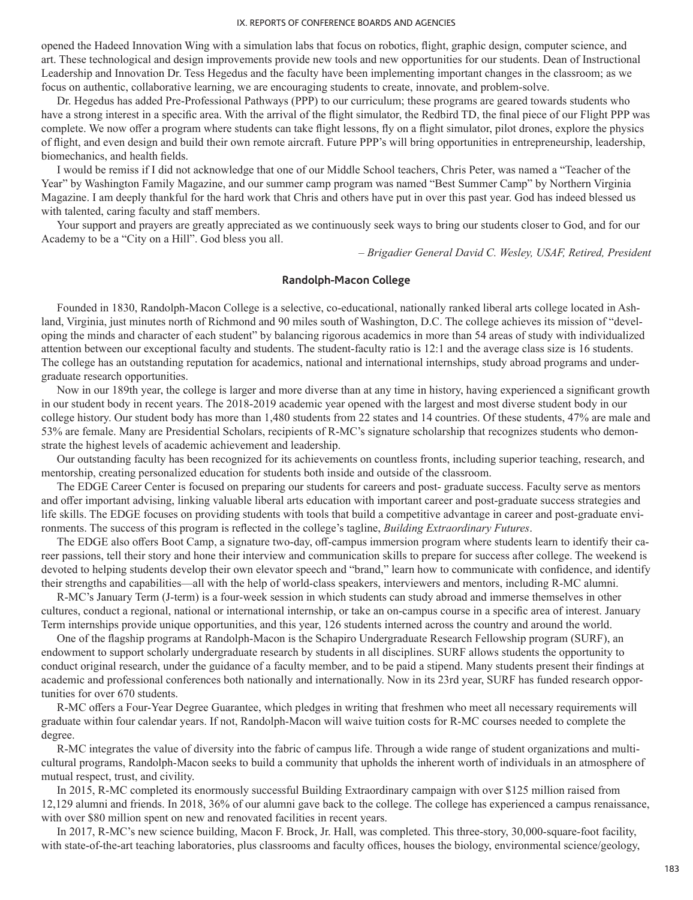opened the Hadeed Innovation Wing with a simulation labs that focus on robotics, flight, graphic design, computer science, and art. These technological and design improvements provide new tools and new opportunities for our students. Dean of Instructional Leadership and Innovation Dr. Tess Hegedus and the faculty have been implementing important changes in the classroom; as we focus on authentic, collaborative learning, we are encouraging students to create, innovate, and problem-solve.

Dr. Hegedus has added Pre-Professional Pathways (PPP) to our curriculum; these programs are geared towards students who have a strong interest in a specific area. With the arrival of the flight simulator, the Redbird TD, the final piece of our Flight PPP was complete. We now offer a program where students can take flight lessons, fly on a flight simulator, pilot drones, explore the physics of flight, and even design and build their own remote aircraft. Future PPP's will bring opportunities in entrepreneurship, leadership, biomechanics, and health fields.

I would be remiss if I did not acknowledge that one of our Middle School teachers, Chris Peter, was named a "Teacher of the Year" by Washington Family Magazine, and our summer camp program was named "Best Summer Camp" by Northern Virginia Magazine. I am deeply thankful for the hard work that Chris and others have put in over this past year. God has indeed blessed us with talented, caring faculty and staff members.

Your support and prayers are greatly appreciated as we continuously seek ways to bring our students closer to God, and for our Academy to be a "City on a Hill". God bless you all.

*– Brigadier General David C. Wesley, USAF, Retired, President*

## **Randolph-Macon College**

Founded in 1830, Randolph-Macon College is a selective, co-educational, nationally ranked liberal arts college located in Ashland, Virginia, just minutes north of Richmond and 90 miles south of Washington, D.C. The college achieves its mission of "developing the minds and character of each student" by balancing rigorous academics in more than 54 areas of study with individualized attention between our exceptional faculty and students. The student-faculty ratio is 12:1 and the average class size is 16 students. The college has an outstanding reputation for academics, national and international internships, study abroad programs and undergraduate research opportunities.

Now in our 189th year, the college is larger and more diverse than at any time in history, having experienced a significant growth in our student body in recent years. The 2018-2019 academic year opened with the largest and most diverse student body in our college history. Our student body has more than 1,480 students from 22 states and 14 countries. Of these students, 47% are male and 53% are female. Many are Presidential Scholars, recipients of R-MC's signature scholarship that recognizes students who demonstrate the highest levels of academic achievement and leadership.

Our outstanding faculty has been recognized for its achievements on countless fronts, including superior teaching, research, and mentorship, creating personalized education for students both inside and outside of the classroom.

The EDGE Career Center is focused on preparing our students for careers and post- graduate success. Faculty serve as mentors and offer important advising, linking valuable liberal arts education with important career and post-graduate success strategies and life skills. The EDGE focuses on providing students with tools that build a competitive advantage in career and post-graduate environments. The success of this program is reflected in the college's tagline, *Building Extraordinary Futures*.

The EDGE also offers Boot Camp, a signature two-day, off-campus immersion program where students learn to identify their career passions, tell their story and hone their interview and communication skills to prepare for success after college. The weekend is devoted to helping students develop their own elevator speech and "brand," learn how to communicate with confidence, and identify their strengths and capabilities—all with the help of world-class speakers, interviewers and mentors, including R-MC alumni.

R-MC's January Term (J-term) is a four-week session in which students can study abroad and immerse themselves in other cultures, conduct a regional, national or international internship, or take an on-campus course in a specific area of interest. January Term internships provide unique opportunities, and this year, 126 students interned across the country and around the world.

One of the flagship programs at Randolph-Macon is the Schapiro Undergraduate Research Fellowship program (SURF), an endowment to support scholarly undergraduate research by students in all disciplines. SURF allows students the opportunity to conduct original research, under the guidance of a faculty member, and to be paid a stipend. Many students present their findings at academic and professional conferences both nationally and internationally. Now in its 23rd year, SURF has funded research opportunities for over 670 students.

R-MC offers a Four-Year Degree Guarantee, which pledges in writing that freshmen who meet all necessary requirements will graduate within four calendar years. If not, Randolph-Macon will waive tuition costs for R-MC courses needed to complete the degree.

R-MC integrates the value of diversity into the fabric of campus life. Through a wide range of student organizations and multicultural programs, Randolph-Macon seeks to build a community that upholds the inherent worth of individuals in an atmosphere of mutual respect, trust, and civility.

In 2015, R-MC completed its enormously successful Building Extraordinary campaign with over \$125 million raised from 12,129 alumni and friends. In 2018, 36% of our alumni gave back to the college. The college has experienced a campus renaissance, with over \$80 million spent on new and renovated facilities in recent years.

In 2017, R-MC's new science building, Macon F. Brock, Jr. Hall, was completed. This three-story, 30,000-square-foot facility, with state-of-the-art teaching laboratories, plus classrooms and faculty offices, houses the biology, environmental science/geology,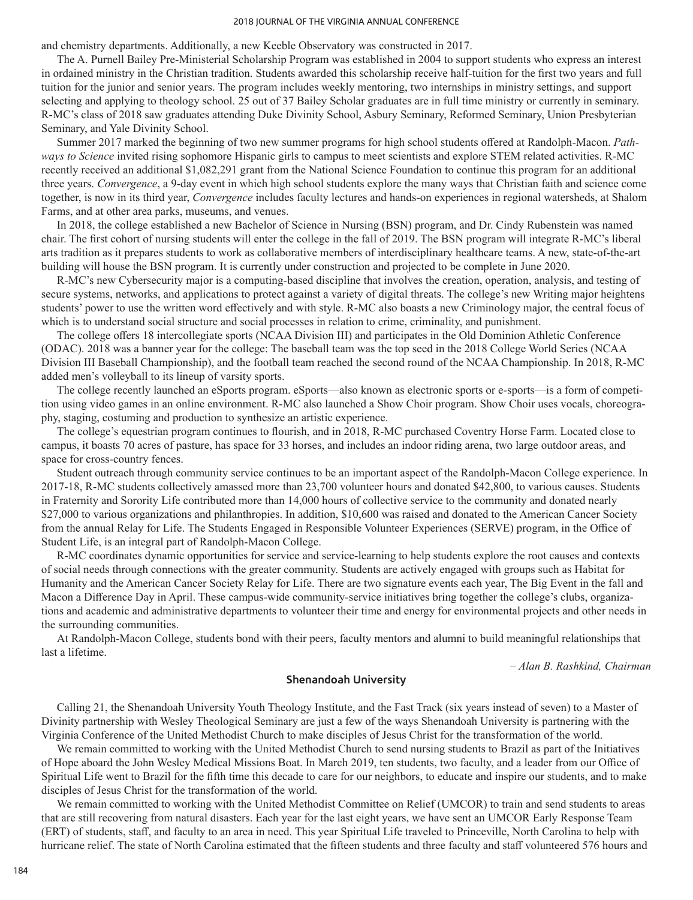#### 2018 JOURNAL OF THE VIRGINIA ANNUAL CONFERENCE

and chemistry departments. Additionally, a new Keeble Observatory was constructed in 2017.

The A. Purnell Bailey Pre-Ministerial Scholarship Program was established in 2004 to support students who express an interest in ordained ministry in the Christian tradition. Students awarded this scholarship receive half-tuition for the first two years and full tuition for the junior and senior years. The program includes weekly mentoring, two internships in ministry settings, and support selecting and applying to theology school. 25 out of 37 Bailey Scholar graduates are in full time ministry or currently in seminary. R-MC's class of 2018 saw graduates attending Duke Divinity School, Asbury Seminary, Reformed Seminary, Union Presbyterian Seminary, and Yale Divinity School.

Summer 2017 marked the beginning of two new summer programs for high school students offered at Randolph-Macon. *Pathways to Science* invited rising sophomore Hispanic girls to campus to meet scientists and explore STEM related activities. R-MC recently received an additional \$1,082,291 grant from the National Science Foundation to continue this program for an additional three years. *Convergence*, a 9-day event in which high school students explore the many ways that Christian faith and science come together, is now in its third year, *Convergence* includes faculty lectures and hands-on experiences in regional watersheds, at Shalom Farms, and at other area parks, museums, and venues.

In 2018, the college established a new Bachelor of Science in Nursing (BSN) program, and Dr. Cindy Rubenstein was named chair. The first cohort of nursing students will enter the college in the fall of 2019. The BSN program will integrate R-MC's liberal arts tradition as it prepares students to work as collaborative members of interdisciplinary healthcare teams. A new, state-of-the-art building will house the BSN program. It is currently under construction and projected to be complete in June 2020.

R-MC's new Cybersecurity major is a computing-based discipline that involves the creation, operation, analysis, and testing of secure systems, networks, and applications to protect against a variety of digital threats. The college's new Writing major heightens students' power to use the written word effectively and with style. R-MC also boasts a new Criminology major, the central focus of which is to understand social structure and social processes in relation to crime, criminality, and punishment.

The college offers 18 intercollegiate sports (NCAA Division III) and participates in the Old Dominion Athletic Conference (ODAC). 2018 was a banner year for the college: The baseball team was the top seed in the 2018 College World Series (NCAA Division III Baseball Championship), and the football team reached the second round of the NCAA Championship. In 2018, R-MC added men's volleyball to its lineup of varsity sports.

The college recently launched an eSports program. eSports—also known as electronic sports or e-sports—is a form of competition using video games in an online environment. R-MC also launched a Show Choir program. Show Choir uses vocals, choreography, staging, costuming and production to synthesize an artistic experience.

The college's equestrian program continues to flourish, and in 2018, R-MC purchased Coventry Horse Farm. Located close to campus, it boasts 70 acres of pasture, has space for 33 horses, and includes an indoor riding arena, two large outdoor areas, and space for cross-country fences.

Student outreach through community service continues to be an important aspect of the Randolph-Macon College experience. In 2017-18, R-MC students collectively amassed more than 23,700 volunteer hours and donated \$42,800, to various causes. Students in Fraternity and Sorority Life contributed more than 14,000 hours of collective service to the community and donated nearly \$27,000 to various organizations and philanthropies. In addition, \$10,600 was raised and donated to the American Cancer Society from the annual Relay for Life. The Students Engaged in Responsible Volunteer Experiences (SERVE) program, in the Office of Student Life, is an integral part of Randolph-Macon College.

R-MC coordinates dynamic opportunities for service and service-learning to help students explore the root causes and contexts of social needs through connections with the greater community. Students are actively engaged with groups such as Habitat for Humanity and the American Cancer Society Relay for Life. There are two signature events each year, The Big Event in the fall and Macon a Difference Day in April. These campus-wide community-service initiatives bring together the college's clubs, organizations and academic and administrative departments to volunteer their time and energy for environmental projects and other needs in the surrounding communities.

At Randolph-Macon College, students bond with their peers, faculty mentors and alumni to build meaningful relationships that last a lifetime.

*– Alan B. Rashkind, Chairman*

### **Shenandoah University**

Calling 21, the Shenandoah University Youth Theology Institute, and the Fast Track (six years instead of seven) to a Master of Divinity partnership with Wesley Theological Seminary are just a few of the ways Shenandoah University is partnering with the Virginia Conference of the United Methodist Church to make disciples of Jesus Christ for the transformation of the world.

We remain committed to working with the United Methodist Church to send nursing students to Brazil as part of the Initiatives of Hope aboard the John Wesley Medical Missions Boat. In March 2019, ten students, two faculty, and a leader from our Office of Spiritual Life went to Brazil for the fifth time this decade to care for our neighbors, to educate and inspire our students, and to make disciples of Jesus Christ for the transformation of the world.

We remain committed to working with the United Methodist Committee on Relief (UMCOR) to train and send students to areas that are still recovering from natural disasters. Each year for the last eight years, we have sent an UMCOR Early Response Team (ERT) of students, staff, and faculty to an area in need. This year Spiritual Life traveled to Princeville, North Carolina to help with hurricane relief. The state of North Carolina estimated that the fifteen students and three faculty and staff volunteered 576 hours and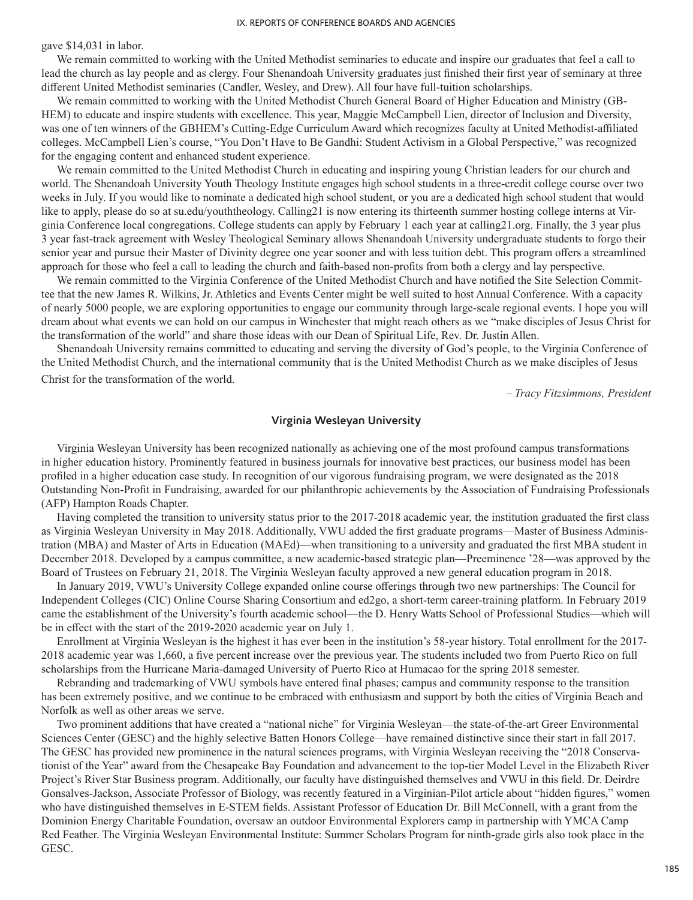gave \$14,031 in labor.

We remain committed to working with the United Methodist seminaries to educate and inspire our graduates that feel a call to lead the church as lay people and as clergy. Four Shenandoah University graduates just finished their first year of seminary at three different United Methodist seminaries (Candler, Wesley, and Drew). All four have full-tuition scholarships.

We remain committed to working with the United Methodist Church General Board of Higher Education and Ministry (GB-HEM) to educate and inspire students with excellence. This year, Maggie McCampbell Lien, director of Inclusion and Diversity, was one of ten winners of the GBHEM's Cutting-Edge Curriculum Award which recognizes faculty at United Methodist-affiliated colleges. McCampbell Lien's course, "You Don't Have to Be Gandhi: Student Activism in a Global Perspective," was recognized for the engaging content and enhanced student experience.

We remain committed to the United Methodist Church in educating and inspiring young Christian leaders for our church and world. The Shenandoah University Youth Theology Institute engages high school students in a three-credit college course over two weeks in July. If you would like to nominate a dedicated high school student, or you are a dedicated high school student that would like to apply, please do so at su.edu/youththeology. Calling21 is now entering its thirteenth summer hosting college interns at Virginia Conference local congregations. College students can apply by February 1 each year at calling21.org. Finally, the 3 year plus 3 year fast-track agreement with Wesley Theological Seminary allows Shenandoah University undergraduate students to forgo their senior year and pursue their Master of Divinity degree one year sooner and with less tuition debt. This program offers a streamlined approach for those who feel a call to leading the church and faith-based non-profits from both a clergy and lay perspective.

We remain committed to the Virginia Conference of the United Methodist Church and have notified the Site Selection Committee that the new James R. Wilkins, Jr. Athletics and Events Center might be well suited to host Annual Conference. With a capacity of nearly 5000 people, we are exploring opportunities to engage our community through large-scale regional events. I hope you will dream about what events we can hold on our campus in Winchester that might reach others as we "make disciples of Jesus Christ for the transformation of the world" and share those ideas with our Dean of Spiritual Life, Rev. Dr. Justin Allen.

Shenandoah University remains committed to educating and serving the diversity of God's people, to the Virginia Conference of the United Methodist Church, and the international community that is the United Methodist Church as we make disciples of Jesus Christ for the transformation of the world.

*– Tracy Fitzsimmons, President*

## **Virginia Wesleyan University**

Virginia Wesleyan University has been recognized nationally as achieving one of the most profound campus transformations in higher education history. Prominently featured in business journals for innovative best practices, our business model has been profiled in a higher education case study. In recognition of our vigorous fundraising program, we were designated as the 2018 Outstanding Non-Profit in Fundraising, awarded for our philanthropic achievements by the Association of Fundraising Professionals (AFP) Hampton Roads Chapter.

Having completed the transition to university status prior to the 2017-2018 academic year, the institution graduated the first class as Virginia Wesleyan University in May 2018. Additionally, VWU added the first graduate programs—Master of Business Administration (MBA) and Master of Arts in Education (MAEd)—when transitioning to a university and graduated the first MBA student in December 2018. Developed by a campus committee, a new academic-based strategic plan—Preeminence '28—was approved by the Board of Trustees on February 21, 2018. The Virginia Wesleyan faculty approved a new general education program in 2018.

In January 2019, VWU's University College expanded online course offerings through two new partnerships: The Council for Independent Colleges (CIC) Online Course Sharing Consortium and ed2go, a short-term career-training platform. In February 2019 came the establishment of the University's fourth academic school—the D. Henry Watts School of Professional Studies—which will be in effect with the start of the 2019-2020 academic year on July 1.

Enrollment at Virginia Wesleyan is the highest it has ever been in the institution's 58-year history. Total enrollment for the 2017- 2018 academic year was 1,660, a five percent increase over the previous year. The students included two from Puerto Rico on full scholarships from the Hurricane Maria-damaged University of Puerto Rico at Humacao for the spring 2018 semester.

Rebranding and trademarking of VWU symbols have entered final phases; campus and community response to the transition has been extremely positive, and we continue to be embraced with enthusiasm and support by both the cities of Virginia Beach and Norfolk as well as other areas we serve.

Two prominent additions that have created a "national niche" for Virginia Wesleyan—the state-of-the-art Greer Environmental Sciences Center (GESC) and the highly selective Batten Honors College—have remained distinctive since their start in fall 2017. The GESC has provided new prominence in the natural sciences programs, with Virginia Wesleyan receiving the "2018 Conservationist of the Year" award from the Chesapeake Bay Foundation and advancement to the top-tier Model Level in the Elizabeth River Project's River Star Business program. Additionally, our faculty have distinguished themselves and VWU in this field. Dr. Deirdre Gonsalves-Jackson, Associate Professor of Biology, was recently featured in a Virginian-Pilot article about "hidden figures," women who have distinguished themselves in E-STEM fields. Assistant Professor of Education Dr. Bill McConnell, with a grant from the Dominion Energy Charitable Foundation, oversaw an outdoor Environmental Explorers camp in partnership with YMCA Camp Red Feather. The Virginia Wesleyan Environmental Institute: Summer Scholars Program for ninth-grade girls also took place in the GESC.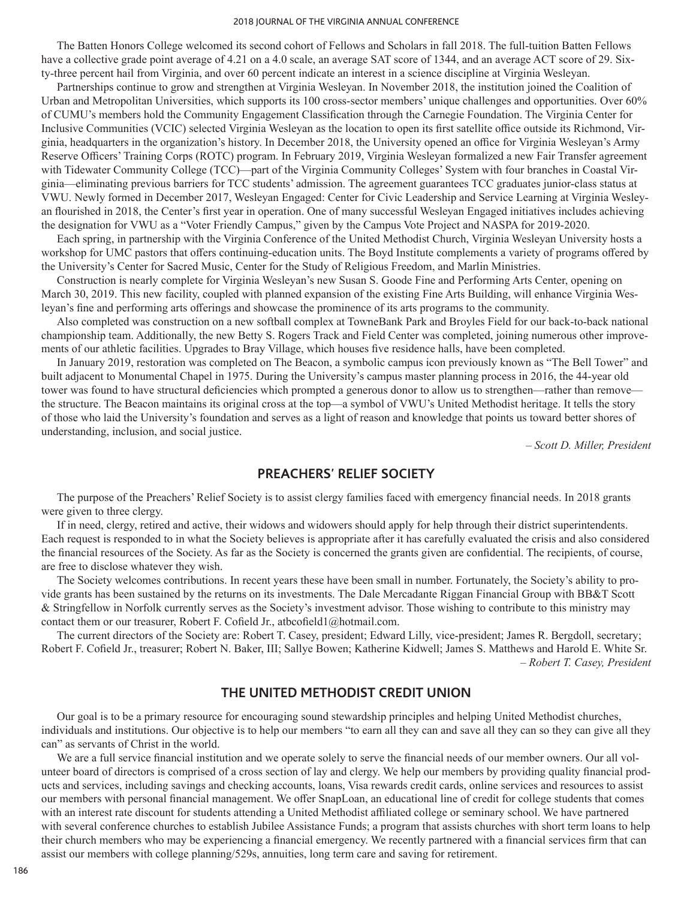#### 2018 JOURNAL OF THE VIRGINIA ANNUAL CONFERENCE

The Batten Honors College welcomed its second cohort of Fellows and Scholars in fall 2018. The full-tuition Batten Fellows have a collective grade point average of 4.21 on a 4.0 scale, an average SAT score of 1344, and an average ACT score of 29. Sixty-three percent hail from Virginia, and over 60 percent indicate an interest in a science discipline at Virginia Wesleyan.

Partnerships continue to grow and strengthen at Virginia Wesleyan. In November 2018, the institution joined the Coalition of Urban and Metropolitan Universities, which supports its 100 cross-sector members' unique challenges and opportunities. Over 60% of CUMU's members hold the Community Engagement Classification through the Carnegie Foundation. The Virginia Center for Inclusive Communities (VCIC) selected Virginia Wesleyan as the location to open its first satellite office outside its Richmond, Virginia, headquarters in the organization's history. In December 2018, the University opened an office for Virginia Wesleyan's Army Reserve Officers' Training Corps (ROTC) program. In February 2019, Virginia Wesleyan formalized a new Fair Transfer agreement with Tidewater Community College (TCC)—part of the Virginia Community Colleges' System with four branches in Coastal Virginia—eliminating previous barriers for TCC students' admission. The agreement guarantees TCC graduates junior-class status at VWU. Newly formed in December 2017, Wesleyan Engaged: Center for Civic Leadership and Service Learning at Virginia Wesleyan flourished in 2018, the Center's first year in operation. One of many successful Wesleyan Engaged initiatives includes achieving the designation for VWU as a "Voter Friendly Campus," given by the Campus Vote Project and NASPA for 2019-2020.

Each spring, in partnership with the Virginia Conference of the United Methodist Church, Virginia Wesleyan University hosts a workshop for UMC pastors that offers continuing-education units. The Boyd Institute complements a variety of programs offered by the University's Center for Sacred Music, Center for the Study of Religious Freedom, and Marlin Ministries.

Construction is nearly complete for Virginia Wesleyan's new Susan S. Goode Fine and Performing Arts Center, opening on March 30, 2019. This new facility, coupled with planned expansion of the existing Fine Arts Building, will enhance Virginia Wesleyan's fine and performing arts offerings and showcase the prominence of its arts programs to the community.

Also completed was construction on a new softball complex at TowneBank Park and Broyles Field for our back-to-back national championship team. Additionally, the new Betty S. Rogers Track and Field Center was completed, joining numerous other improvements of our athletic facilities. Upgrades to Bray Village, which houses five residence halls, have been completed.

In January 2019, restoration was completed on The Beacon, a symbolic campus icon previously known as "The Bell Tower" and built adjacent to Monumental Chapel in 1975. During the University's campus master planning process in 2016, the 44-year old tower was found to have structural deficiencies which prompted a generous donor to allow us to strengthen—rather than remove the structure. The Beacon maintains its original cross at the top—a symbol of VWU's United Methodist heritage. It tells the story of those who laid the University's foundation and serves as a light of reason and knowledge that points us toward better shores of understanding, inclusion, and social justice.

*– Scott D. Miller, President*

## **PREACHERS' RELIEF SOCIETY**

The purpose of the Preachers' Relief Society is to assist clergy families faced with emergency financial needs. In 2018 grants were given to three clergy.

If in need, clergy, retired and active, their widows and widowers should apply for help through their district superintendents. Each request is responded to in what the Society believes is appropriate after it has carefully evaluated the crisis and also considered the financial resources of the Society. As far as the Society is concerned the grants given are confidential. The recipients, of course, are free to disclose whatever they wish.

The Society welcomes contributions. In recent years these have been small in number. Fortunately, the Society's ability to provide grants has been sustained by the returns on its investments. The Dale Mercadante Riggan Financial Group with BB&T Scott & Stringfellow in Norfolk currently serves as the Society's investment advisor. Those wishing to contribute to this ministry may contact them or our treasurer, Robert F. Cofield Jr., atbcofield1@hotmail.com.

The current directors of the Society are: Robert T. Casey, president; Edward Lilly, vice-president; James R. Bergdoll, secretary; Robert F. Cofield Jr., treasurer; Robert N. Baker, III; Sallye Bowen; Katherine Kidwell; James S. Matthews and Harold E. White Sr. *– Robert T. Casey, President*

## **THE UNITED METHODIST CREDIT UNION**

Our goal is to be a primary resource for encouraging sound stewardship principles and helping United Methodist churches, individuals and institutions. Our objective is to help our members "to earn all they can and save all they can so they can give all they can" as servants of Christ in the world.

We are a full service financial institution and we operate solely to serve the financial needs of our member owners. Our all volunteer board of directors is comprised of a cross section of lay and clergy. We help our members by providing quality financial products and services, including savings and checking accounts, loans, Visa rewards credit cards, online services and resources to assist our members with personal financial management. We offer SnapLoan, an educational line of credit for college students that comes with an interest rate discount for students attending a United Methodist affiliated college or seminary school. We have partnered with several conference churches to establish Jubilee Assistance Funds; a program that assists churches with short term loans to help their church members who may be experiencing a financial emergency. We recently partnered with a financial services firm that can assist our members with college planning/529s, annuities, long term care and saving for retirement.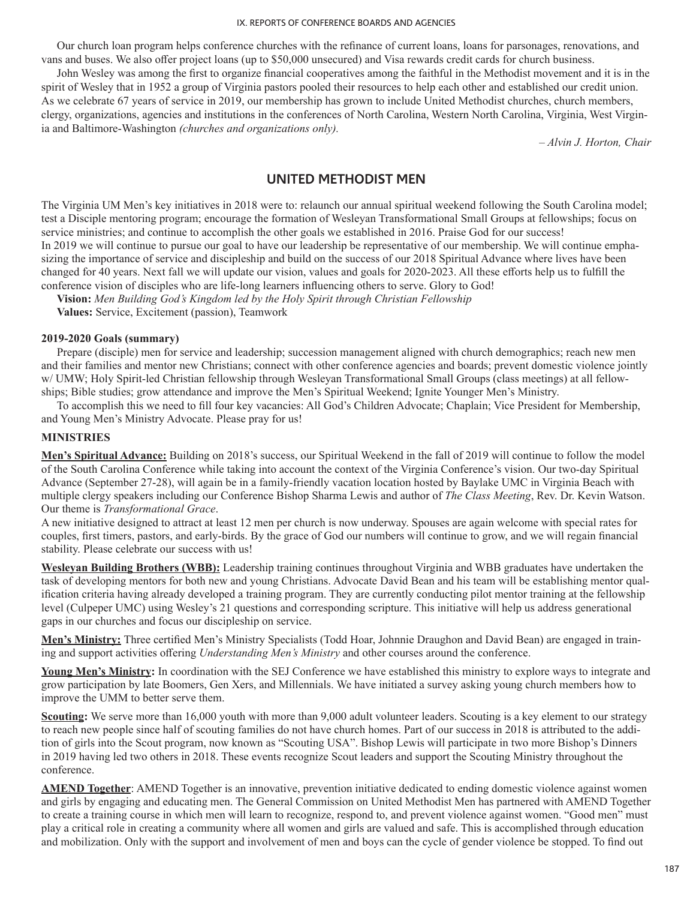Our church loan program helps conference churches with the refinance of current loans, loans for parsonages, renovations, and vans and buses. We also offer project loans (up to \$50,000 unsecured) and Visa rewards credit cards for church business.

John Wesley was among the first to organize financial cooperatives among the faithful in the Methodist movement and it is in the spirit of Wesley that in 1952 a group of Virginia pastors pooled their resources to help each other and established our credit union. As we celebrate 67 years of service in 2019, our membership has grown to include United Methodist churches, church members, clergy, organizations, agencies and institutions in the conferences of North Carolina, Western North Carolina, Virginia, West Virginia and Baltimore-Washington *(churches and organizations only).*

*– Alvin J. Horton, Chair*

# **UNITED METHODIST MEN**

The Virginia UM Men's key initiatives in 2018 were to: relaunch our annual spiritual weekend following the South Carolina model; test a Disciple mentoring program; encourage the formation of Wesleyan Transformational Small Groups at fellowships; focus on service ministries; and continue to accomplish the other goals we established in 2016. Praise God for our success! In 2019 we will continue to pursue our goal to have our leadership be representative of our membership. We will continue emphasizing the importance of service and discipleship and build on the success of our 2018 Spiritual Advance where lives have been changed for 40 years. Next fall we will update our vision, values and goals for 2020-2023. All these efforts help us to fulfill the conference vision of disciples who are life-long learners influencing others to serve. Glory to God!

**Vision:** *Men Building God's Kingdom led by the Holy Spirit through Christian Fellowship*

**Values:** Service, Excitement (passion), Teamwork

## **2019-2020 Goals (summary)**

Prepare (disciple) men for service and leadership; succession management aligned with church demographics; reach new men and their families and mentor new Christians; connect with other conference agencies and boards; prevent domestic violence jointly w/ UMW; Holy Spirit-led Christian fellowship through Wesleyan Transformational Small Groups (class meetings) at all fellowships; Bible studies; grow attendance and improve the Men's Spiritual Weekend; Ignite Younger Men's Ministry.

To accomplish this we need to fill four key vacancies: All God's Children Advocate; Chaplain; Vice President for Membership, and Young Men's Ministry Advocate. Please pray for us!

### **MINISTRIES**

**Men's Spiritual Advance:** Building on 2018's success, our Spiritual Weekend in the fall of 2019 will continue to follow the model of the South Carolina Conference while taking into account the context of the Virginia Conference's vision. Our two-day Spiritual Advance (September 27-28), will again be in a family-friendly vacation location hosted by Baylake UMC in Virginia Beach with multiple clergy speakers including our Conference Bishop Sharma Lewis and author of *The Class Meeting*, Rev. Dr. Kevin Watson. Our theme is *Transformational Grace*.

A new initiative designed to attract at least 12 men per church is now underway. Spouses are again welcome with special rates for couples, first timers, pastors, and early-birds. By the grace of God our numbers will continue to grow, and we will regain financial stability. Please celebrate our success with us!

**Wesleyan Building Brothers (WBB):** Leadership training continues throughout Virginia and WBB graduates have undertaken the task of developing mentors for both new and young Christians. Advocate David Bean and his team will be establishing mentor qualification criteria having already developed a training program. They are currently conducting pilot mentor training at the fellowship level (Culpeper UMC) using Wesley's 21 questions and corresponding scripture. This initiative will help us address generational gaps in our churches and focus our discipleship on service.

**Men's Ministry:** Three certified Men's Ministry Specialists (Todd Hoar, Johnnie Draughon and David Bean) are engaged in training and support activities offering *Understanding Men's Ministry* and other courses around the conference.

**Young Men's Ministry:** In coordination with the SEJ Conference we have established this ministry to explore ways to integrate and grow participation by late Boomers, Gen Xers, and Millennials. We have initiated a survey asking young church members how to improve the UMM to better serve them.

**Scouting:** We serve more than 16,000 youth with more than 9,000 adult volunteer leaders. Scouting is a key element to our strategy to reach new people since half of scouting families do not have church homes. Part of our success in 2018 is attributed to the addition of girls into the Scout program, now known as "Scouting USA". Bishop Lewis will participate in two more Bishop's Dinners in 2019 having led two others in 2018. These events recognize Scout leaders and support the Scouting Ministry throughout the conference.

**AMEND Together**: AMEND Together is an innovative, prevention initiative dedicated to ending domestic violence against women and girls by engaging and educating men. The General Commission on United Methodist Men has partnered with AMEND Together to create a training course in which men will learn to recognize, respond to, and prevent violence against women. "Good men" must play a critical role in creating a community where all women and girls are valued and safe. This is accomplished through education and mobilization. Only with the support and involvement of men and boys can the cycle of gender violence be stopped. To find out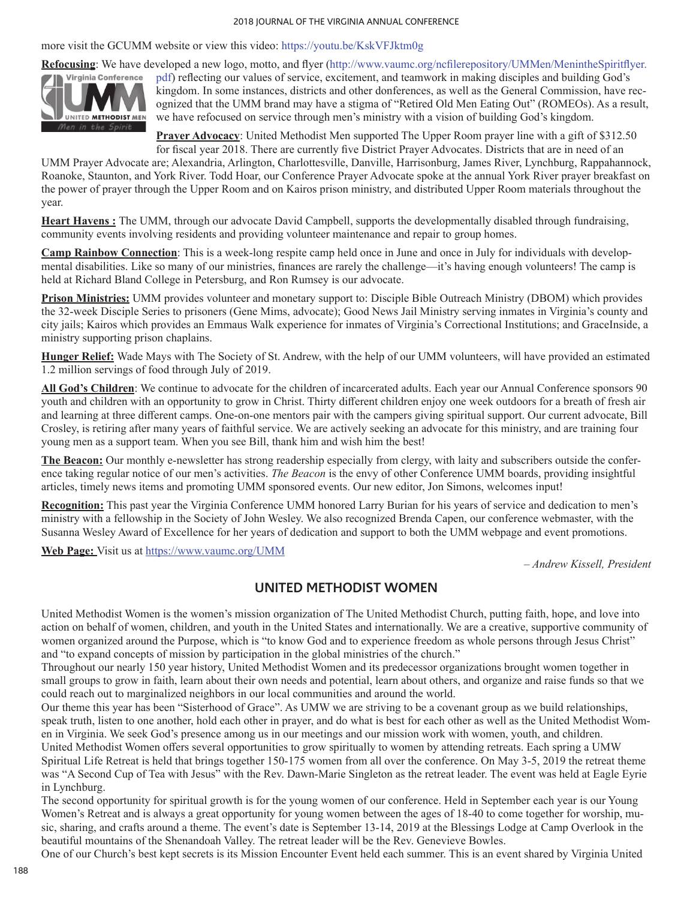#### 2018 JOURNAL OF THE VIRGINIA ANNUAL CONFERENCE

more visit the GCUMM website or view this video: https://youtu.be/KskVFJktm0g



**Refocusing**: We have developed a new logo, motto, and flyer (http://www.vaumc.org/ncfilerepository/UMMen/MenintheSpiritflyer. pdf) reflecting our values of service, excitement, and teamwork in making disciples and building God's kingdom. In some instances, districts and other donferences, as well as the General Commission, have recognized that the UMM brand may have a stigma of "Retired Old Men Eating Out" (ROMEOs). As a result, we have refocused on service through men's ministry with a vision of building God's kingdom.

> **Prayer Advocacy**: United Methodist Men supported The Upper Room prayer line with a gift of \$312.50 for fiscal year 2018. There are currently five District Prayer Advocates. Districts that are in need of an

UMM Prayer Advocate are; Alexandria, Arlington, Charlottesville, Danville, Harrisonburg, James River, Lynchburg, Rappahannock, Roanoke, Staunton, and York River. Todd Hoar, our Conference Prayer Advocate spoke at the annual York River prayer breakfast on the power of prayer through the Upper Room and on Kairos prison ministry, and distributed Upper Room materials throughout the year.

**Heart Havens :** The UMM, through our advocate David Campbell, supports the developmentally disabled through fundraising, community events involving residents and providing volunteer maintenance and repair to group homes.

**Camp Rainbow Connection**: This is a week-long respite camp held once in June and once in July for individuals with developmental disabilities. Like so many of our ministries, finances are rarely the challenge—it's having enough volunteers! The camp is held at Richard Bland College in Petersburg, and Ron Rumsey is our advocate.

**Prison Ministries:** UMM provides volunteer and monetary support to: Disciple Bible Outreach Ministry (DBOM) which provides the 32-week Disciple Series to prisoners (Gene Mims, advocate); Good News Jail Ministry serving inmates in Virginia's county and city jails; Kairos which provides an Emmaus Walk experience for inmates of Virginia's Correctional Institutions; and GraceInside, a ministry supporting prison chaplains.

**Hunger Relief:** Wade Mays with The Society of St. Andrew, with the help of our UMM volunteers, will have provided an estimated 1.2 million servings of food through July of 2019.

**All God's Children**: We continue to advocate for the children of incarcerated adults. Each year our Annual Conference sponsors 90 youth and children with an opportunity to grow in Christ. Thirty different children enjoy one week outdoors for a breath of fresh air and learning at three different camps. One-on-one mentors pair with the campers giving spiritual support. Our current advocate, Bill Crosley, is retiring after many years of faithful service. We are actively seeking an advocate for this ministry, and are training four young men as a support team. When you see Bill, thank him and wish him the best!

**The Beacon:** Our monthly e-newsletter has strong readership especially from clergy, with laity and subscribers outside the conference taking regular notice of our men's activities. *The Beacon* is the envy of other Conference UMM boards, providing insightful articles, timely news items and promoting UMM sponsored events. Our new editor, Jon Simons, welcomes input!

**Recognition:** This past year the Virginia Conference UMM honored Larry Burian for his years of service and dedication to men's ministry with a fellowship in the Society of John Wesley. We also recognized Brenda Capen, our conference webmaster, with the Susanna Wesley Award of Excellence for her years of dedication and support to both the UMM webpage and event promotions.

**Web Page:** Visit us at https://www.vaumc.org/UMM

*– Andrew Kissell, President*

# **UNITED METHODIST WOMEN**

United Methodist Women is the women's mission organization of The United Methodist Church, putting faith, hope, and love into action on behalf of women, children, and youth in the United States and internationally. We are a creative, supportive community of women organized around the Purpose, which is "to know God and to experience freedom as whole persons through Jesus Christ" and "to expand concepts of mission by participation in the global ministries of the church."

Throughout our nearly 150 year history, United Methodist Women and its predecessor organizations brought women together in small groups to grow in faith, learn about their own needs and potential, learn about others, and organize and raise funds so that we could reach out to marginalized neighbors in our local communities and around the world.

Our theme this year has been "Sisterhood of Grace". As UMW we are striving to be a covenant group as we build relationships, speak truth, listen to one another, hold each other in prayer, and do what is best for each other as well as the United Methodist Women in Virginia. We seek God's presence among us in our meetings and our mission work with women, youth, and children.

United Methodist Women offers several opportunities to grow spiritually to women by attending retreats. Each spring a UMW Spiritual Life Retreat is held that brings together 150-175 women from all over the conference. On May 3-5, 2019 the retreat theme was "A Second Cup of Tea with Jesus" with the Rev. Dawn-Marie Singleton as the retreat leader. The event was held at Eagle Eyrie in Lynchburg.

The second opportunity for spiritual growth is for the young women of our conference. Held in September each year is our Young Women's Retreat and is always a great opportunity for young women between the ages of 18-40 to come together for worship, music, sharing, and crafts around a theme. The event's date is September 13-14, 2019 at the Blessings Lodge at Camp Overlook in the beautiful mountains of the Shenandoah Valley. The retreat leader will be the Rev. Genevieve Bowles.

One of our Church's best kept secrets is its Mission Encounter Event held each summer. This is an event shared by Virginia United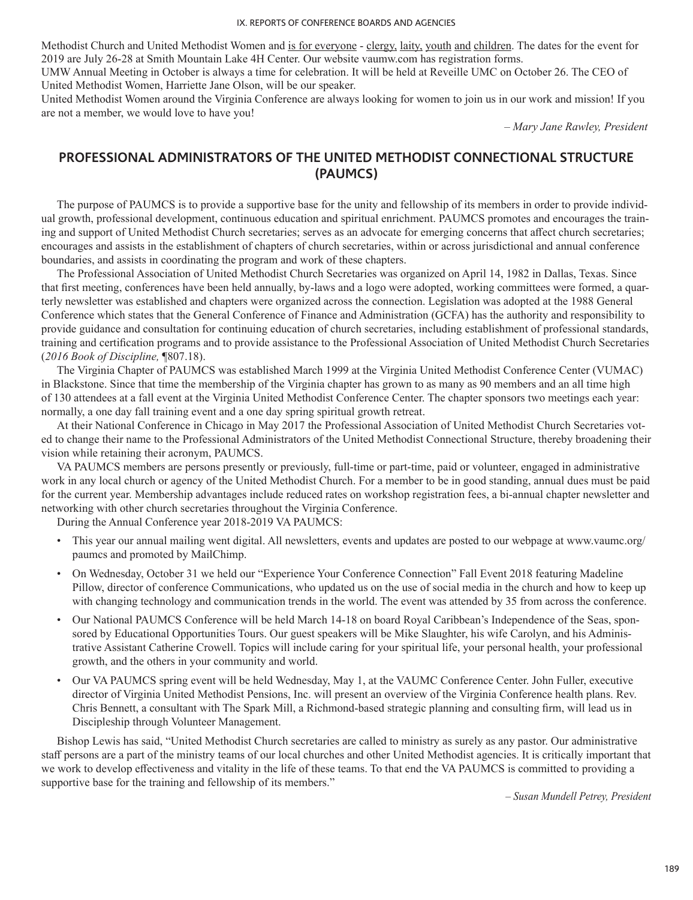Methodist Church and United Methodist Women and is for everyone - clergy, laity, youth and children. The dates for the event for 2019 are July 26-28 at Smith Mountain Lake 4H Center. Our website vaumw.com has registration forms.

UMW Annual Meeting in October is always a time for celebration. It will be held at Reveille UMC on October 26. The CEO of United Methodist Women, Harriette Jane Olson, will be our speaker.

United Methodist Women around the Virginia Conference are always looking for women to join us in our work and mission! If you are not a member, we would love to have you!

*– Mary Jane Rawley, President*

# **PROFESSIONAL ADMINISTRATORS OF THE UNITED METHODIST CONNECTIONAL STRUCTURE (PAUMCS)**

The purpose of PAUMCS is to provide a supportive base for the unity and fellowship of its members in order to provide individual growth, professional development, continuous education and spiritual enrichment. PAUMCS promotes and encourages the training and support of United Methodist Church secretaries; serves as an advocate for emerging concerns that affect church secretaries; encourages and assists in the establishment of chapters of church secretaries, within or across jurisdictional and annual conference boundaries, and assists in coordinating the program and work of these chapters.

The Professional Association of United Methodist Church Secretaries was organized on April 14, 1982 in Dallas, Texas. Since that first meeting, conferences have been held annually, by-laws and a logo were adopted, working committees were formed, a quarterly newsletter was established and chapters were organized across the connection. Legislation was adopted at the 1988 General Conference which states that the General Conference of Finance and Administration (GCFA) has the authority and responsibility to provide guidance and consultation for continuing education of church secretaries, including establishment of professional standards, training and certification programs and to provide assistance to the Professional Association of United Methodist Church Secretaries (*2016 Book of Discipline,* ¶807.18).

The Virginia Chapter of PAUMCS was established March 1999 at the Virginia United Methodist Conference Center (VUMAC) in Blackstone. Since that time the membership of the Virginia chapter has grown to as many as 90 members and an all time high of 130 attendees at a fall event at the Virginia United Methodist Conference Center. The chapter sponsors two meetings each year: normally, a one day fall training event and a one day spring spiritual growth retreat.

At their National Conference in Chicago in May 2017 the Professional Association of United Methodist Church Secretaries voted to change their name to the Professional Administrators of the United Methodist Connectional Structure, thereby broadening their vision while retaining their acronym, PAUMCS.

VA PAUMCS members are persons presently or previously, full-time or part-time, paid or volunteer, engaged in administrative work in any local church or agency of the United Methodist Church. For a member to be in good standing, annual dues must be paid for the current year. Membership advantages include reduced rates on workshop registration fees, a bi-annual chapter newsletter and networking with other church secretaries throughout the Virginia Conference.

During the Annual Conference year 2018-2019 VA PAUMCS:

- This year our annual mailing went digital. All newsletters, events and updates are posted to our webpage at www.vaumc.org/ paumcs and promoted by MailChimp.
- On Wednesday, October 31 we held our "Experience Your Conference Connection" Fall Event 2018 featuring Madeline Pillow, director of conference Communications, who updated us on the use of social media in the church and how to keep up with changing technology and communication trends in the world. The event was attended by 35 from across the conference.
- Our National PAUMCS Conference will be held March 14-18 on board Royal Caribbean's Independence of the Seas, sponsored by Educational Opportunities Tours. Our guest speakers will be Mike Slaughter, his wife Carolyn, and his Administrative Assistant Catherine Crowell. Topics will include caring for your spiritual life, your personal health, your professional growth, and the others in your community and world.
- Our VA PAUMCS spring event will be held Wednesday, May 1, at the VAUMC Conference Center. John Fuller, executive director of Virginia United Methodist Pensions, Inc. will present an overview of the Virginia Conference health plans. Rev. Chris Bennett, a consultant with The Spark Mill, a Richmond-based strategic planning and consulting firm, will lead us in Discipleship through Volunteer Management.

Bishop Lewis has said, "United Methodist Church secretaries are called to ministry as surely as any pastor. Our administrative staff persons are a part of the ministry teams of our local churches and other United Methodist agencies. It is critically important that we work to develop effectiveness and vitality in the life of these teams. To that end the VA PAUMCS is committed to providing a supportive base for the training and fellowship of its members."

*– Susan Mundell Petrey, President*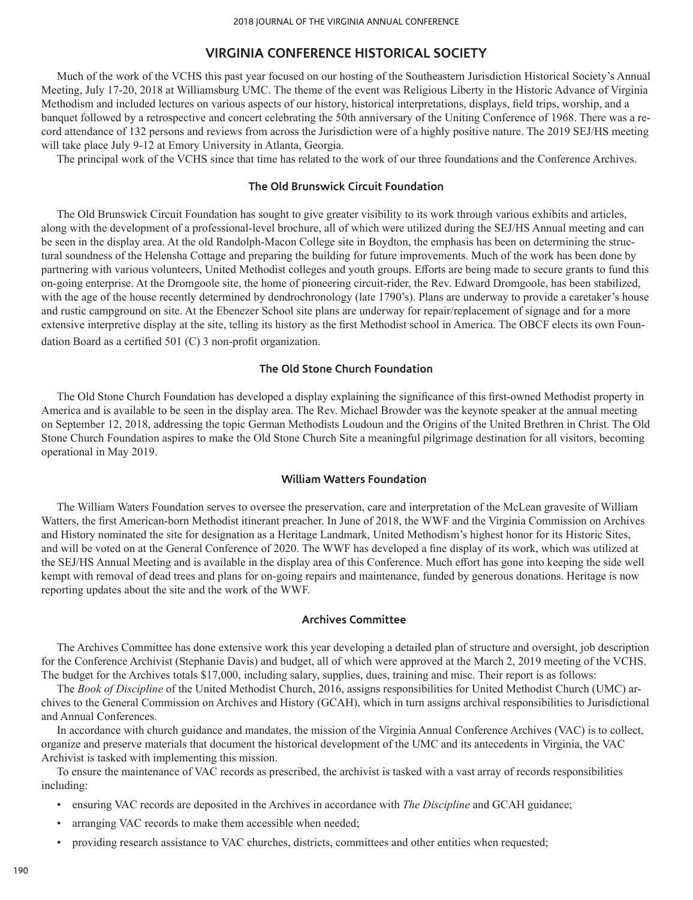## **VIRGINIA CONFERENCE HISTORICAL SOCIETY**

Much of the work of the VCHS this past year focused on our hosting of the Southeastern Jurisdiction Historical Society's Annual Meeting, July 17-20, 2018 at Williamsburg UMC. The theme of the event was Religious Liberty in the Historic Advance of Virginia Methodism and included lectures on various aspects of our history, historical interpretations, displays, field trips, worship, and a banquet followed by a retrospective and concert celebrating the 50th anniversary of the Uniting Conference of 1968. There was a record attendance of 132 persons and reviews from across the Jurisdiction were of a highly positive nature. The 2019 SEJ/HS meeting will take place July 9-12 at Emory University in Atlanta, Georgia.

The principal work of the VCHS since that time has related to the work of our three foundations and the Conference Archives.

## **The Old Brunswick Circuit Foundation**

The Old Brunswick Circuit Foundation has sought to give greater visibility to its work through various exhibits and articles, along with the development of a professional-level brochure, all of which were utilized during the SEJ/HS Annual meeting and can be seen in the display area. At the old Randolph-Macon College site in Boydton, the emphasis has been on determining the structural soundness of the Helensha Cottage and preparing the building for future improvements. Much of the work has been done by partnering with various volunteers, United Methodist colleges and youth groups. Efforts are being made to secure grants to fund this on-going enterprise. At the Dromgoole site, the home of pioneering circuit-rider, the Rev. Edward Dromgoole, has been stabilized, with the age of the house recently determined by dendrochronology (late 1790's). Plans are underway to provide a caretaker's house and rustic campground on site. At the Ebenezer School site plans are underway for repair/replacement of signage and for a more extensive interpretive display at the site, telling its history as the first Methodist school in America. The OBCF elects its own Foundation Board as a certified 501 (C) 3 non-profit organization.

## **The Old Stone Church Foundation**

The Old Stone Church Foundation has developed a display explaining the significance of this first-owned Methodist property in America and is available to be seen in the display area. The Rev. Michael Browder was the keynote speaker at the annual meeting on September 12, 2018, addressing the topic German Methodists Loudoun and the Origins of the United Brethren in Christ. The Old Stone Church Foundation aspires to make the Old Stone Church Site a meaningful pilgrimage destination for all visitors, becoming operational in May 2019.

## **William Watters Foundation**

The William Waters Foundation serves to oversee the preservation, care and interpretation of the McLean gravesite of William Watters, the first American-born Methodist itinerant preacher. In June of 2018, the WWF and the Virginia Commission on Archives and History nominated the site for designation as a Heritage Landmark, United Methodism's highest honor for its Historic Sites, and will be voted on at the General Conference of 2020. The WWF has developed a fine display of its work, which was utilized at the SEJ/HS Annual Meeting and is available in the display area of this Conference. Much effort has gone into keeping the side well kempt with removal of dead trees and plans for on-going repairs and maintenance, funded by generous donations. Heritage is now reporting updates about the site and the work of the WWF.

#### **Archives Committee**

The Archives Committee has done extensive work this year developing a detailed plan of structure and oversight, job description for the Conference Archivist (Stephanie Davis) and budget, all of which were approved at the March 2, 2019 meeting of the VCHS. The budget for the Archives totals \$17,000, including salary, supplies, dues, training and misc. Their report is as follows:

The *Book of Discipline* of the United Methodist Church, 2016, assigns responsibilities for United Methodist Church (UMC) archives to the General Commission on Archives and History (GCAH), which in turn assigns archival responsibilities to Jurisdictional and Annual Conferences.

In accordance with church guidance and mandates, the mission of the Virginia Annual Conference Archives (VAC) is to collect, organize and preserve materials that document the historical development of the UMC and its antecedents in Virginia, the VAC Archivist is tasked with implementing this mission.

To ensure the maintenance of VAC records as prescribed, the archivist is tasked with a vast array of records responsibilities including:

- ensuring VAC records are deposited in the Archives in accordance with *The Discipline* and GCAH guidance;
- arranging VAC records to make them accessible when needed;
- providing research assistance to VAC churches, districts, committees and other entities when requested;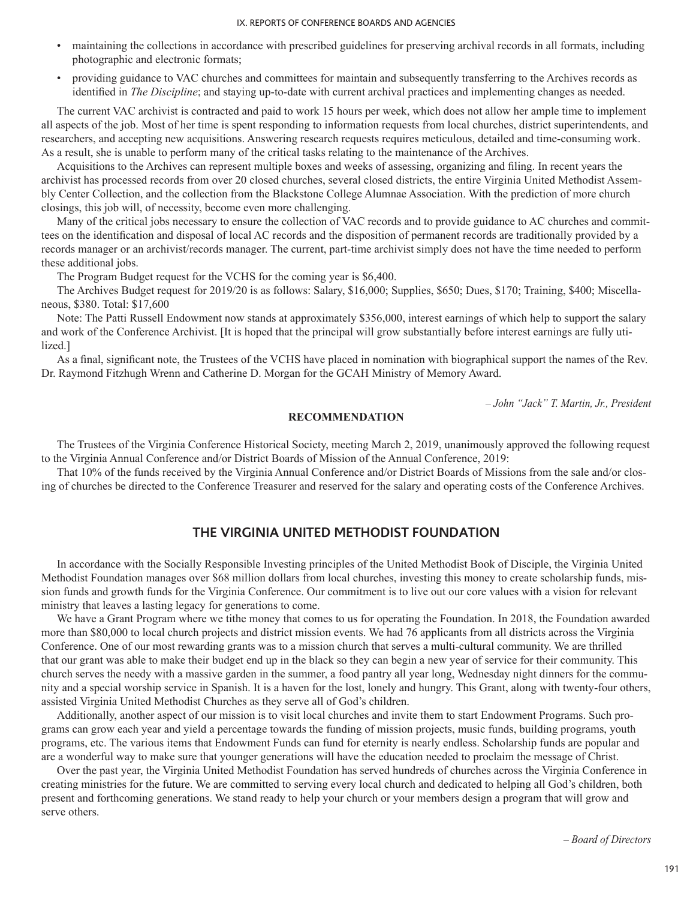- maintaining the collections in accordance with prescribed guidelines for preserving archival records in all formats, including photographic and electronic formats;
- providing guidance to VAC churches and committees for maintain and subsequently transferring to the Archives records as identified in *The Discipline*; and staying up-to-date with current archival practices and implementing changes as needed.

The current VAC archivist is contracted and paid to work 15 hours per week, which does not allow her ample time to implement all aspects of the job. Most of her time is spent responding to information requests from local churches, district superintendents, and researchers, and accepting new acquisitions. Answering research requests requires meticulous, detailed and time-consuming work. As a result, she is unable to perform many of the critical tasks relating to the maintenance of the Archives.

Acquisitions to the Archives can represent multiple boxes and weeks of assessing, organizing and filing. In recent years the archivist has processed records from over 20 closed churches, several closed districts, the entire Virginia United Methodist Assembly Center Collection, and the collection from the Blackstone College Alumnae Association. With the prediction of more church closings, this job will, of necessity, become even more challenging.

Many of the critical jobs necessary to ensure the collection of VAC records and to provide guidance to AC churches and committees on the identification and disposal of local AC records and the disposition of permanent records are traditionally provided by a records manager or an archivist/records manager. The current, part-time archivist simply does not have the time needed to perform these additional jobs.

The Program Budget request for the VCHS for the coming year is \$6,400.

The Archives Budget request for 2019/20 is as follows: Salary, \$16,000; Supplies, \$650; Dues, \$170; Training, \$400; Miscellaneous, \$380. Total: \$17,600

Note: The Patti Russell Endowment now stands at approximately \$356,000, interest earnings of which help to support the salary and work of the Conference Archivist. [It is hoped that the principal will grow substantially before interest earnings are fully utilized.]

As a final, significant note, the Trustees of the VCHS have placed in nomination with biographical support the names of the Rev. Dr. Raymond Fitzhugh Wrenn and Catherine D. Morgan for the GCAH Ministry of Memory Award.

*– John "Jack" T. Martin, Jr., President*

## **RECOMMENDATION**

The Trustees of the Virginia Conference Historical Society, meeting March 2, 2019, unanimously approved the following request to the Virginia Annual Conference and/or District Boards of Mission of the Annual Conference, 2019:

That 10% of the funds received by the Virginia Annual Conference and/or District Boards of Missions from the sale and/or closing of churches be directed to the Conference Treasurer and reserved for the salary and operating costs of the Conference Archives.

# **THE VIRGINIA UNITED METHODIST FOUNDATION**

In accordance with the Socially Responsible Investing principles of the United Methodist Book of Disciple, the Virginia United Methodist Foundation manages over \$68 million dollars from local churches, investing this money to create scholarship funds, mission funds and growth funds for the Virginia Conference. Our commitment is to live out our core values with a vision for relevant ministry that leaves a lasting legacy for generations to come.

We have a Grant Program where we tithe money that comes to us for operating the Foundation. In 2018, the Foundation awarded more than \$80,000 to local church projects and district mission events. We had 76 applicants from all districts across the Virginia Conference. One of our most rewarding grants was to a mission church that serves a multi-cultural community. We are thrilled that our grant was able to make their budget end up in the black so they can begin a new year of service for their community. This church serves the needy with a massive garden in the summer, a food pantry all year long, Wednesday night dinners for the community and a special worship service in Spanish. It is a haven for the lost, lonely and hungry. This Grant, along with twenty-four others, assisted Virginia United Methodist Churches as they serve all of God's children.

Additionally, another aspect of our mission is to visit local churches and invite them to start Endowment Programs. Such programs can grow each year and yield a percentage towards the funding of mission projects, music funds, building programs, youth programs, etc. The various items that Endowment Funds can fund for eternity is nearly endless. Scholarship funds are popular and are a wonderful way to make sure that younger generations will have the education needed to proclaim the message of Christ.

Over the past year, the Virginia United Methodist Foundation has served hundreds of churches across the Virginia Conference in creating ministries for the future. We are committed to serving every local church and dedicated to helping all God's children, both present and forthcoming generations. We stand ready to help your church or your members design a program that will grow and serve others.